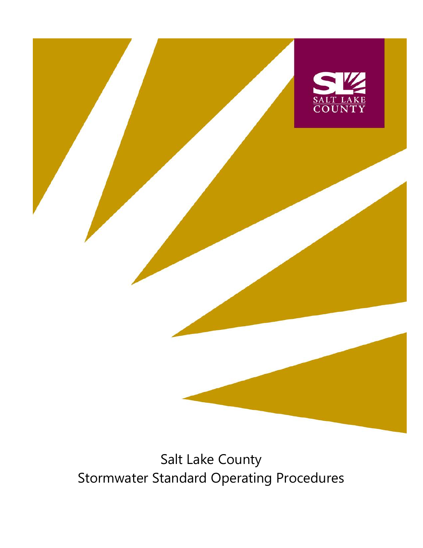

# Salt Lake County Stormwater Standard Operating Procedures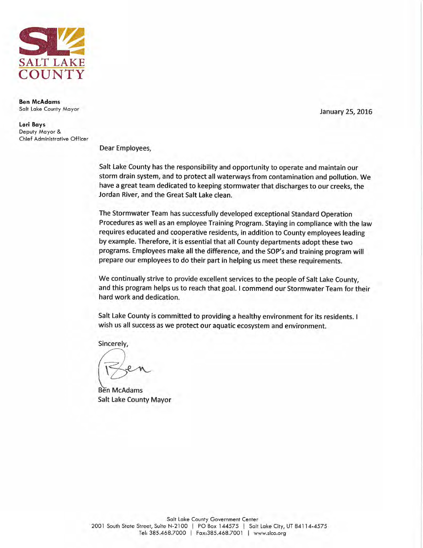

**Ben McAdams** Salt Lake County Mayor

Lori Bays Deputy Mayor & Chief Administrative Officer January 25, 2016

Dear Employees,

Salt Lake County has the responsibility and opportunity to operate and maintain our storm drain system, and to protect all waterways from contamination and pollution. We have a great team dedicated to keeping stormwater that discharges to our creeks, the Jordan River, and the Great Salt Lake clean.

The Stormwater Team has successfully developed exceptional Standard Operation Procedures as well as an employee Training Program. Staying in compliance with the law requires educated and cooperative residents, in addition to County employees leading by example. Therefore, it is essential that all County departments adopt these two programs. Employees make all the difference, and the SOP's and training program will prepare our employees to do their part in helping us meet these requirements.

We continually strive to provide excellent services to the people of Salt Lake County, and this program helps us to reach that goal. I commend our Stormwater Team for their hard work and dedication.

Salt Lake County is committed to providing a healthy environment for its residents. I wish us all success as we protect our aquatic ecosystem and environment.

Sincerely,

Ben McAdams **Salt Lake County Mayor**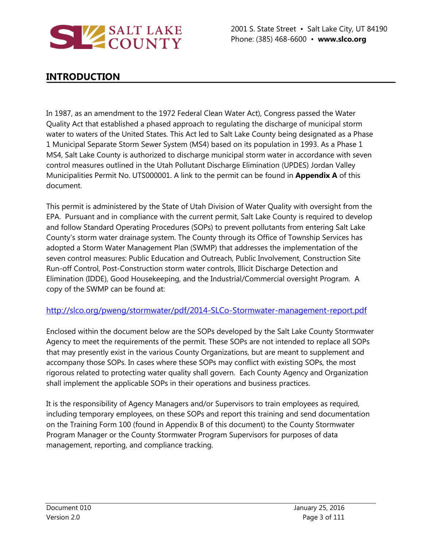

# **INTRODUCTION**

In 1987, as an amendment to the 1972 Federal Clean Water Act), Congress passed the Water Quality Act that established a phased approach to regulating the discharge of municipal storm water to waters of the United States. This Act led to Salt Lake County being designated as a Phase 1 Municipal Separate Storm Sewer System (MS4) based on its population in 1993. As a Phase 1 MS4, Salt Lake County is authorized to discharge municipal storm water in accordance with seven control measures outlined in the Utah Pollutant Discharge Elimination (UPDES) Jordan Valley Municipalities Permit No. UTS000001. A link to the permit can be found in **Appendix A** of this document.

This permit is administered by the State of Utah Division of Water Quality with oversight from the EPA. Pursuant and in compliance with the current permit, Salt Lake County is required to develop and follow Standard Operating Procedures (SOPs) to prevent pollutants from entering Salt Lake County's storm water drainage system. The County through its Office of Township Services has adopted a Storm Water Management Plan (SWMP) that addresses the implementation of the seven control measures: Public Education and Outreach, Public Involvement, Construction Site Run-off Control, Post-Construction storm water controls, Illicit Discharge Detection and Elimination (IDDE), Good Housekeeping, and the Industrial/Commercial oversight Program. A copy of the SWMP can be found at:

### <http://slco.org/pweng/stormwater/pdf/2014-SLCo-Stormwater-management-report.pdf>

Enclosed within the document below are the SOPs developed by the Salt Lake County Stormwater Agency to meet the requirements of the permit. These SOPs are not intended to replace all SOPs that may presently exist in the various County Organizations, but are meant to supplement and accompany those SOPs. In cases where these SOPs may conflict with existing SOPs, the most rigorous related to protecting water quality shall govern. Each County Agency and Organization shall implement the applicable SOPs in their operations and business practices.

It is the responsibility of Agency Managers and/or Supervisors to train employees as required, including temporary employees, on these SOPs and report this training and send documentation on the Training Form 100 (found in Appendix B of this document) to the County Stormwater Program Manager or the County Stormwater Program Supervisors for purposes of data management, reporting, and compliance tracking.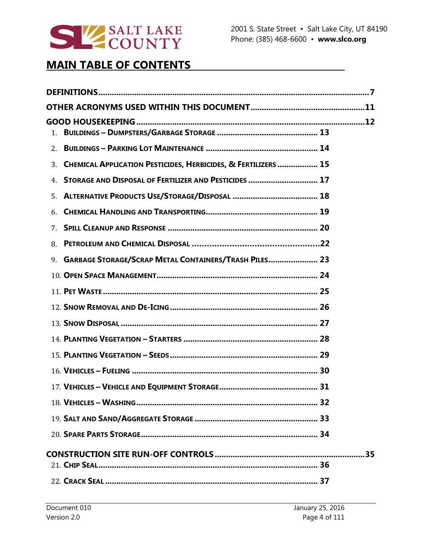

# **MAIN TABLE OF CONTENTS**

| 1.                                                                |  |  |  |  |  |
|-------------------------------------------------------------------|--|--|--|--|--|
| 2.                                                                |  |  |  |  |  |
| 3. CHEMICAL APPLICATION PESTICIDES, HERBICIDES, & FERTILIZERS  15 |  |  |  |  |  |
| STORAGE AND DISPOSAL OF FERTILIZER AND PESTICIDES  17<br>4.       |  |  |  |  |  |
| 5.                                                                |  |  |  |  |  |
| 6.                                                                |  |  |  |  |  |
| 7.                                                                |  |  |  |  |  |
| 8.                                                                |  |  |  |  |  |
| 9. GARBAGE STORAGE/SCRAP METAL CONTAINERS/TRASH PILES 23          |  |  |  |  |  |
|                                                                   |  |  |  |  |  |
|                                                                   |  |  |  |  |  |
|                                                                   |  |  |  |  |  |
|                                                                   |  |  |  |  |  |
|                                                                   |  |  |  |  |  |
|                                                                   |  |  |  |  |  |
|                                                                   |  |  |  |  |  |
|                                                                   |  |  |  |  |  |
|                                                                   |  |  |  |  |  |
|                                                                   |  |  |  |  |  |
|                                                                   |  |  |  |  |  |
|                                                                   |  |  |  |  |  |
|                                                                   |  |  |  |  |  |
|                                                                   |  |  |  |  |  |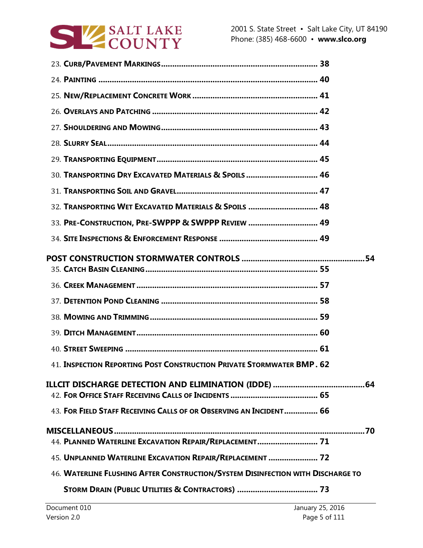

|  | 30. TRANSPORTING DRY EXCAVATED MATERIALS & SPOILS 46                            |  |
|--|---------------------------------------------------------------------------------|--|
|  |                                                                                 |  |
|  | 32. TRANSPORTING WET EXCAVATED MATERIALS & SPOILS  48                           |  |
|  | 33. PRE-CONSTRUCTION, PRE-SWPPP & SWPPP REVIEW  49                              |  |
|  |                                                                                 |  |
|  |                                                                                 |  |
|  |                                                                                 |  |
|  |                                                                                 |  |
|  |                                                                                 |  |
|  |                                                                                 |  |
|  |                                                                                 |  |
|  |                                                                                 |  |
|  | 41. INSPECTION REPORTING POST CONSTRUCTION PRIVATE STORMWATER BMP. 62           |  |
|  |                                                                                 |  |
|  |                                                                                 |  |
|  | 43. FOR FIELD STAFF RECEIVING CALLS OF OR OBSERVING AN INCIDENT 66              |  |
|  |                                                                                 |  |
|  | 44. PLANNED WATERLINE EXCAVATION REPAIR/REPLACEMENT 71                          |  |
|  | 45. UNPLANNED WATERLINE EXCAVATION REPAIR/REPLACEMENT  72                       |  |
|  | 46. WATERLINE FLUSHING AFTER CONSTRUCTION/SYSTEM DISINFECTION WITH DISCHARGE TO |  |
|  |                                                                                 |  |
|  |                                                                                 |  |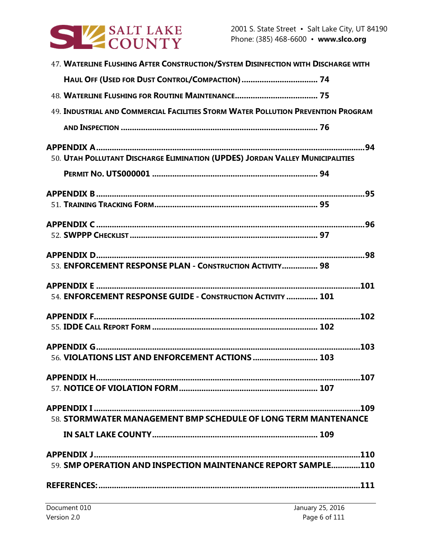

| 47. WATERLINE FLUSHING AFTER CONSTRUCTION/SYSTEM DISINFECTION WITH DISCHARGE WITH |  |
|-----------------------------------------------------------------------------------|--|
| HAUL OFF (USED FOR DUST CONTROL/COMPACTION)  74                                   |  |
|                                                                                   |  |
| 49. INDUSTRIAL AND COMMERCIAL FACILITIES STORM WATER POLLUTION PREVENTION PROGRAM |  |
|                                                                                   |  |
|                                                                                   |  |
| 50. UTAH POLLUTANT DISCHARGE ELIMINATION (UPDES) JORDAN VALLEY MUNICIPALITIES     |  |
|                                                                                   |  |
|                                                                                   |  |
|                                                                                   |  |
|                                                                                   |  |
|                                                                                   |  |
|                                                                                   |  |
| 53. ENFORCEMENT RESPONSE PLAN - CONSTRUCTION ACTIVITY 98                          |  |
|                                                                                   |  |
| 54. ENFORCEMENT RESPONSE GUIDE - CONSTRUCTION ACTIVITY  101                       |  |
|                                                                                   |  |
|                                                                                   |  |
|                                                                                   |  |
| 56. VIOLATIONS LIST AND ENFORCEMENT ACTIONS  103                                  |  |
|                                                                                   |  |
|                                                                                   |  |
|                                                                                   |  |
| 58. STORMWATER MANAGEMENT BMP SCHEDULE OF LONG TERM MANTENANCE                    |  |
|                                                                                   |  |
|                                                                                   |  |
| 59. SMP OPERATION AND INSPECTION MAINTENANCE REPORT SAMPLE110                     |  |
|                                                                                   |  |
|                                                                                   |  |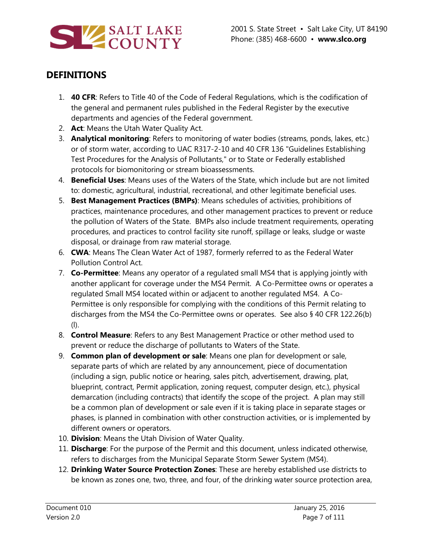

# **DEFINITIONS**

- 1. **40 CFR**: Refers to Title 40 of the Code of Federal Regulations, which is the codification of the general and permanent rules published in the Federal Register by the executive departments and agencies of the Federal government.
- 2. **Act**: Means the Utah Water Quality Act.
- 3. **Analytical monitoring**: Refers to monitoring of water bodies (streams, ponds, lakes, etc.) or of storm water, according to UAC R317-2-10 and 40 CFR 136 "Guidelines Establishing Test Procedures for the Analysis of Pollutants," or to State or Federally established protocols for biomonitoring or stream bioassessments.
- 4. **Beneficial Uses**: Means uses of the Waters of the State, which include but are not limited to: domestic, agricultural, industrial, recreational, and other legitimate beneficial uses.
- 5. **Best Management Practices (BMPs)**: Means schedules of activities, prohibitions of practices, maintenance procedures, and other management practices to prevent or reduce the pollution of Waters of the State. BMPs also include treatment requirements, operating procedures, and practices to control facility site runoff, spillage or leaks, sludge or waste disposal, or drainage from raw material storage.
- 6. **CWA**: Means The Clean Water Act of 1987, formerly referred to as the Federal Water Pollution Control Act.
- 7. **Co-Permittee**: Means any operator of a regulated small MS4 that is applying jointly with another applicant for coverage under the MS4 Permit. A Co-Permittee owns or operates a regulated Small MS4 located within or adjacent to another regulated MS4. A Co-Permittee is only responsible for complying with the conditions of this Permit relating to discharges from the MS4 the Co-Permittee owns or operates. See also § 40 CFR 122.26(b) (l).
- 8. **Control Measure**: Refers to any Best Management Practice or other method used to prevent or reduce the discharge of pollutants to Waters of the State.
- 9. **Common plan of development or sale**: Means one plan for development or sale, separate parts of which are related by any announcement, piece of documentation (including a sign, public notice or hearing, sales pitch, advertisement, drawing, plat, blueprint, contract, Permit application, zoning request, computer design, etc.), physical demarcation (including contracts) that identify the scope of the project. A plan may still be a common plan of development or sale even if it is taking place in separate stages or phases, is planned in combination with other construction activities, or is implemented by different owners or operators.
- 10. **Division**: Means the Utah Division of Water Quality.
- 11. **Discharge**: For the purpose of the Permit and this document, unless indicated otherwise, refers to discharges from the Municipal Separate Storm Sewer System (MS4).
- 12. **Drinking Water Source Protection Zones**: These are hereby established use districts to be known as zones one, two, three, and four, of the drinking water source protection area,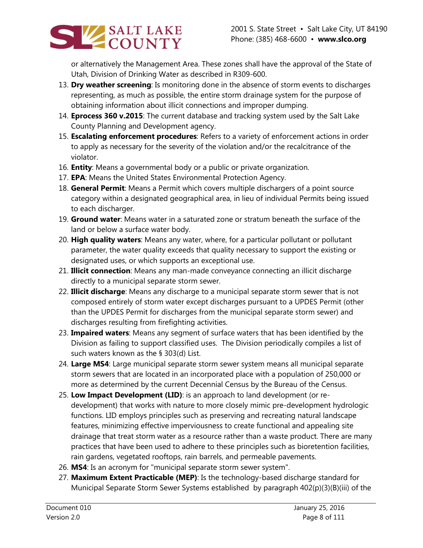

or alternatively the Management Area. These zones shall have the approval of the State of Utah, Division of Drinking Water as described in R309-600.

- 13. **Dry weather screening**: Is monitoring done in the absence of storm events to discharges representing, as much as possible, the entire storm drainage system for the purpose of obtaining information about illicit connections and improper dumping.
- 14. **Eprocess 360 v.2015**: The current database and tracking system used by the Salt Lake County Planning and Development agency.
- 15. **Escalating enforcement procedures**: Refers to a variety of enforcement actions in order to apply as necessary for the severity of the violation and/or the recalcitrance of the violator.
- 16. **Entity**: Means a governmental body or a public or private organization.
- 17. **EPA**: Means the United States Environmental Protection Agency.
- 18. **General Permit**: Means a Permit which covers multiple dischargers of a point source category within a designated geographical area, in lieu of individual Permits being issued to each discharger.
- 19. **Ground water**: Means water in a saturated zone or stratum beneath the surface of the land or below a surface water body.
- 20. **High quality waters**: Means any water, where, for a particular pollutant or pollutant parameter, the water quality exceeds that quality necessary to support the existing or designated uses, or which supports an exceptional use.
- 21. **Illicit connection**: Means any man-made conveyance connecting an illicit discharge directly to a municipal separate storm sewer.
- 22. **Illicit discharge**: Means any discharge to a municipal separate storm sewer that is not composed entirely of storm water except discharges pursuant to a UPDES Permit (other than the UPDES Permit for discharges from the municipal separate storm sewer) and discharges resulting from firefighting activities.
- 23. **Impaired waters**: Means any segment of surface waters that has been identified by the Division as failing to support classified uses. The Division periodically compiles a list of such waters known as the § 303(d) List.
- 24. **Large MS4**: Large municipal separate storm sewer system means all municipal separate storm sewers that are located in an incorporated place with a population of 250,000 or more as determined by the current Decennial Census by the Bureau of the Census.
- 25. **Low Impact Development (LID)**: is an approach to land development (or redevelopment) that works with nature to more closely mimic pre-development hydrologic functions. LID employs principles such as preserving and recreating natural landscape features, minimizing effective imperviousness to create functional and appealing site drainage that treat storm water as a resource rather than a waste product. There are many practices that have been used to adhere to these principles such as bioretention facilities, rain gardens, vegetated rooftops, rain barrels, and permeable pavements.
- 26. **MS4**: Is an acronym for "municipal separate storm sewer system".
- 27. **Maximum Extent Practicable (MEP)**: Is the technology-based discharge standard for Municipal Separate Storm Sewer Systems established by paragraph 402(p)(3)(B)(iii) of the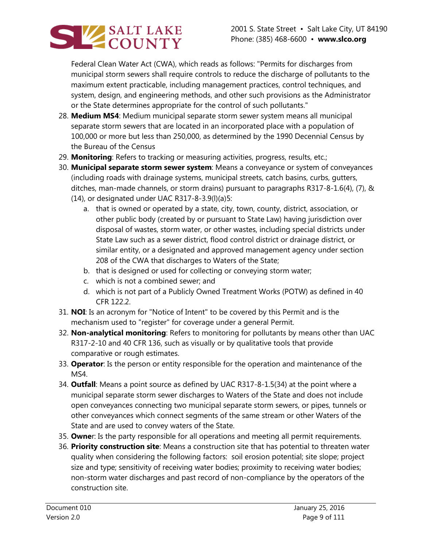

Federal Clean Water Act (CWA), which reads as follows: "Permits for discharges from municipal storm sewers shall require controls to reduce the discharge of pollutants to the maximum extent practicable, including management practices, control techniques, and system, design, and engineering methods, and other such provisions as the Administrator or the State determines appropriate for the control of such pollutants."

- 28. **Medium MS4**: Medium municipal separate storm sewer system means all municipal separate storm sewers that are located in an incorporated place with a population of 100,000 or more but less than 250,000, as determined by the 1990 Decennial Census by the Bureau of the Census
- 29. **Monitoring**: Refers to tracking or measuring activities, progress, results, etc.;
- 30. **Municipal separate storm sewer system**: Means a conveyance or system of conveyances (including roads with drainage systems, municipal streets, catch basins, curbs, gutters, ditches, man-made channels, or storm drains) pursuant to paragraphs R317-8-1.6(4), (7), & (14), or designated under UAC R317-8-3.9(l)(a)5:
	- a. that is owned or operated by a state, city, town, county, district, association, or other public body (created by or pursuant to State Law) having jurisdiction over disposal of wastes, storm water, or other wastes, including special districts under State Law such as a sewer district, flood control district or drainage district, or similar entity, or a designated and approved management agency under section
		- 208 of the CWA that discharges to Waters of the State;
	- b. that is designed or used for collecting or conveying storm water;
	- c. which is not a combined sewer; and
	- d. which is not part of a Publicly Owned Treatment Works (POTW) as defined in 40 CFR 122.2.
- 31. **NOI**: Is an acronym for "Notice of Intent" to be covered by this Permit and is the mechanism used to "register" for coverage under a general Permit.
- 32. **Non-analytical monitoring**: Refers to monitoring for pollutants by means other than UAC R317-2-10 and 40 CFR 136, such as visually or by qualitative tools that provide comparative or rough estimates.
- 33. **Operator**: Is the person or entity responsible for the operation and maintenance of the MS4.
- 34. **Outfall**: Means a point source as defined by UAC R317-8-1.5(34) at the point where a municipal separate storm sewer discharges to Waters of the State and does not include open conveyances connecting two municipal separate storm sewers, or pipes, tunnels or other conveyances which connect segments of the same stream or other Waters of the State and are used to convey waters of the State.
- 35. **Owne**r: Is the party responsible for all operations and meeting all permit requirements.
- 36. **Priority construction site**: Means a construction site that has potential to threaten water quality when considering the following factors: soil erosion potential; site slope; project size and type; sensitivity of receiving water bodies; proximity to receiving water bodies; non-storm water discharges and past record of non-compliance by the operators of the construction site.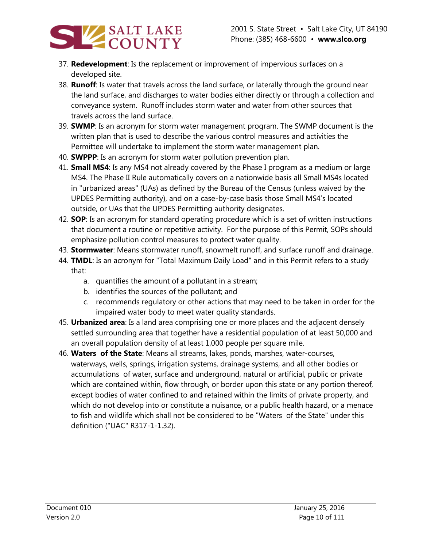

- 37. **Redevelopment**: Is the replacement or improvement of impervious surfaces on a developed site.
- 38. **Runoff**: Is water that travels across the land surface, or laterally through the ground near the land surface, and discharges to water bodies either directly or through a collection and conveyance system. Runoff includes storm water and water from other sources that travels across the land surface.
- 39. **SWMP**: Is an acronym for storm water management program. The SWMP document is the written plan that is used to describe the various control measures and activities the Permittee will undertake to implement the storm water management plan.
- 40. **SWPPP**: Is an acronym for storm water pollution prevention plan.
- 41. **Small MS4**: Is any MS4 not already covered by the Phase I program as a medium or large MS4. The Phase II Rule automatically covers on a nationwide basis all Small MS4s located in "urbanized areas" (UAs) as defined by the Bureau of the Census (unless waived by the UPDES Permitting authority), and on a case-by-case basis those Small MS4's located outside, or UAs that the UPDES Permitting authority designates.
- 42. **SOP**: Is an acronym for standard operating procedure which is a set of written instructions that document a routine or repetitive activity. For the purpose of this Permit, SOPs should emphasize pollution control measures to protect water quality.
- 43. **Stormwater**: Means stormwater runoff, snowmelt runoff, and surface runoff and drainage.
- 44. **TMDL**: Is an acronym for "Total Maximum Daily Load" and in this Permit refers to a study that:
	- a. quantifies the amount of a pollutant in a stream;
	- b. identifies the sources of the pollutant; and
	- c. recommends regulatory or other actions that may need to be taken in order for the impaired water body to meet water quality standards.
- 45. **Urbanized area**: Is a land area comprising one or more places and the adjacent densely settled surrounding area that together have a residential population of at least 50,000 and an overall population density of at least 1,000 people per square mile.
- 46. **Waters of the State**: Means all streams, lakes, ponds, marshes, water-courses, waterways, wells, springs, irrigation systems, drainage systems, and all other bodies or accumulations of water, surface and underground, natural or artificial, public or private which are contained within, flow through, or border upon this state or any portion thereof, except bodies of water confined to and retained within the limits of private property, and which do not develop into or constitute a nuisance, or a public health hazard, or a menace to fish and wildlife which shall not be considered to be "Waters of the State" under this definition ("UAC" R317-1-1.32).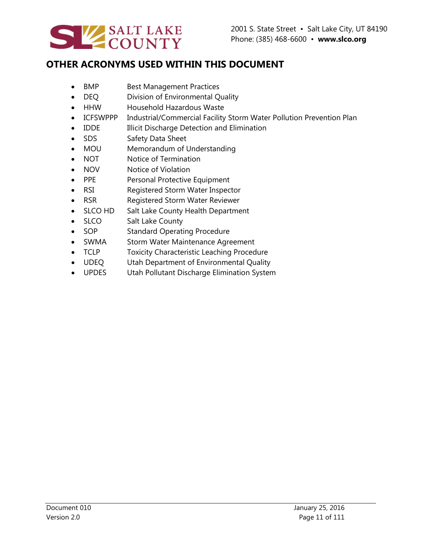

# **OTHER ACRONYMS USED WITHIN THIS DOCUMENT**

- BMP Best Management Practices
- DEQ Division of Environmental Quality
- HHW Household Hazardous Waste
- ICFSWPPP Industrial/Commercial Facility Storm Water Pollution Prevention Plan
- IDDE Illicit Discharge Detection and Elimination
- SDS Safety Data Sheet
- MOU Memorandum of Understanding
- NOT Notice of Termination
- NOV Notice of Violation
- PPE Personal Protective Equipment
- RSI Registered Storm Water Inspector
- RSR Registered Storm Water Reviewer
- SLCO HD Salt Lake County Health Department
- SLCO Salt Lake County
- SOP Standard Operating Procedure
- SWMA Storm Water Maintenance Agreement
- TCLP Toxicity Characteristic Leaching Procedure
- UDEQ Utah Department of Environmental Quality
- UPDES Utah Pollutant Discharge Elimination System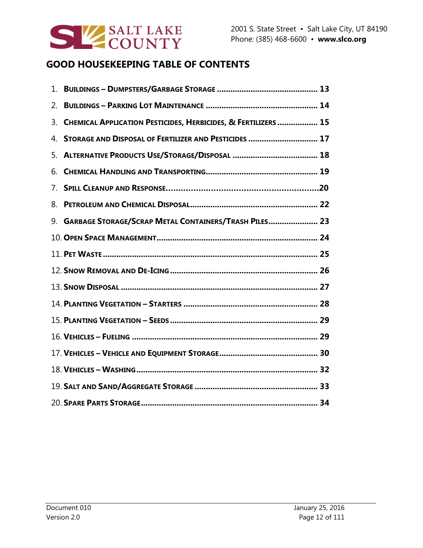

# **GOOD HOUSEKEEPING TABLE OF CONTENTS**

| 1. |                                                                |
|----|----------------------------------------------------------------|
| 2. |                                                                |
| 3. | CHEMICAL APPLICATION PESTICIDES, HERBICIDES, & FERTILIZERS  15 |
| 4. | STORAGE AND DISPOSAL OF FERTILIZER AND PESTICIDES  17          |
| 5. |                                                                |
| 6. |                                                                |
| 7. |                                                                |
| 8. |                                                                |
|    | 9. GARBAGE STORAGE/SCRAP METAL CONTAINERS/TRASH PILES 23       |
|    |                                                                |
|    |                                                                |
|    |                                                                |
|    |                                                                |
|    |                                                                |
|    |                                                                |
|    |                                                                |
|    |                                                                |
|    |                                                                |
|    |                                                                |
|    |                                                                |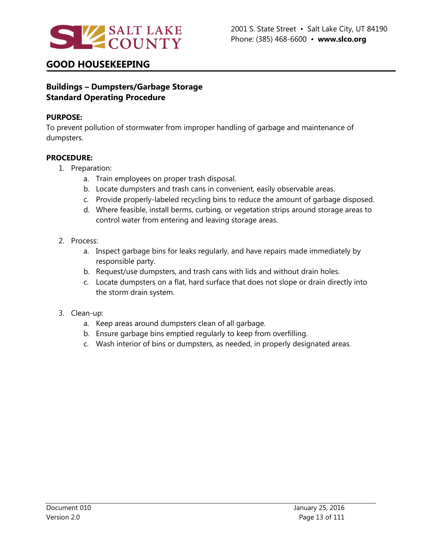

### **Buildings – Dumpsters/Garbage Storage Standard Operating Procedure**

#### **PURPOSE:**

To prevent pollution of stormwater from improper handling of garbage and maintenance of dumpsters.

#### **PROCEDURE:**

- 1. Preparation:
	- a. Train employees on proper trash disposal.
	- b. Locate dumpsters and trash cans in convenient, easily observable areas.
	- c. Provide properly-labeled recycling bins to reduce the amount of garbage disposed.
	- d. Where feasible, install berms, curbing, or vegetation strips around storage areas to control water from entering and leaving storage areas.

### 2. Process:

- a. Inspect garbage bins for leaks regularly, and have repairs made immediately by responsible party.
- b. Request/use dumpsters, and trash cans with lids and without drain holes.
- c. Locate dumpsters on a flat, hard surface that does not slope or drain directly into the storm drain system.

#### 3. Clean-up:

- a. Keep areas around dumpsters clean of all garbage.
- b. Ensure garbage bins emptied regularly to keep from overfilling.
- c. Wash interior of bins or dumpsters, as needed, in properly designated areas.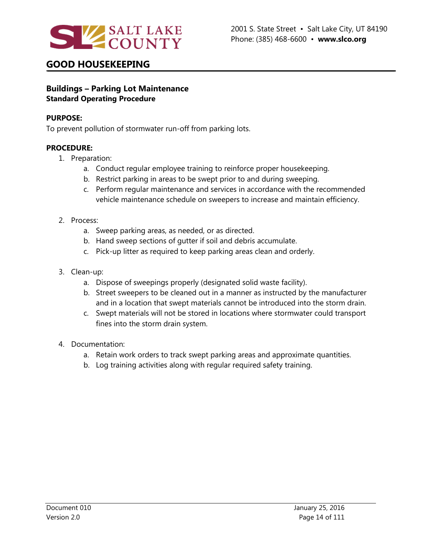

#### **Buildings – Parking Lot Maintenance Standard Operating Procedure**

#### **PURPOSE:**

To prevent pollution of stormwater run-off from parking lots.

- 1. Preparation:
	- a. Conduct regular employee training to reinforce proper housekeeping.
	- b. Restrict parking in areas to be swept prior to and during sweeping.
	- c. Perform regular maintenance and services in accordance with the recommended vehicle maintenance schedule on sweepers to increase and maintain efficiency.
- 2. Process:
	- a. Sweep parking areas, as needed, or as directed.
	- b. Hand sweep sections of gutter if soil and debris accumulate.
	- c. Pick-up litter as required to keep parking areas clean and orderly.
- 3. Clean-up:
	- a. Dispose of sweepings properly (designated solid waste facility).
	- b. Street sweepers to be cleaned out in a manner as instructed by the manufacturer and in a location that swept materials cannot be introduced into the storm drain.
	- c. Swept materials will not be stored in locations where stormwater could transport fines into the storm drain system.
- 4. Documentation:
	- a. Retain work orders to track swept parking areas and approximate quantities.
	- b. Log training activities along with regular required safety training.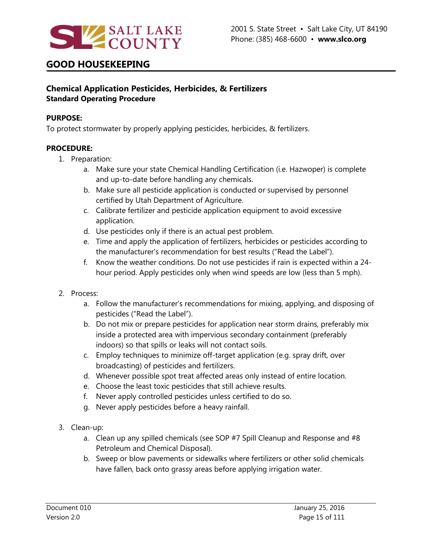

### **Chemical Application Pesticides, Herbicides, & Fertilizers Standard Operating Procedure**

#### **PURPOSE:**

To protect stormwater by properly applying pesticides, herbicides, & fertilizers.

- 1. Preparation:
	- a. Make sure your state Chemical Handling Certification (i.e. Hazwoper) is complete and up-to-date before handling any chemicals.
	- b. Make sure all pesticide application is conducted or supervised by personnel certified by Utah Department of Agriculture.
	- c. Calibrate fertilizer and pesticide application equipment to avoid excessive application.
	- d. Use pesticides only if there is an actual pest problem.
	- e. Time and apply the application of fertilizers, herbicides or pesticides according to the manufacturer's recommendation for best results ("Read the Label").
	- f. Know the weather conditions. Do not use pesticides if rain is expected within a 24 hour period. Apply pesticides only when wind speeds are low (less than 5 mph).
- 2. Process:
	- a. Follow the manufacturer's recommendations for mixing, applying, and disposing of pesticides ("Read the Label").
	- b. Do not mix or prepare pesticides for application near storm drains, preferably mix inside a protected area with impervious secondary containment (preferably indoors) so that spills or leaks will not contact soils.
	- c. Employ techniques to minimize off-target application (e.g. spray drift, over broadcasting) of pesticides and fertilizers.
	- d. Whenever possible spot treat affected areas only instead of entire location.
	- e. Choose the least toxic pesticides that still achieve results.
	- f. Never apply controlled pesticides unless certified to do so.
	- g. Never apply pesticides before a heavy rainfall.
- 3. Clean-up:
	- a. Clean up any spilled chemicals (see SOP #7 Spill Cleanup and Response and #8 Petroleum and Chemical Disposal).
	- b. Sweep or blow pavements or sidewalks where fertilizers or other solid chemicals have fallen, back onto grassy areas before applying irrigation water.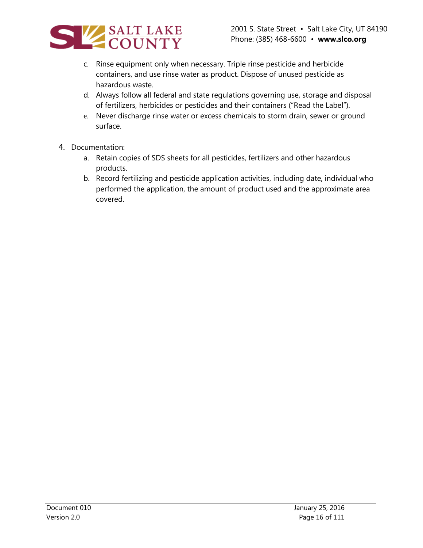

- c. Rinse equipment only when necessary. Triple rinse pesticide and herbicide containers, and use rinse water as product. Dispose of unused pesticide as hazardous waste.
- d. Always follow all federal and state regulations governing use, storage and disposal of fertilizers, herbicides or pesticides and their containers ("Read the Label").
- e. Never discharge rinse water or excess chemicals to storm drain, sewer or ground surface.
- 4. Documentation:
	- a. Retain copies of SDS sheets for all pesticides, fertilizers and other hazardous products.
	- b. Record fertilizing and pesticide application activities, including date, individual who performed the application, the amount of product used and the approximate area covered.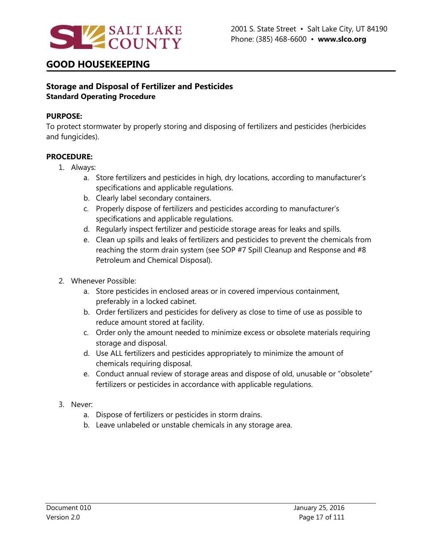

### **Storage and Disposal of Fertilizer and Pesticides Standard Operating Procedure**

#### **PURPOSE:**

To protect stormwater by properly storing and disposing of fertilizers and pesticides (herbicides and fungicides).

- 1. Always:
	- a. Store fertilizers and pesticides in high, dry locations, according to manufacturer's specifications and applicable regulations.
	- b. Clearly label secondary containers.
	- c. Properly dispose of fertilizers and pesticides according to manufacturer's specifications and applicable regulations.
	- d. Regularly inspect fertilizer and pesticide storage areas for leaks and spills.
	- e. Clean up spills and leaks of fertilizers and pesticides to prevent the chemicals from reaching the storm drain system (see SOP #7 Spill Cleanup and Response and #8 Petroleum and Chemical Disposal).
- 2. Whenever Possible:
	- a. Store pesticides in enclosed areas or in covered impervious containment, preferably in a locked cabinet.
	- b. Order fertilizers and pesticides for delivery as close to time of use as possible to reduce amount stored at facility.
	- c. Order only the amount needed to minimize excess or obsolete materials requiring storage and disposal.
	- d. Use ALL fertilizers and pesticides appropriately to minimize the amount of chemicals requiring disposal.
	- e. Conduct annual review of storage areas and dispose of old, unusable or "obsolete" fertilizers or pesticides in accordance with applicable regulations.
- 3. Never:
	- a. Dispose of fertilizers or pesticides in storm drains.
	- b. Leave unlabeled or unstable chemicals in any storage area.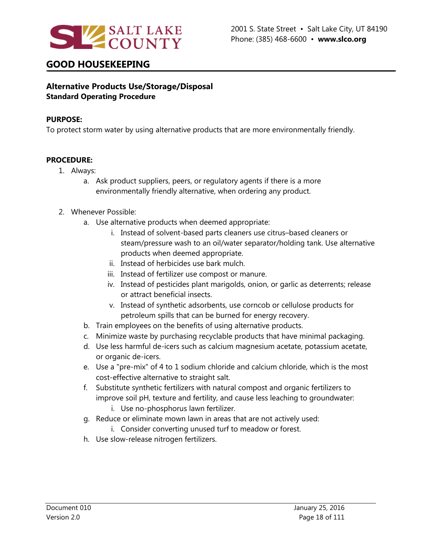

### **Alternative Products Use/Storage/Disposal Standard Operating Procedure**

#### **PURPOSE:**

To protect storm water by using alternative products that are more environmentally friendly.

#### **PROCEDURE:**

- 1. Always:
	- a. Ask product suppliers, peers, or regulatory agents if there is a more environmentally friendly alternative, when ordering any product.

#### 2. Whenever Possible:

- a. Use alternative products when deemed appropriate:
	- i. Instead of solvent-based parts cleaners use citrus–based cleaners or steam/pressure wash to an oil/water separator/holding tank. Use alternative products when deemed appropriate.
	- ii. Instead of herbicides use bark mulch.
	- iii. Instead of fertilizer use compost or manure.
	- iv. Instead of pesticides plant marigolds, onion, or garlic as deterrents; release or attract beneficial insects.
	- v. Instead of synthetic adsorbents, use corncob or cellulose products for petroleum spills that can be burned for energy recovery.
- b. Train employees on the benefits of using alternative products.
- c. Minimize waste by purchasing recyclable products that have minimal packaging.
- d. Use less harmful de-icers such as calcium magnesium acetate, potassium acetate, or organic de-icers.
- e. Use a "pre-mix" of 4 to 1 sodium chloride and calcium chloride, which is the most cost-effective alternative to straight salt.
- f. Substitute synthetic fertilizers with natural compost and organic fertilizers to improve soil pH, texture and fertility, and cause less leaching to groundwater:
	- i. Use no-phosphorus lawn fertilizer.
- g. Reduce or eliminate mown lawn in areas that are not actively used:
	- i. Consider converting unused turf to meadow or forest.
- h. Use slow-release nitrogen fertilizers.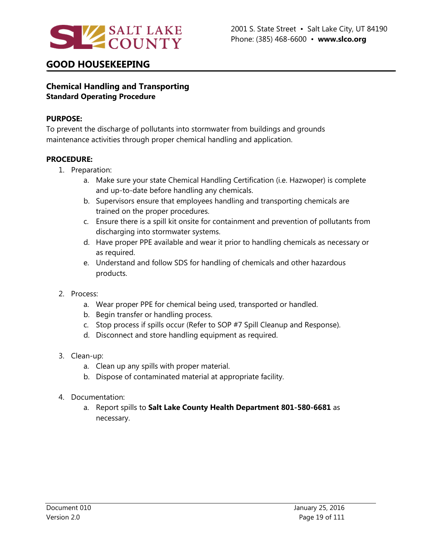

### **Chemical Handling and Transporting Standard Operating Procedure**

#### **PURPOSE:**

To prevent the discharge of pollutants into stormwater from buildings and grounds maintenance activities through proper chemical handling and application.

- 1. Preparation:
	- a. Make sure your state Chemical Handling Certification (i.e. Hazwoper) is complete and up-to-date before handling any chemicals.
	- b. Supervisors ensure that employees handling and transporting chemicals are trained on the proper procedures.
	- c. Ensure there is a spill kit onsite for containment and prevention of pollutants from discharging into stormwater systems.
	- d. Have proper PPE available and wear it prior to handling chemicals as necessary or as required.
	- e. Understand and follow SDS for handling of chemicals and other hazardous products.
- 2. Process:
	- a. Wear proper PPE for chemical being used, transported or handled.
	- b. Begin transfer or handling process.
	- c. Stop process if spills occur (Refer to SOP #7 Spill Cleanup and Response).
	- d. Disconnect and store handling equipment as required.
- 3. Clean-up:
	- a. Clean up any spills with proper material.
	- b. Dispose of contaminated material at appropriate facility.
- 4. Documentation:
	- a. Report spills to **Salt Lake County Health Department 801-580-6681** as necessary.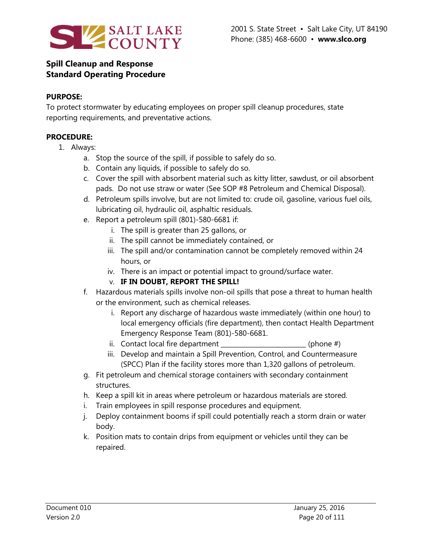

### **Spill Cleanup and Response Standard Operating Procedure**

#### **PURPOSE:**

To protect stormwater by educating employees on proper spill cleanup procedures, state reporting requirements, and preventative actions.

- 1. Always:
	- a. Stop the source of the spill, if possible to safely do so.
	- b. Contain any liquids, if possible to safely do so.
	- c. Cover the spill with absorbent material such as kitty litter, sawdust, or oil absorbent pads. Do not use straw or water (See SOP #8 Petroleum and Chemical Disposal).
	- d. Petroleum spills involve, but are not limited to: crude oil, gasoline, various fuel oils, lubricating oil, hydraulic oil, asphaltic residuals.
	- e. Report a petroleum spill (801)-580-6681 if:
		- i. The spill is greater than 25 gallons, or
		- ii. The spill cannot be immediately contained, or
		- iii. The spill and/or contamination cannot be completely removed within 24 hours, or
		- iv. There is an impact or potential impact to ground/surface water.
		- v. **IF IN DOUBT, REPORT THE SPILL!**
	- f. Hazardous materials spills involve non-oil spills that pose a threat to human health or the environment, such as chemical releases.
		- i. Report any discharge of hazardous waste immediately (within one hour) to local emergency officials (fire department), then contact Health Department Emergency Response Team (801)-580-6681.
		- ii. Contact local fire department  $\qquad \qquad$  (phone  $\#$ )
		- iii. Develop and maintain a Spill Prevention, Control, and Countermeasure (SPCC) Plan if the facility stores more than 1,320 gallons of petroleum.
	- g. Fit petroleum and chemical storage containers with secondary containment structures.
	- h. Keep a spill kit in areas where petroleum or hazardous materials are stored.
	- i. Train employees in spill response procedures and equipment.
	- j. Deploy containment booms if spill could potentially reach a storm drain or water body.
	- k. Position mats to contain drips from equipment or vehicles until they can be repaired.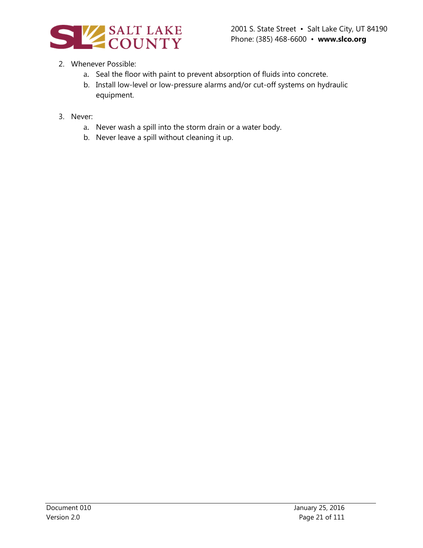

### 2. Whenever Possible:

- a. Seal the floor with paint to prevent absorption of fluids into concrete.
- b. Install low-level or low-pressure alarms and/or cut-off systems on hydraulic equipment.
- 3. Never:
	- a. Never wash a spill into the storm drain or a water body.
	- b. Never leave a spill without cleaning it up.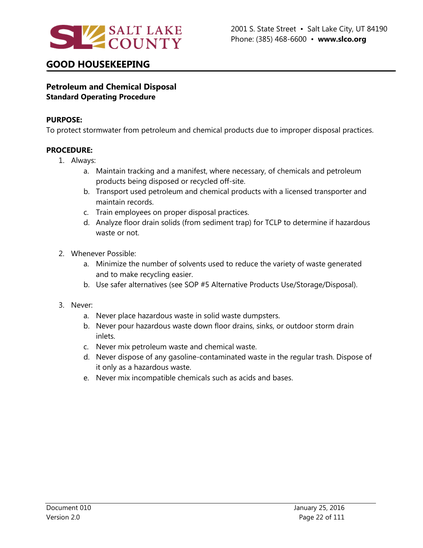

### **Petroleum and Chemical Disposal Standard Operating Procedure**

#### **PURPOSE:**

To protect stormwater from petroleum and chemical products due to improper disposal practices.

- 1. Always:
	- a. Maintain tracking and a manifest, where necessary, of chemicals and petroleum products being disposed or recycled off-site.
	- b. Transport used petroleum and chemical products with a licensed transporter and maintain records.
	- c. Train employees on proper disposal practices.
	- d. Analyze floor drain solids (from sediment trap) for TCLP to determine if hazardous waste or not.
- 2. Whenever Possible:
	- a. Minimize the number of solvents used to reduce the variety of waste generated and to make recycling easier.
	- b. Use safer alternatives (see SOP #5 Alternative Products Use/Storage/Disposal).
- 3. Never:
	- a. Never place hazardous waste in solid waste dumpsters.
	- b. Never pour hazardous waste down floor drains, sinks, or outdoor storm drain inlets.
	- c. Never mix petroleum waste and chemical waste.
	- d. Never dispose of any gasoline-contaminated waste in the regular trash. Dispose of it only as a hazardous waste.
	- e. Never mix incompatible chemicals such as acids and bases.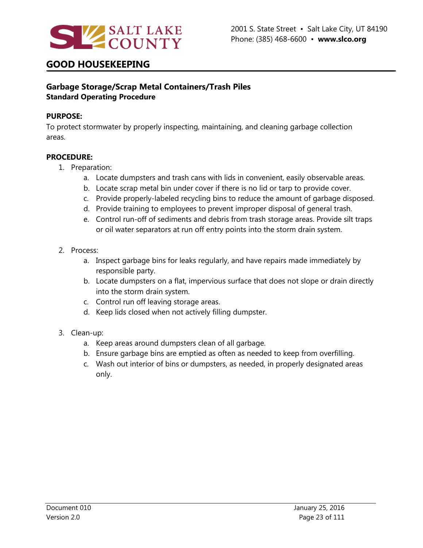

### **Garbage Storage/Scrap Metal Containers/Trash Piles Standard Operating Procedure**

#### **PURPOSE:**

To protect stormwater by properly inspecting, maintaining, and cleaning garbage collection areas.

- 1. Preparation:
	- a. Locate dumpsters and trash cans with lids in convenient, easily observable areas.
	- b. Locate scrap metal bin under cover if there is no lid or tarp to provide cover.
	- c. Provide properly-labeled recycling bins to reduce the amount of garbage disposed.
	- d. Provide training to employees to prevent improper disposal of general trash.
	- e. Control run-off of sediments and debris from trash storage areas. Provide silt traps or oil water separators at run off entry points into the storm drain system.
- 2. Process:
	- a. Inspect garbage bins for leaks regularly, and have repairs made immediately by responsible party.
	- b. Locate dumpsters on a flat, impervious surface that does not slope or drain directly into the storm drain system.
	- c. Control run off leaving storage areas.
	- d. Keep lids closed when not actively filling dumpster.
- 3. Clean-up:
	- a. Keep areas around dumpsters clean of all garbage.
	- b. Ensure garbage bins are emptied as often as needed to keep from overfilling.
	- c. Wash out interior of bins or dumpsters, as needed, in properly designated areas only.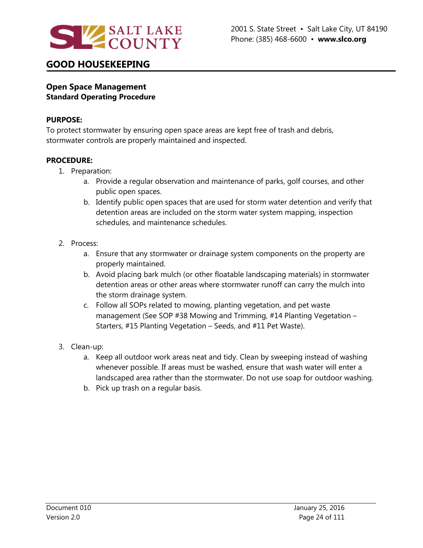

### **Open Space Management Standard Operating Procedure**

#### **PURPOSE:**

To protect stormwater by ensuring open space areas are kept free of trash and debris, stormwater controls are properly maintained and inspected.

- 1. Preparation:
	- a. Provide a regular observation and maintenance of parks, golf courses, and other public open spaces.
	- b. Identify public open spaces that are used for storm water detention and verify that detention areas are included on the storm water system mapping, inspection schedules, and maintenance schedules.
- 2. Process:
	- a. Ensure that any stormwater or drainage system components on the property are properly maintained.
	- b. Avoid placing bark mulch (or other floatable landscaping materials) in stormwater detention areas or other areas where stormwater runoff can carry the mulch into the storm drainage system.
	- c. Follow all SOPs related to mowing, planting vegetation, and pet waste management (See SOP #38 Mowing and Trimming, #14 Planting Vegetation – Starters, #15 Planting Vegetation – Seeds, and #11 Pet Waste).
- 3. Clean-up:
	- a. Keep all outdoor work areas neat and tidy. Clean by sweeping instead of washing whenever possible. If areas must be washed, ensure that wash water will enter a landscaped area rather than the stormwater. Do not use soap for outdoor washing.
	- b. Pick up trash on a regular basis.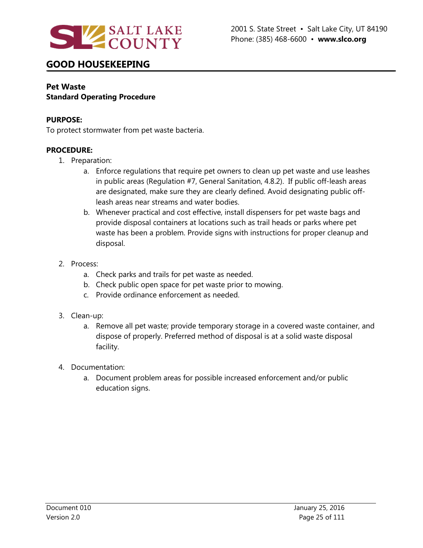

### **Pet Waste Standard Operating Procedure**

#### **PURPOSE:**

To protect stormwater from pet waste bacteria.

- 1. Preparation:
	- a. Enforce regulations that require pet owners to clean up pet waste and use leashes in public areas (Regulation #7, General Sanitation, 4.8.2). If public off-leash areas are designated, make sure they are clearly defined. Avoid designating public offleash areas near streams and water bodies.
	- b. Whenever practical and cost effective, install dispensers for pet waste bags and provide disposal containers at locations such as trail heads or parks where pet waste has been a problem. Provide signs with instructions for proper cleanup and disposal.
- 2. Process:
	- a. Check parks and trails for pet waste as needed.
	- b. Check public open space for pet waste prior to mowing.
	- c. Provide ordinance enforcement as needed.
- 3. Clean-up:
	- a. Remove all pet waste; provide temporary storage in a covered waste container, and dispose of properly. Preferred method of disposal is at a solid waste disposal facility.
- 4. Documentation:
	- a. Document problem areas for possible increased enforcement and/or public education signs.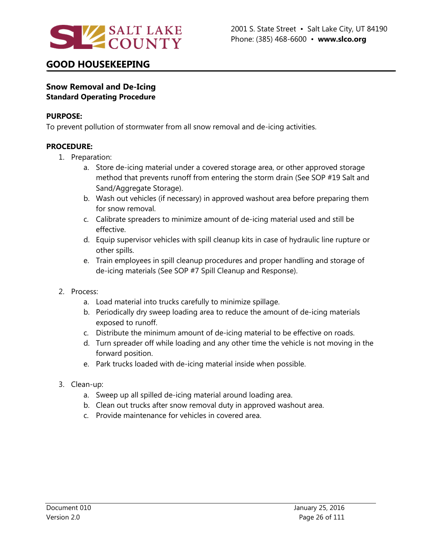

### **Snow Removal and De-Icing Standard Operating Procedure**

#### **PURPOSE:**

To prevent pollution of stormwater from all snow removal and de-icing activities.

- 1. Preparation:
	- a. Store de-icing material under a covered storage area, or other approved storage method that prevents runoff from entering the storm drain (See SOP #19 Salt and Sand/Aggregate Storage).
	- b. Wash out vehicles (if necessary) in approved washout area before preparing them for snow removal.
	- c. Calibrate spreaders to minimize amount of de-icing material used and still be effective.
	- d. Equip supervisor vehicles with spill cleanup kits in case of hydraulic line rupture or other spills.
	- e. Train employees in spill cleanup procedures and proper handling and storage of de-icing materials (See SOP #7 Spill Cleanup and Response).
- 2. Process:
	- a. Load material into trucks carefully to minimize spillage.
	- b. Periodically dry sweep loading area to reduce the amount of de-icing materials exposed to runoff.
	- c. Distribute the minimum amount of de-icing material to be effective on roads.
	- d. Turn spreader off while loading and any other time the vehicle is not moving in the forward position.
	- e. Park trucks loaded with de-icing material inside when possible.
- 3. Clean-up:
	- a. Sweep up all spilled de-icing material around loading area.
	- b. Clean out trucks after snow removal duty in approved washout area.
	- c. Provide maintenance for vehicles in covered area.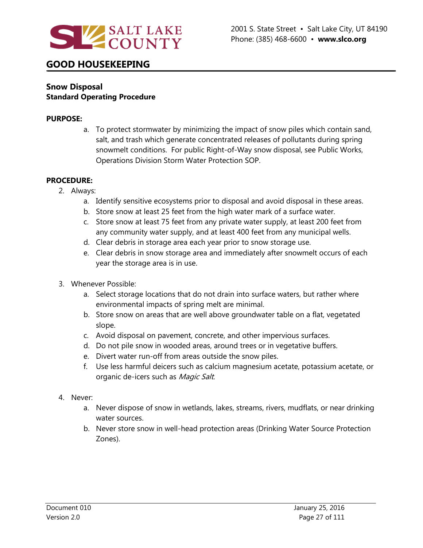

### **Snow Disposal Standard Operating Procedure**

#### **PURPOSE:**

a. To protect stormwater by minimizing the impact of snow piles which contain sand, salt, and trash which generate concentrated releases of pollutants during spring snowmelt conditions. For public Right-of-Way snow disposal, see Public Works, Operations Division Storm Water Protection SOP.

- 2. Always:
	- a. Identify sensitive ecosystems prior to disposal and avoid disposal in these areas.
	- b. Store snow at least 25 feet from the high water mark of a surface water.
	- c. Store snow at least 75 feet from any private water supply, at least 200 feet from any community water supply, and at least 400 feet from any municipal wells.
	- d. Clear debris in storage area each year prior to snow storage use.
	- e. Clear debris in snow storage area and immediately after snowmelt occurs of each year the storage area is in use.
- 3. Whenever Possible:
	- a. Select storage locations that do not drain into surface waters, but rather where environmental impacts of spring melt are minimal.
	- b. Store snow on areas that are well above groundwater table on a flat, vegetated slope.
	- c. Avoid disposal on pavement, concrete, and other impervious surfaces.
	- d. Do not pile snow in wooded areas, around trees or in vegetative buffers.
	- e. Divert water run-off from areas outside the snow piles.
	- f. Use less harmful deicers such as calcium magnesium acetate, potassium acetate, or organic de-icers such as Magic Salt.
- 4. Never:
	- a. Never dispose of snow in wetlands, lakes, streams, rivers, mudflats, or near drinking water sources.
	- b. Never store snow in well-head protection areas (Drinking Water Source Protection Zones).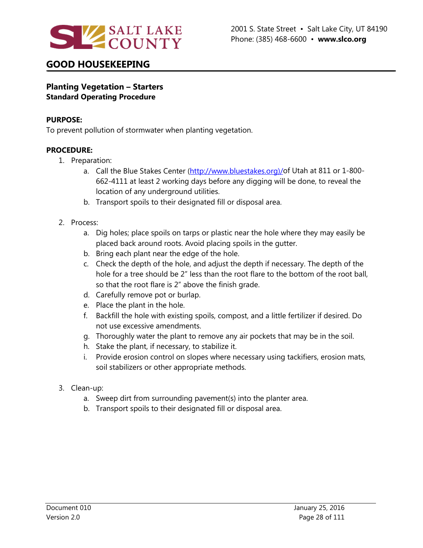

### **Planting Vegetation – Starters Standard Operating Procedure**

#### **PURPOSE:**

To prevent pollution of stormwater when planting vegetation.

- 1. Preparation:
	- a. Call the Blue Stakes Center [\(http://www.bluestakes.org\)/o](http://www.bluestakes.org)/)f Utah at 811 or 1-800-662-4111 at least 2 working days before any digging will be done, to reveal the location of any underground utilities.
	- b. Transport spoils to their designated fill or disposal area.
- 2. Process:
	- a. Dig holes; place spoils on tarps or plastic near the hole where they may easily be placed back around roots. Avoid placing spoils in the gutter.
	- b. Bring each plant near the edge of the hole.
	- c. Check the depth of the hole, and adjust the depth if necessary. The depth of the hole for a tree should be 2" less than the root flare to the bottom of the root ball, so that the root flare is 2" above the finish grade.
	- d. Carefully remove pot or burlap.
	- e. Place the plant in the hole.
	- f. Backfill the hole with existing spoils, compost, and a little fertilizer if desired. Do not use excessive amendments.
	- g. Thoroughly water the plant to remove any air pockets that may be in the soil.
	- h. Stake the plant, if necessary, to stabilize it.
	- i. Provide erosion control on slopes where necessary using tackifiers, erosion mats, soil stabilizers or other appropriate methods.
- 3. Clean-up:
	- a. Sweep dirt from surrounding pavement(s) into the planter area.
	- b. Transport spoils to their designated fill or disposal area.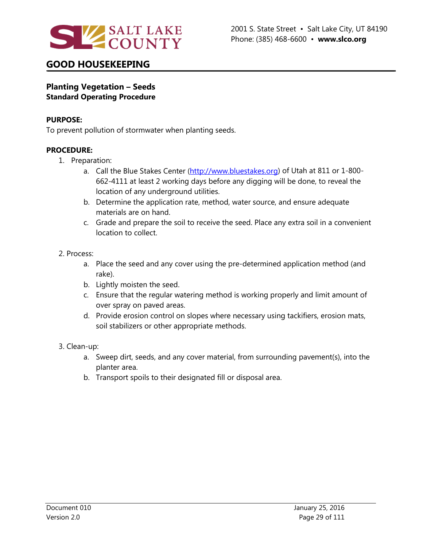

### **Planting Vegetation – Seeds Standard Operating Procedure**

#### **PURPOSE:**

To prevent pollution of stormwater when planting seeds.

- 1. Preparation:
	- a. Call the Blue Stakes Center [\(http://www.bluestakes.org\)](http://www.bluestakes.org/) of Utah at 811 or 1-800-662-4111 at least 2 working days before any digging will be done, to reveal the location of any underground utilities.
	- b. Determine the application rate, method, water source, and ensure adequate materials are on hand.
	- c. Grade and prepare the soil to receive the seed. Place any extra soil in a convenient location to collect.
- 2. Process:
	- a. Place the seed and any cover using the pre-determined application method (and rake).
	- b. Lightly moisten the seed.
	- c. Ensure that the regular watering method is working properly and limit amount of over spray on paved areas.
	- d. Provide erosion control on slopes where necessary using tackifiers, erosion mats, soil stabilizers or other appropriate methods.
- 3. Clean-up:
	- a. Sweep dirt, seeds, and any cover material, from surrounding pavement(s), into the planter area.
	- b. Transport spoils to their designated fill or disposal area.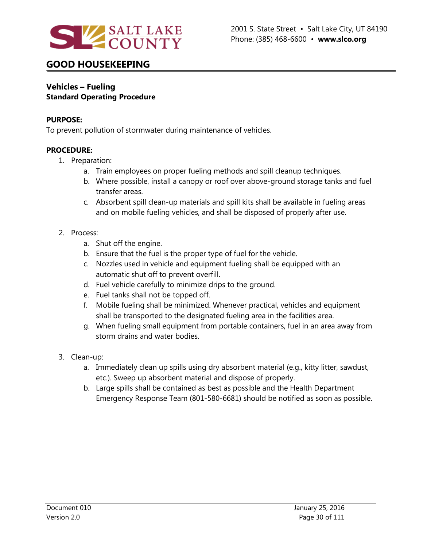

#### **Vehicles – Fueling Standard Operating Procedure**

#### **PURPOSE:**

To prevent pollution of stormwater during maintenance of vehicles.

- 1. Preparation:
	- a. Train employees on proper fueling methods and spill cleanup techniques.
	- b. Where possible, install a canopy or roof over above-ground storage tanks and fuel transfer areas.
	- c. Absorbent spill clean-up materials and spill kits shall be available in fueling areas and on mobile fueling vehicles, and shall be disposed of properly after use.
- 2. Process:
	- a. Shut off the engine.
	- b. Ensure that the fuel is the proper type of fuel for the vehicle.
	- c. Nozzles used in vehicle and equipment fueling shall be equipped with an automatic shut off to prevent overfill.
	- d. Fuel vehicle carefully to minimize drips to the ground.
	- e. Fuel tanks shall not be topped off.
	- f. Mobile fueling shall be minimized. Whenever practical, vehicles and equipment shall be transported to the designated fueling area in the facilities area.
	- g. When fueling small equipment from portable containers, fuel in an area away from storm drains and water bodies.
- 3. Clean-up:
	- a. Immediately clean up spills using dry absorbent material (e.g., kitty litter, sawdust, etc.). Sweep up absorbent material and dispose of properly.
	- b. Large spills shall be contained as best as possible and the Health Department Emergency Response Team (801-580-6681) should be notified as soon as possible.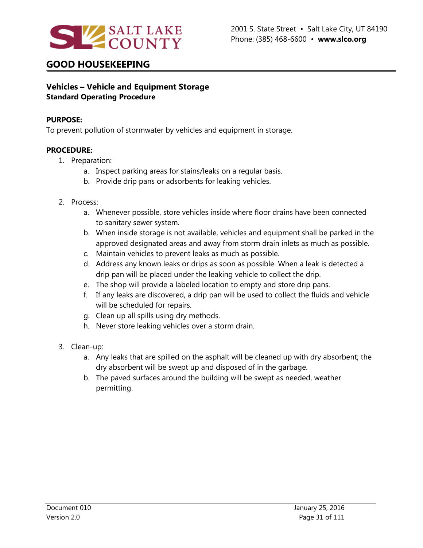

### **Vehicles – Vehicle and Equipment Storage Standard Operating Procedure**

#### **PURPOSE:**

To prevent pollution of stormwater by vehicles and equipment in storage.

- 1. Preparation:
	- a. Inspect parking areas for stains/leaks on a regular basis.
	- b. Provide drip pans or adsorbents for leaking vehicles.
- 2. Process:
	- a. Whenever possible, store vehicles inside where floor drains have been connected to sanitary sewer system.
	- b. When inside storage is not available, vehicles and equipment shall be parked in the approved designated areas and away from storm drain inlets as much as possible.
	- c. Maintain vehicles to prevent leaks as much as possible.
	- d. Address any known leaks or drips as soon as possible. When a leak is detected a drip pan will be placed under the leaking vehicle to collect the drip.
	- e. The shop will provide a labeled location to empty and store drip pans.
	- f. If any leaks are discovered, a drip pan will be used to collect the fluids and vehicle will be scheduled for repairs.
	- g. Clean up all spills using dry methods.
	- h. Never store leaking vehicles over a storm drain.
- 3. Clean-up:
	- a. Any leaks that are spilled on the asphalt will be cleaned up with dry absorbent; the dry absorbent will be swept up and disposed of in the garbage.
	- b. The paved surfaces around the building will be swept as needed, weather permitting.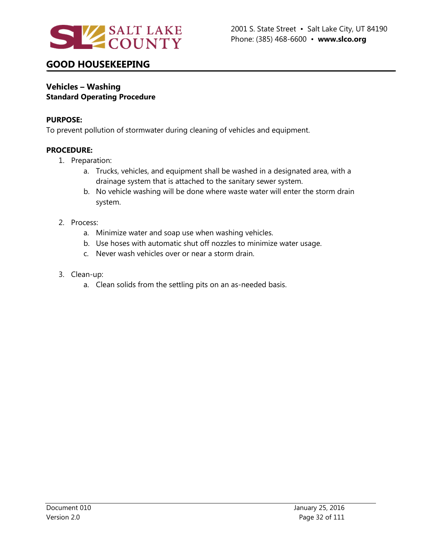

#### **Vehicles – Washing Standard Operating Procedure**

#### **PURPOSE:**

To prevent pollution of stormwater during cleaning of vehicles and equipment.

- 1. Preparation:
	- a. Trucks, vehicles, and equipment shall be washed in a designated area, with a drainage system that is attached to the sanitary sewer system.
	- b. No vehicle washing will be done where waste water will enter the storm drain system.
- 2. Process:
	- a. Minimize water and soap use when washing vehicles.
	- b. Use hoses with automatic shut off nozzles to minimize water usage.
	- c. Never wash vehicles over or near a storm drain.
- 3. Clean-up:
	- a. Clean solids from the settling pits on an as-needed basis.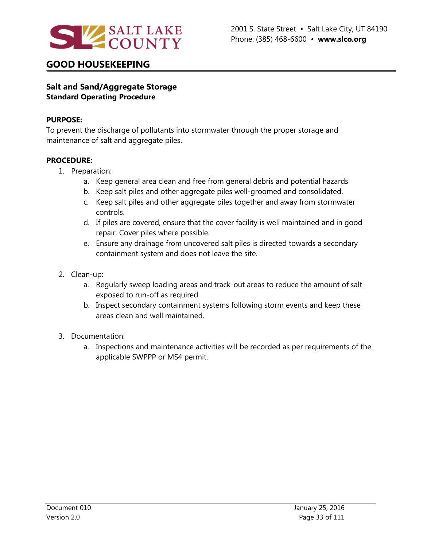

### **Salt and Sand/Aggregate Storage Standard Operating Procedure**

#### **PURPOSE:**

To prevent the discharge of pollutants into stormwater through the proper storage and maintenance of salt and aggregate piles.

- 1. Preparation:
	- a. Keep general area clean and free from general debris and potential hazards
	- b. Keep salt piles and other aggregate piles well-groomed and consolidated.
	- c. Keep salt piles and other aggregate piles together and away from stormwater controls.
	- d. If piles are covered, ensure that the cover facility is well maintained and in good repair. Cover piles where possible.
	- e. Ensure any drainage from uncovered salt piles is directed towards a secondary containment system and does not leave the site.
- 2. Clean-up:
	- a. Regularly sweep loading areas and track-out areas to reduce the amount of salt exposed to run-off as required.
	- b. Inspect secondary containment systems following storm events and keep these areas clean and well maintained.
- 3. Documentation:
	- a. Inspections and maintenance activities will be recorded as per requirements of the applicable SWPPP or MS4 permit.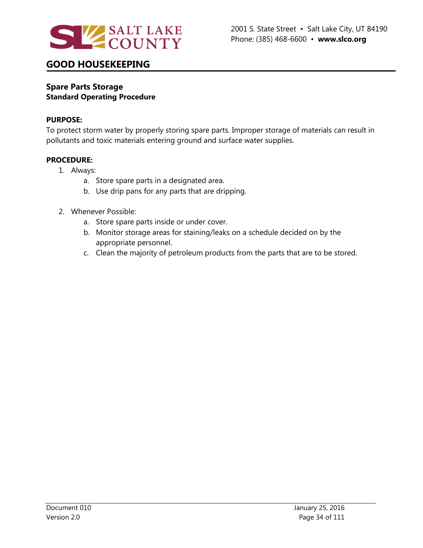

#### **Spare Parts Storage Standard Operating Procedure**

#### **PURPOSE:**

To protect storm water by properly storing spare parts. Improper storage of materials can result in pollutants and toxic materials entering ground and surface water supplies.

- 1. Always:
	- a. Store spare parts in a designated area.
	- b. Use drip pans for any parts that are dripping.
- 2. Whenever Possible:
	- a. Store spare parts inside or under cover.
	- b. Monitor storage areas for staining/leaks on a schedule decided on by the appropriate personnel.
	- c. Clean the majority of petroleum products from the parts that are to be stored.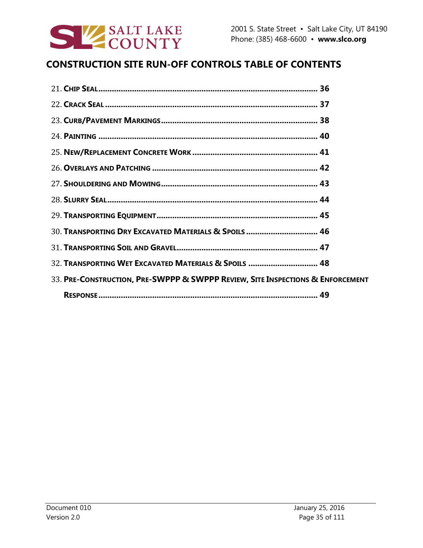

# **CONSTRUCTION SITE RUN-OFF CONTROLS TABLE OF CONTENTS**

| 30. TRANSPORTING DRY EXCAVATED MATERIALS & SPOILS  46                          |  |
|--------------------------------------------------------------------------------|--|
|                                                                                |  |
| 32. TRANSPORTING WET EXCAVATED MATERIALS & SPOILS  48                          |  |
| 33. PRE-CONSTRUCTION, PRE-SWPPP & SWPPP REVIEW, SITE INSPECTIONS & ENFORCEMENT |  |
|                                                                                |  |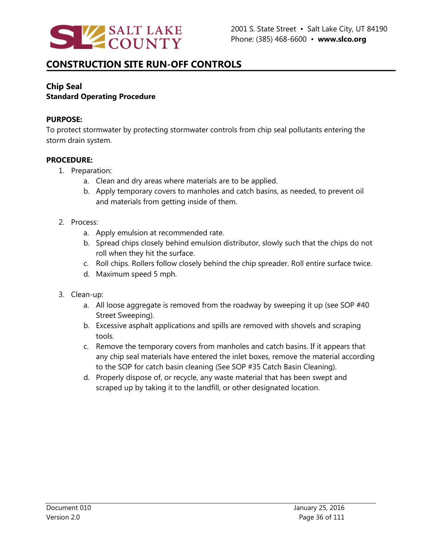

# **CONSTRUCTION SITE RUN-OFF CONTROLS**

# **Chip Seal**

### **Standard Operating Procedure**

### **PURPOSE:**

To protect stormwater by protecting stormwater controls from chip seal pollutants entering the storm drain system.

- 1. Preparation:
	- a. Clean and dry areas where materials are to be applied.
	- b. Apply temporary covers to manholes and catch basins, as needed, to prevent oil and materials from getting inside of them.
- 2. Process:
	- a. Apply emulsion at recommended rate.
	- b. Spread chips closely behind emulsion distributor, slowly such that the chips do not roll when they hit the surface.
	- c. Roll chips. Rollers follow closely behind the chip spreader. Roll entire surface twice.
	- d. Maximum speed 5 mph.
- 3. Clean-up:
	- a. All loose aggregate is removed from the roadway by sweeping it up (see SOP #40 Street Sweeping).
	- b. Excessive asphalt applications and spills are removed with shovels and scraping tools.
	- c. Remove the temporary covers from manholes and catch basins. If it appears that any chip seal materials have entered the inlet boxes, remove the material according to the SOP for catch basin cleaning (See SOP #35 Catch Basin Cleaning).
	- d. Properly dispose of, or recycle, any waste material that has been swept and scraped up by taking it to the landfill, or other designated location.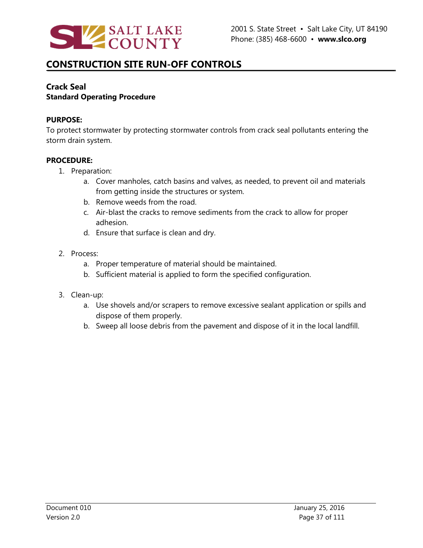

### **Crack Seal Standard Operating Procedure**

### **PURPOSE:**

To protect stormwater by protecting stormwater controls from crack seal pollutants entering the storm drain system.

- 1. Preparation:
	- a. Cover manholes, catch basins and valves, as needed, to prevent oil and materials from getting inside the structures or system.
	- b. Remove weeds from the road.
	- c. Air-blast the cracks to remove sediments from the crack to allow for proper adhesion.
	- d. Ensure that surface is clean and dry.
- 2. Process:
	- a. Proper temperature of material should be maintained.
	- b. Sufficient material is applied to form the specified configuration.
- 3. Clean-up:
	- a. Use shovels and/or scrapers to remove excessive sealant application or spills and dispose of them properly.
	- b. Sweep all loose debris from the pavement and dispose of it in the local landfill.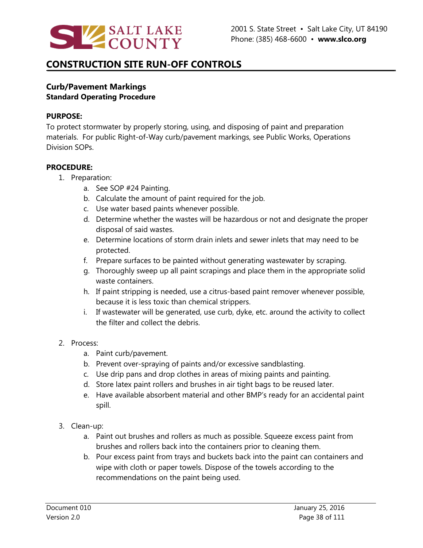

### **Curb/Pavement Markings Standard Operating Procedure**

#### **PURPOSE:**

To protect stormwater by properly storing, using, and disposing of paint and preparation materials. For public Right-of-Way curb/pavement markings, see Public Works, Operations Division SOPs.

#### **PROCEDURE:**

- 1. Preparation:
	- a. See SOP #24 Painting.
	- b. Calculate the amount of paint required for the job.
	- c. Use water based paints whenever possible.
	- d. Determine whether the wastes will be hazardous or not and designate the proper disposal of said wastes.
	- e. Determine locations of storm drain inlets and sewer inlets that may need to be protected.
	- f. Prepare surfaces to be painted without generating wastewater by scraping.
	- g. Thoroughly sweep up all paint scrapings and place them in the appropriate solid waste containers.
	- h. If paint stripping is needed, use a citrus-based paint remover whenever possible, because it is less toxic than chemical strippers.
	- i. If wastewater will be generated, use curb, dyke, etc. around the activity to collect the filter and collect the debris.

#### 2. Process:

- a. Paint curb/pavement.
- b. Prevent over-spraying of paints and/or excessive sandblasting.
- c. Use drip pans and drop clothes in areas of mixing paints and painting.
- d. Store latex paint rollers and brushes in air tight bags to be reused later.
- e. Have available absorbent material and other BMP's ready for an accidental paint spill.
- 3. Clean-up:
	- a. Paint out brushes and rollers as much as possible. Squeeze excess paint from brushes and rollers back into the containers prior to cleaning them.
	- b. Pour excess paint from trays and buckets back into the paint can containers and wipe with cloth or paper towels. Dispose of the towels according to the recommendations on the paint being used.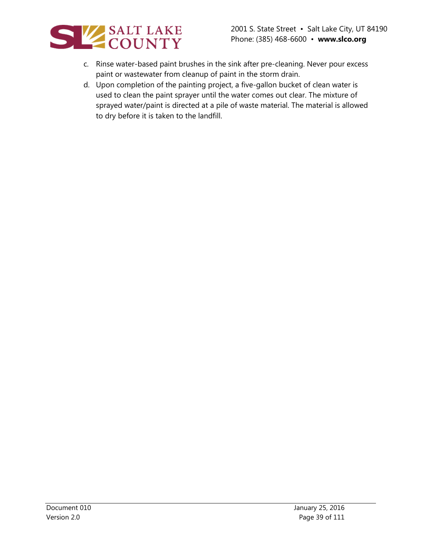

- c. Rinse water-based paint brushes in the sink after pre-cleaning. Never pour excess paint or wastewater from cleanup of paint in the storm drain.
- d. Upon completion of the painting project, a five-gallon bucket of clean water is used to clean the paint sprayer until the water comes out clear. The mixture of sprayed water/paint is directed at a pile of waste material. The material is allowed to dry before it is taken to the landfill.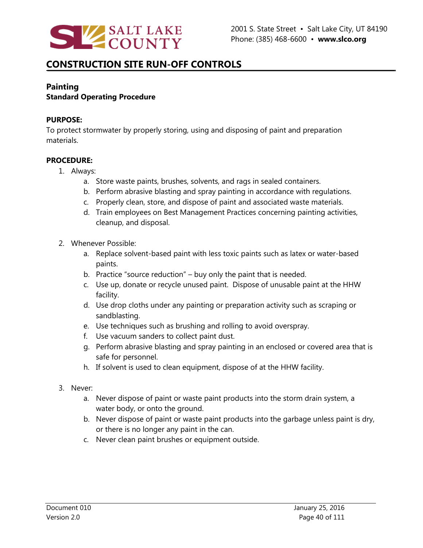

## **Painting**

## **Standard Operating Procedure**

### **PURPOSE:**

To protect stormwater by properly storing, using and disposing of paint and preparation materials.

- 1. Always:
	- a. Store waste paints, brushes, solvents, and rags in sealed containers.
	- b. Perform abrasive blasting and spray painting in accordance with regulations.
	- c. Properly clean, store, and dispose of paint and associated waste materials.
	- d. Train employees on Best Management Practices concerning painting activities, cleanup, and disposal.
- 2. Whenever Possible:
	- a. Replace solvent-based paint with less toxic paints such as latex or water-based paints.
	- b. Practice "source reduction" buy only the paint that is needed.
	- c. Use up, donate or recycle unused paint. Dispose of unusable paint at the HHW facility.
	- d. Use drop cloths under any painting or preparation activity such as scraping or sandblasting.
	- e. Use techniques such as brushing and rolling to avoid overspray.
	- f. Use vacuum sanders to collect paint dust.
	- g. Perform abrasive blasting and spray painting in an enclosed or covered area that is safe for personnel.
	- h. If solvent is used to clean equipment, dispose of at the HHW facility.
- 3. Never:
	- a. Never dispose of paint or waste paint products into the storm drain system, a water body, or onto the ground.
	- b. Never dispose of paint or waste paint products into the garbage unless paint is dry, or there is no longer any paint in the can.
	- c. Never clean paint brushes or equipment outside.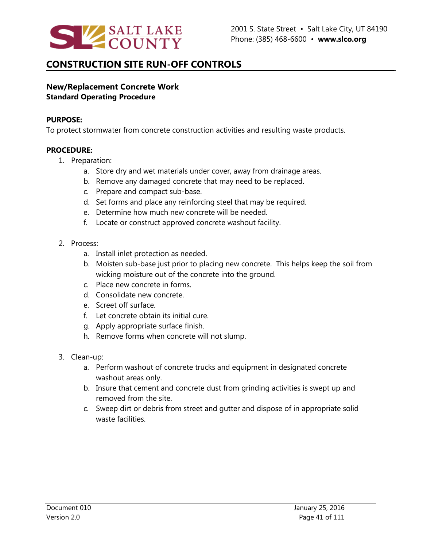

## **New/Replacement Concrete Work Standard Operating Procedure**

#### **PURPOSE:**

To protect stormwater from concrete construction activities and resulting waste products.

- 1. Preparation:
	- a. Store dry and wet materials under cover, away from drainage areas.
	- b. Remove any damaged concrete that may need to be replaced.
	- c. Prepare and compact sub-base.
	- d. Set forms and place any reinforcing steel that may be required.
	- e. Determine how much new concrete will be needed.
	- f. Locate or construct approved concrete washout facility.
- 2. Process:
	- a. Install inlet protection as needed.
	- b. Moisten sub-base just prior to placing new concrete. This helps keep the soil from wicking moisture out of the concrete into the ground.
	- c. Place new concrete in forms.
	- d. Consolidate new concrete.
	- e. Screet off surface.
	- f. Let concrete obtain its initial cure.
	- g. Apply appropriate surface finish.
	- h. Remove forms when concrete will not slump.
- 3. Clean-up:
	- a. Perform washout of concrete trucks and equipment in designated concrete washout areas only.
	- b. Insure that cement and concrete dust from grinding activities is swept up and removed from the site.
	- c. Sweep dirt or debris from street and gutter and dispose of in appropriate solid waste facilities.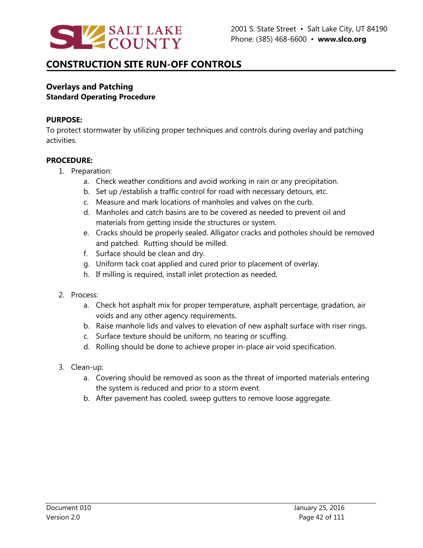

### **Overlays and Patching Standard Operating Procedure**

#### **PURPOSE:**

To protect stormwater by utilizing proper techniques and controls during overlay and patching activities.

- 1. Preparation:
	- a. Check weather conditions and avoid working in rain or any precipitation.
	- b. Set up /establish a traffic control for road with necessary detours, etc.
	- c. Measure and mark locations of manholes and valves on the curb.
	- d. Manholes and catch basins are to be covered as needed to prevent oil and materials from getting inside the structures or system.
	- e. Cracks should be properly sealed. Alligator cracks and potholes should be removed and patched. Rutting should be milled.
	- f. Surface should be clean and dry.
	- g. Uniform tack coat applied and cured prior to placement of overlay.
	- h. If milling is required, install inlet protection as needed.
- 2. Process:
	- a. Check hot asphalt mix for proper temperature, asphalt percentage, gradation, air voids and any other agency requirements.
	- b. Raise manhole lids and valves to elevation of new asphalt surface with riser rings.
	- c. Surface texture should be uniform, no tearing or scuffing.
	- d. Rolling should be done to achieve proper in-place air void specification.
- 3. Clean-up:
	- a. Covering should be removed as soon as the threat of imported materials entering the system is reduced and prior to a storm event.
	- b. After pavement has cooled, sweep gutters to remove loose aggregate.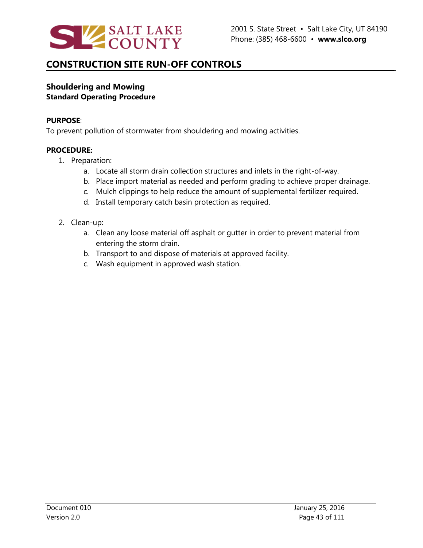

### **Shouldering and Mowing Standard Operating Procedure**

#### **PURPOSE**:

To prevent pollution of stormwater from shouldering and mowing activities.

- 1. Preparation:
	- a. Locate all storm drain collection structures and inlets in the right-of-way.
	- b. Place import material as needed and perform grading to achieve proper drainage.
	- c. Mulch clippings to help reduce the amount of supplemental fertilizer required.
	- d. Install temporary catch basin protection as required.
- 2. Clean-up:
	- a. Clean any loose material off asphalt or gutter in order to prevent material from entering the storm drain.
	- b. Transport to and dispose of materials at approved facility.
	- c. Wash equipment in approved wash station.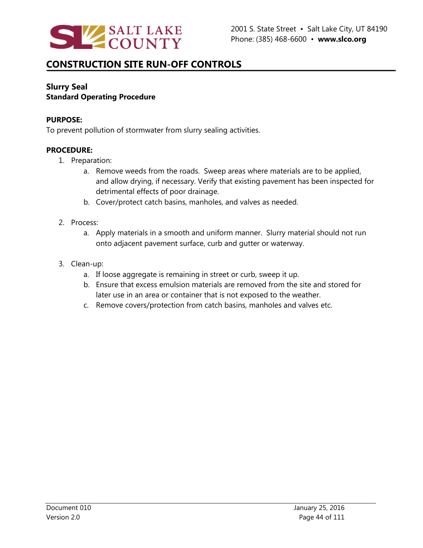

## **Slurry Seal Standard Operating Procedure**

#### **PURPOSE:**

To prevent pollution of stormwater from slurry sealing activities.

- 1. Preparation:
	- a. Remove weeds from the roads. Sweep areas where materials are to be applied, and allow drying, if necessary. Verify that existing pavement has been inspected for detrimental effects of poor drainage.
	- b. Cover/protect catch basins, manholes, and valves as needed.
- 2. Process:
	- a. Apply materials in a smooth and uniform manner. Slurry material should not run onto adjacent pavement surface, curb and gutter or waterway.
- 3. Clean-up:
	- a. If loose aggregate is remaining in street or curb, sweep it up.
	- b. Ensure that excess emulsion materials are removed from the site and stored for later use in an area or container that is not exposed to the weather.
	- c. Remove covers/protection from catch basins, manholes and valves etc.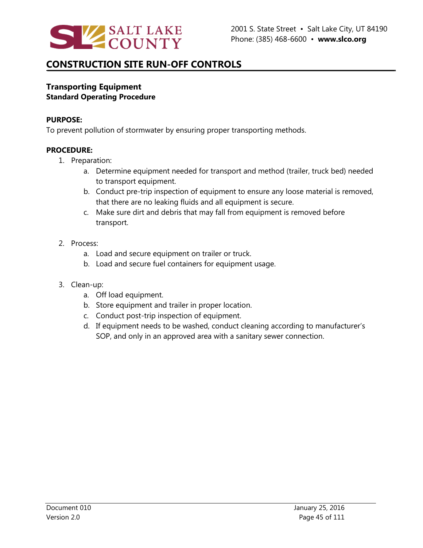

### **Transporting Equipment Standard Operating Procedure**

#### **PURPOSE:**

To prevent pollution of stormwater by ensuring proper transporting methods.

- 1. Preparation:
	- a. Determine equipment needed for transport and method (trailer, truck bed) needed to transport equipment.
	- b. Conduct pre-trip inspection of equipment to ensure any loose material is removed, that there are no leaking fluids and all equipment is secure.
	- c. Make sure dirt and debris that may fall from equipment is removed before transport.
- 2. Process:
	- a. Load and secure equipment on trailer or truck.
	- b. Load and secure fuel containers for equipment usage.
- 3. Clean-up:
	- a. Off load equipment.
	- b. Store equipment and trailer in proper location.
	- c. Conduct post-trip inspection of equipment.
	- d. If equipment needs to be washed, conduct cleaning according to manufacturer's SOP, and only in an approved area with a sanitary sewer connection.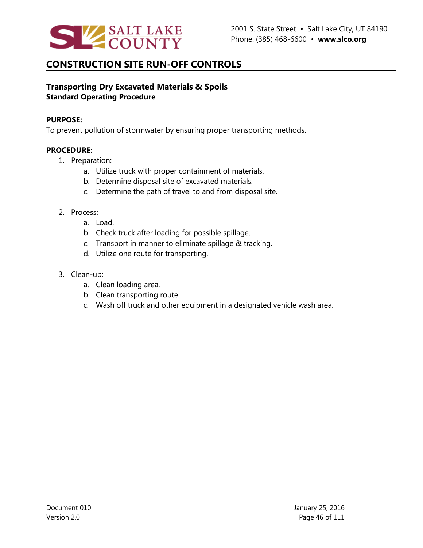

## **Transporting Dry Excavated Materials & Spoils Standard Operating Procedure**

#### **PURPOSE:**

To prevent pollution of stormwater by ensuring proper transporting methods.

- 1. Preparation:
	- a. Utilize truck with proper containment of materials.
	- b. Determine disposal site of excavated materials.
	- c. Determine the path of travel to and from disposal site.
- 2. Process:
	- a. Load.
	- b. Check truck after loading for possible spillage.
	- c. Transport in manner to eliminate spillage & tracking.
	- d. Utilize one route for transporting.
- 3. Clean-up:
	- a. Clean loading area.
	- b. Clean transporting route.
	- c. Wash off truck and other equipment in a designated vehicle wash area.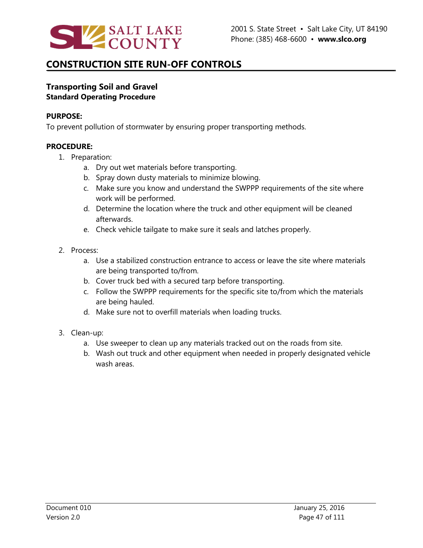

## **Transporting Soil and Gravel Standard Operating Procedure**

#### **PURPOSE:**

To prevent pollution of stormwater by ensuring proper transporting methods.

- 1. Preparation:
	- a. Dry out wet materials before transporting.
	- b. Spray down dusty materials to minimize blowing.
	- c. Make sure you know and understand the SWPPP requirements of the site where work will be performed.
	- d. Determine the location where the truck and other equipment will be cleaned afterwards.
	- e. Check vehicle tailgate to make sure it seals and latches properly.
- 2. Process:
	- a. Use a stabilized construction entrance to access or leave the site where materials are being transported to/from.
	- b. Cover truck bed with a secured tarp before transporting.
	- c. Follow the SWPPP requirements for the specific site to/from which the materials are being hauled.
	- d. Make sure not to overfill materials when loading trucks.
- 3. Clean-up:
	- a. Use sweeper to clean up any materials tracked out on the roads from site.
	- b. Wash out truck and other equipment when needed in properly designated vehicle wash areas.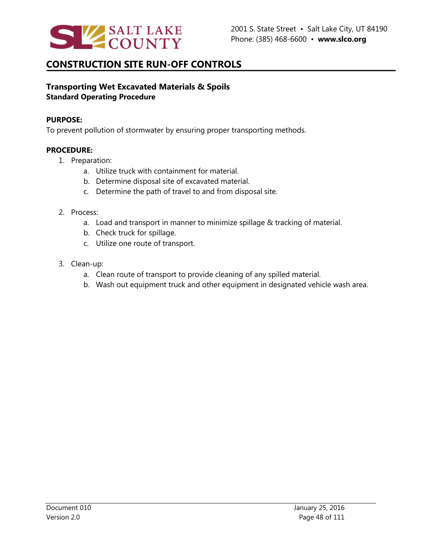

## **Transporting Wet Excavated Materials & Spoils Standard Operating Procedure**

#### **PURPOSE:**

To prevent pollution of stormwater by ensuring proper transporting methods.

- 1. Preparation:
	- a. Utilize truck with containment for material.
	- b. Determine disposal site of excavated material.
	- c. Determine the path of travel to and from disposal site.
- 2. Process:
	- a. Load and transport in manner to minimize spillage & tracking of material.
	- b. Check truck for spillage.
	- c. Utilize one route of transport.
- 3. Clean-up:
	- a. Clean route of transport to provide cleaning of any spilled material.
	- b. Wash out equipment truck and other equipment in designated vehicle wash area.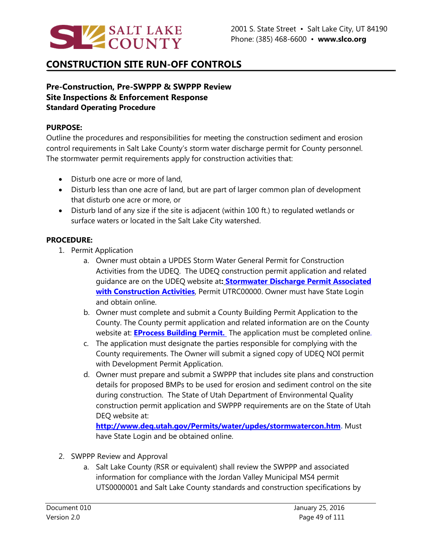

### **Pre-Construction, Pre-SWPPP & SWPPP Review Site Inspections & Enforcement Response Standard Operating Procedure**

#### **PURPOSE:**

Outline the procedures and responsibilities for meeting the construction sediment and erosion control requirements in Salt Lake County's storm water discharge permit for County personnel. The stormwater permit requirements apply for construction activities that:

- Disturb one acre or more of land,
- Disturb less than one acre of land, but are part of larger common plan of development that disturb one acre or more, or
- Disturb land of any size if the site is adjacent (within 100 ft.) to regulated wetlands or surface waters or located in the Salt Lake City watershed.

#### **PROCEDURE:**

- 1. Permit Application
	- a. Owner must obtain a UPDES Storm Water General Permit for Construction Activities from the UDEQ. The UDEQ construction permit application and related guidance are on the UDEQ website at**: [Stormwater Discharge Permit Associated](http://www.deq.utah.gov/Permits/water/updes/docs/2014/07Jul/FinalSWConstructionGenPermit.pdf)  [with Construction Activities](http://www.deq.utah.gov/Permits/water/updes/docs/2014/07Jul/FinalSWConstructionGenPermit.pdf)**, Permit UTRC00000. Owner must have State Login and obtain online.
	- b. Owner must complete and submit a County Building Permit Application to the County. The County permit application and related information are on the County website at: **[EProcess Building Permit.](http://slco.eprocess360.com/login)** The application must be completed online.
	- c. The application must designate the parties responsible for complying with the County requirements. The Owner will submit a signed copy of UDEQ NOI permit with Development Permit Application.
	- d. Owner must prepare and submit a SWPPP that includes site plans and construction details for proposed BMPs to be used for erosion and sediment control on the site during construction. The State of Utah Department of Environmental Quality construction permit application and SWPPP requirements are on the State of Utah DEQ website at:

**[http://www.deq.utah.gov/Permits/water/updes/stormwatercon.htm.](http://www.deq.utah.gov/Permits/water/updes/stormwatercon.htm)** Must have State Login and be obtained online.

- 2. SWPPP Review and Approval
	- a. Salt Lake County (RSR or equivalent) shall review the SWPPP and associated information for compliance with the Jordan Valley Municipal MS4 permit UTS0000001 and Salt Lake County standards and construction specifications by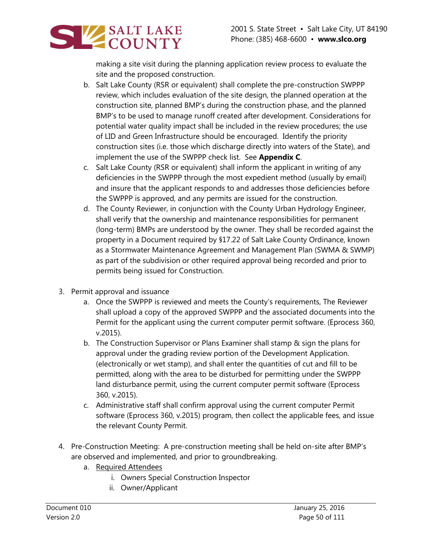

making a site visit during the planning application review process to evaluate the site and the proposed construction.

- b. Salt Lake County (RSR or equivalent) shall complete the pre-construction SWPPP review, which includes evaluation of the site design, the planned operation at the construction site, planned BMP's during the construction phase, and the planned BMP's to be used to manage runoff created after development. Considerations for potential water quality impact shall be included in the review procedures; the use of LID and Green Infrastructure should be encouraged. Identify the priority construction sites (i.e. those which discharge directly into waters of the State), and implement the use of the SWPPP check list. See **Appendix C**.
- c. Salt Lake County (RSR or equivalent) shall inform the applicant in writing of any deficiencies in the SWPPP through the most expedient method (usually by email) and insure that the applicant responds to and addresses those deficiencies before the SWPPP is approved, and any permits are issued for the construction.
- d. The County Reviewer, in conjunction with the County Urban Hydrology Engineer, shall verify that the ownership and maintenance responsibilities for permanent (long-term) BMPs are understood by the owner. They shall be recorded against the property in a Document required by §17.22 of Salt Lake County Ordinance, known as a Stormwater Maintenance Agreement and Management Plan (SWMA & SWMP) as part of the subdivision or other required approval being recorded and prior to permits being issued for Construction.
- 3. Permit approval and issuance
	- a. Once the SWPPP is reviewed and meets the County's requirements, The Reviewer shall upload a copy of the approved SWPPP and the associated documents into the Permit for the applicant using the current computer permit software. (Eprocess 360, v.2015).
	- b. The Construction Supervisor or Plans Examiner shall stamp & sign the plans for approval under the grading review portion of the Development Application. (electronically or wet stamp), and shall enter the quantities of cut and fill to be permitted, along with the area to be disturbed for permitting under the SWPPP land disturbance permit, using the current computer permit software (Eprocess 360, v.2015).
	- c. Administrative staff shall confirm approval using the current computer Permit software (Eprocess 360, v.2015) program, then collect the applicable fees, and issue the relevant County Permit.
- 4. Pre-Construction Meeting: A pre-construction meeting shall be held on-site after BMP's are observed and implemented, and prior to groundbreaking.
	- a. Required Attendees
		- i. Owners Special Construction Inspector
		- ii. Owner/Applicant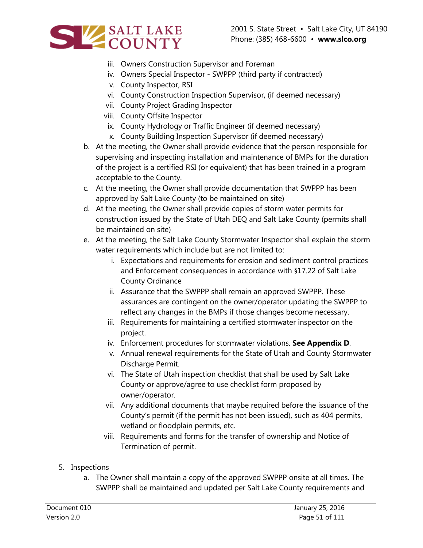



- iii. Owners Construction Supervisor and Foreman
- iv. Owners Special Inspector SWPPP (third party if contracted)
- v. County Inspector, RSI
- vi. County Construction Inspection Supervisor, (if deemed necessary)
- vii. County Project Grading Inspector
- viii. County Offsite Inspector
- ix. County Hydrology or Traffic Engineer (if deemed necessary)
- x. County Building Inspection Supervisor (if deemed necessary)
- b. At the meeting, the Owner shall provide evidence that the person responsible for supervising and inspecting installation and maintenance of BMPs for the duration of the project is a certified RSI (or equivalent) that has been trained in a program acceptable to the County.
- c. At the meeting, the Owner shall provide documentation that SWPPP has been approved by Salt Lake County (to be maintained on site)
- d. At the meeting, the Owner shall provide copies of storm water permits for construction issued by the State of Utah DEQ and Salt Lake County (permits shall be maintained on site)
- e. At the meeting, the Salt Lake County Stormwater Inspector shall explain the storm water requirements which include but are not limited to:
	- i. Expectations and requirements for erosion and sediment control practices and Enforcement consequences in accordance with §17.22 of Salt Lake County Ordinance
	- ii. Assurance that the SWPPP shall remain an approved SWPPP. These assurances are contingent on the owner/operator updating the SWPPP to reflect any changes in the BMPs if those changes become necessary.
	- iii. Requirements for maintaining a certified stormwater inspector on the project.
	- iv. Enforcement procedures for stormwater violations. **See Appendix D**.
	- v. Annual renewal requirements for the State of Utah and County Stormwater Discharge Permit.
	- vi. The State of Utah inspection checklist that shall be used by Salt Lake County or approve/agree to use checklist form proposed by owner/operator.
	- vii. Any additional documents that maybe required before the issuance of the County's permit (if the permit has not been issued), such as 404 permits, wetland or floodplain permits, etc.
	- viii. Requirements and forms for the transfer of ownership and Notice of Termination of permit.
- 5. Inspections
	- a. The Owner shall maintain a copy of the approved SWPPP onsite at all times. The SWPPP shall be maintained and updated per Salt Lake County requirements and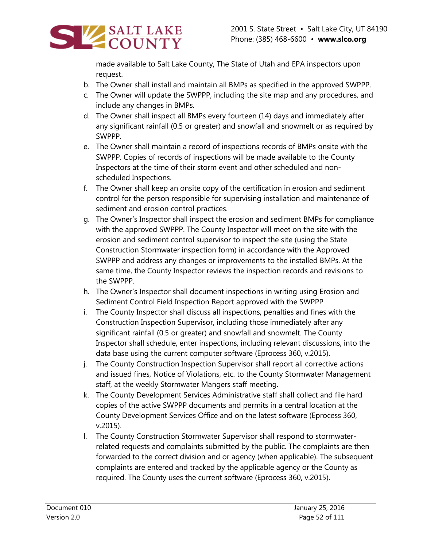

made available to Salt Lake County, The State of Utah and EPA inspectors upon request.

- b. The Owner shall install and maintain all BMPs as specified in the approved SWPPP.
- c. The Owner will update the SWPPP, including the site map and any procedures, and include any changes in BMPs.
- d. The Owner shall inspect all BMPs every fourteen (14) days and immediately after any significant rainfall (0.5 or greater) and snowfall and snowmelt or as required by SWPPP.
- e. The Owner shall maintain a record of inspections records of BMPs onsite with the SWPPP. Copies of records of inspections will be made available to the County Inspectors at the time of their storm event and other scheduled and nonscheduled Inspections.
- f. The Owner shall keep an onsite copy of the certification in erosion and sediment control for the person responsible for supervising installation and maintenance of sediment and erosion control practices.
- g. The Owner's Inspector shall inspect the erosion and sediment BMPs for compliance with the approved SWPPP. The County Inspector will meet on the site with the erosion and sediment control supervisor to inspect the site (using the State Construction Stormwater inspection form) in accordance with the Approved SWPPP and address any changes or improvements to the installed BMPs. At the same time, the County Inspector reviews the inspection records and revisions to the SWPPP.
- h. The Owner's Inspector shall document inspections in writing using Erosion and Sediment Control Field Inspection Report approved with the SWPPP
- i. The County Inspector shall discuss all inspections, penalties and fines with the Construction Inspection Supervisor, including those immediately after any significant rainfall (0.5 or greater) and snowfall and snowmelt. The County Inspector shall schedule, enter inspections, including relevant discussions, into the data base using the current computer software (Eprocess 360, v.2015).
- j. The County Construction Inspection Supervisor shall report all corrective actions and issued fines, Notice of Violations, etc. to the County Stormwater Management staff, at the weekly Stormwater Mangers staff meeting.
- k. The County Development Services Administrative staff shall collect and file hard copies of the active SWPPP documents and permits in a central location at the County Development Services Office and on the latest software (Eprocess 360, v.2015).
- l. The County Construction Stormwater Supervisor shall respond to stormwaterrelated requests and complaints submitted by the public. The complaints are then forwarded to the correct division and or agency (when applicable). The subsequent complaints are entered and tracked by the applicable agency or the County as required. The County uses the current software (Eprocess 360, v.2015).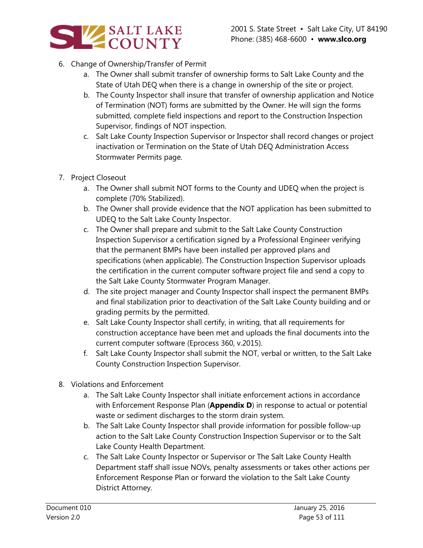

- 6. Change of Ownership/Transfer of Permit
	- a. The Owner shall submit transfer of ownership forms to Salt Lake County and the State of Utah DEQ when there is a change in ownership of the site or project.
	- b. The County Inspector shall insure that transfer of ownership application and Notice of Termination (NOT) forms are submitted by the Owner. He will sign the forms submitted, complete field inspections and report to the Construction Inspection Supervisor, findings of NOT inspection.
	- c. Salt Lake County Inspection Supervisor or Inspector shall record changes or project inactivation or Termination on the State of Utah DEQ Administration Access Stormwater Permits page.
- 7. Project Closeout
	- a. The Owner shall submit NOT forms to the County and UDEQ when the project is complete (70% Stabilized).
	- b. The Owner shall provide evidence that the NOT application has been submitted to UDEQ to the Salt Lake County Inspector.
	- c. The Owner shall prepare and submit to the Salt Lake County Construction Inspection Supervisor a certification signed by a Professional Engineer verifying that the permanent BMPs have been installed per approved plans and specifications (when applicable). The Construction Inspection Supervisor uploads the certification in the current computer software project file and send a copy to the Salt Lake County Stormwater Program Manager.
	- d. The site project manager and County Inspector shall inspect the permanent BMPs and final stabilization prior to deactivation of the Salt Lake County building and or grading permits by the permitted.
	- e. Salt Lake County Inspector shall certify, in writing, that all requirements for construction acceptance have been met and uploads the final documents into the current computer software (Eprocess 360, v.2015).
	- f. Salt Lake County Inspector shall submit the NOT, verbal or written, to the Salt Lake County Construction Inspection Supervisor.
- 8. Violations and Enforcement
	- a. The Salt Lake County Inspector shall initiate enforcement actions in accordance with Enforcement Response Plan (**Appendix D**) in response to actual or potential waste or sediment discharges to the storm drain system.
	- b. The Salt Lake County Inspector shall provide information for possible follow-up action to the Salt Lake County Construction Inspection Supervisor or to the Salt Lake County Health Department.
	- c. The Salt Lake County Inspector or Supervisor or The Salt Lake County Health Department staff shall issue NOVs, penalty assessments or takes other actions per Enforcement Response Plan or forward the violation to the Salt Lake County District Attorney.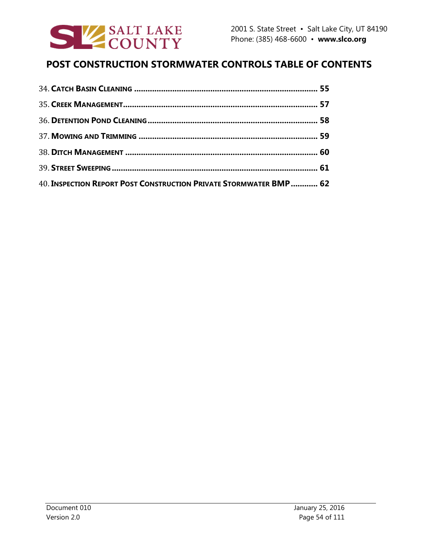

# **POST CONSTRUCTION STORMWATER CONTROLS TABLE OF CONTENTS**

| 40. INSPECTION REPORT POST CONSTRUCTION PRIVATE STORMWATER BMP 62 |  |
|-------------------------------------------------------------------|--|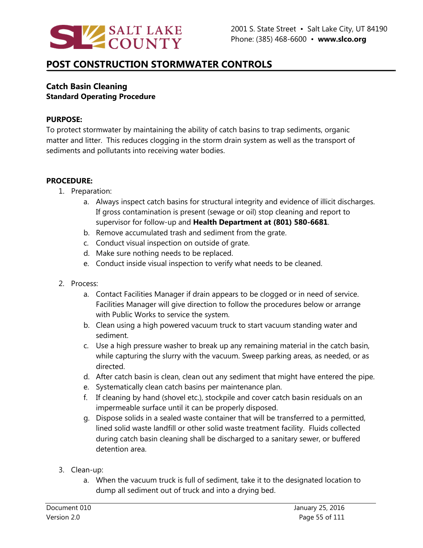

### **Catch Basin Cleaning Standard Operating Procedure**

#### **PURPOSE:**

To protect stormwater by maintaining the ability of catch basins to trap sediments, organic matter and litter. This reduces clogging in the storm drain system as well as the transport of sediments and pollutants into receiving water bodies.

- 1. Preparation:
	- a. Always inspect catch basins for structural integrity and evidence of illicit discharges. If gross contamination is present (sewage or oil) stop cleaning and report to supervisor for follow-up and **Health Department at (801) 580-6681**.
	- b. Remove accumulated trash and sediment from the grate.
	- c. Conduct visual inspection on outside of grate.
	- d. Make sure nothing needs to be replaced.
	- e. Conduct inside visual inspection to verify what needs to be cleaned.
- 2. Process:
	- a. Contact Facilities Manager if drain appears to be clogged or in need of service. Facilities Manager will give direction to follow the procedures below or arrange with Public Works to service the system.
	- b. Clean using a high powered vacuum truck to start vacuum standing water and sediment.
	- c. Use a high pressure washer to break up any remaining material in the catch basin, while capturing the slurry with the vacuum. Sweep parking areas, as needed, or as directed.
	- d. After catch basin is clean, clean out any sediment that might have entered the pipe.
	- e. Systematically clean catch basins per maintenance plan.
	- f. If cleaning by hand (shovel etc.), stockpile and cover catch basin residuals on an impermeable surface until it can be properly disposed.
	- g. Dispose solids in a sealed waste container that will be transferred to a permitted, lined solid waste landfill or other solid waste treatment facility. Fluids collected during catch basin cleaning shall be discharged to a sanitary sewer, or buffered detention area.
- 3. Clean-up:
	- a. When the vacuum truck is full of sediment, take it to the designated location to dump all sediment out of truck and into a drying bed.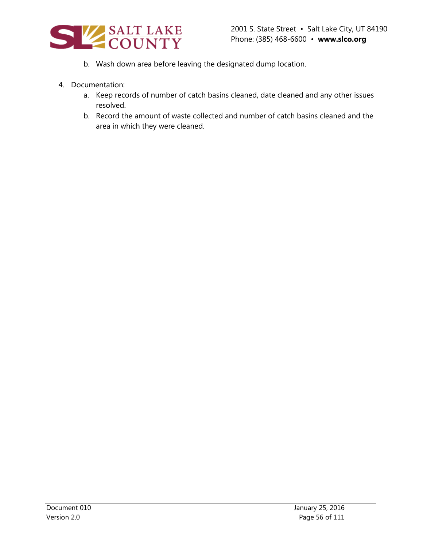

- b. Wash down area before leaving the designated dump location.
- 4. Documentation:
	- a. Keep records of number of catch basins cleaned, date cleaned and any other issues resolved.
	- b. Record the amount of waste collected and number of catch basins cleaned and the area in which they were cleaned.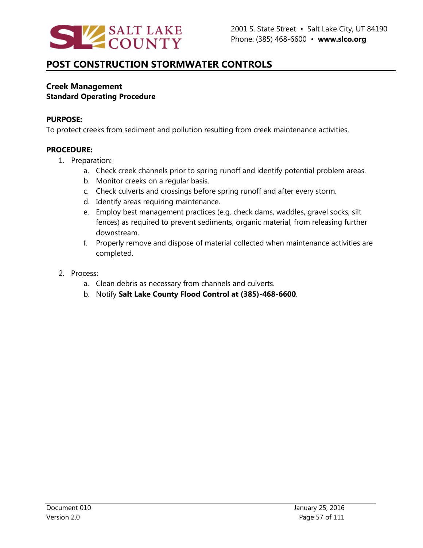

### **Creek Management Standard Operating Procedure**

#### **PURPOSE:**

To protect creeks from sediment and pollution resulting from creek maintenance activities.

- 1. Preparation:
	- a. Check creek channels prior to spring runoff and identify potential problem areas.
	- b. Monitor creeks on a regular basis.
	- c. Check culverts and crossings before spring runoff and after every storm.
	- d. Identify areas requiring maintenance.
	- e. Employ best management practices (e.g. check dams, waddles, gravel socks, silt fences) as required to prevent sediments, organic material, from releasing further downstream.
	- f. Properly remove and dispose of material collected when maintenance activities are completed.
- 2. Process:
	- a. Clean debris as necessary from channels and culverts.
	- b. Notify **Salt Lake County Flood Control at (385)-468-6600**.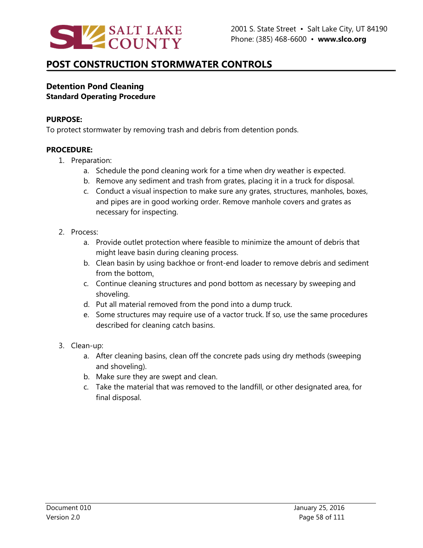

### **Detention Pond Cleaning Standard Operating Procedure**

#### **PURPOSE:**

To protect stormwater by removing trash and debris from detention ponds.

- 1. Preparation:
	- a. Schedule the pond cleaning work for a time when dry weather is expected.
	- b. Remove any sediment and trash from grates, placing it in a truck for disposal.
	- c. Conduct a visual inspection to make sure any grates, structures, manholes, boxes, and pipes are in good working order. Remove manhole covers and grates as necessary for inspecting.
- 2. Process:
	- a. Provide outlet protection where feasible to minimize the amount of debris that might leave basin during cleaning process.
	- b. Clean basin by using backhoe or front-end loader to remove debris and sediment from the bottom.
	- c. Continue cleaning structures and pond bottom as necessary by sweeping and shoveling.
	- d. Put all material removed from the pond into a dump truck.
	- e. Some structures may require use of a vactor truck. If so, use the same procedures described for cleaning catch basins.
- 3. Clean-up:
	- a. After cleaning basins, clean off the concrete pads using dry methods (sweeping and shoveling).
	- b. Make sure they are swept and clean.
	- c. Take the material that was removed to the landfill, or other designated area, for final disposal.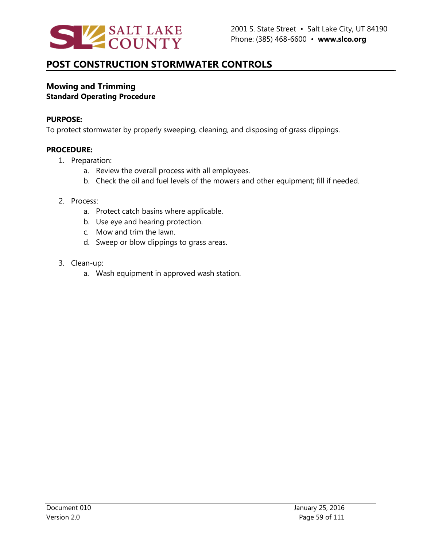

### **Mowing and Trimming Standard Operating Procedure**

#### **PURPOSE:**

To protect stormwater by properly sweeping, cleaning, and disposing of grass clippings.

### **PROCEDURE:**

- 1. Preparation:
	- a. Review the overall process with all employees.
	- b. Check the oil and fuel levels of the mowers and other equipment; fill if needed.

#### 2. Process:

- a. Protect catch basins where applicable.
- b. Use eye and hearing protection.
- c. Mow and trim the lawn.
- d. Sweep or blow clippings to grass areas.
- 3. Clean-up:
	- a. Wash equipment in approved wash station.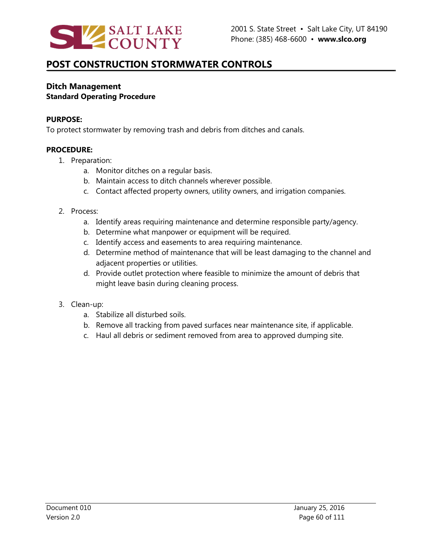

### **Ditch Management Standard Operating Procedure**

#### **PURPOSE:**

To protect stormwater by removing trash and debris from ditches and canals.

- 1. Preparation:
	- a. Monitor ditches on a regular basis.
	- b. Maintain access to ditch channels wherever possible.
	- c. Contact affected property owners, utility owners, and irrigation companies.
- 2. Process:
	- a. Identify areas requiring maintenance and determine responsible party/agency.
	- b. Determine what manpower or equipment will be required.
	- c. Identify access and easements to area requiring maintenance.
	- d. Determine method of maintenance that will be least damaging to the channel and adjacent properties or utilities.
	- d. Provide outlet protection where feasible to minimize the amount of debris that might leave basin during cleaning process.
- 3. Clean-up:
	- a. Stabilize all disturbed soils.
	- b. Remove all tracking from paved surfaces near maintenance site, if applicable.
	- c. Haul all debris or sediment removed from area to approved dumping site.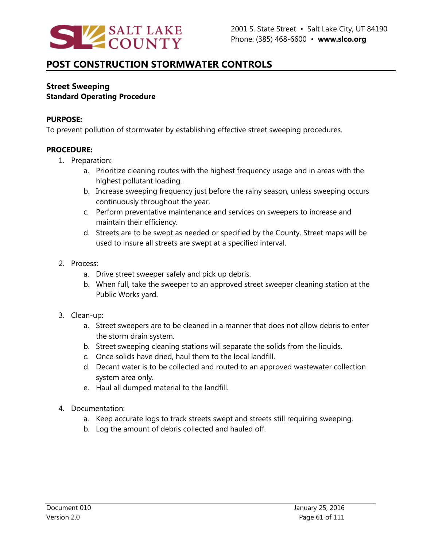

### **Street Sweeping Standard Operating Procedure**

#### **PURPOSE:**

To prevent pollution of stormwater by establishing effective street sweeping procedures.

- 1. Preparation:
	- a. Prioritize cleaning routes with the highest frequency usage and in areas with the highest pollutant loading.
	- b. Increase sweeping frequency just before the rainy season, unless sweeping occurs continuously throughout the year.
	- c. Perform preventative maintenance and services on sweepers to increase and maintain their efficiency.
	- d. Streets are to be swept as needed or specified by the County. Street maps will be used to insure all streets are swept at a specified interval.
- 2. Process:
	- a. Drive street sweeper safely and pick up debris.
	- b. When full, take the sweeper to an approved street sweeper cleaning station at the Public Works yard.
- 3. Clean-up:
	- a. Street sweepers are to be cleaned in a manner that does not allow debris to enter the storm drain system.
	- b. Street sweeping cleaning stations will separate the solids from the liquids.
	- c. Once solids have dried, haul them to the local landfill.
	- d. Decant water is to be collected and routed to an approved wastewater collection system area only.
	- e. Haul all dumped material to the landfill.
- 4. Documentation:
	- a. Keep accurate logs to track streets swept and streets still requiring sweeping.
	- b. Log the amount of debris collected and hauled off.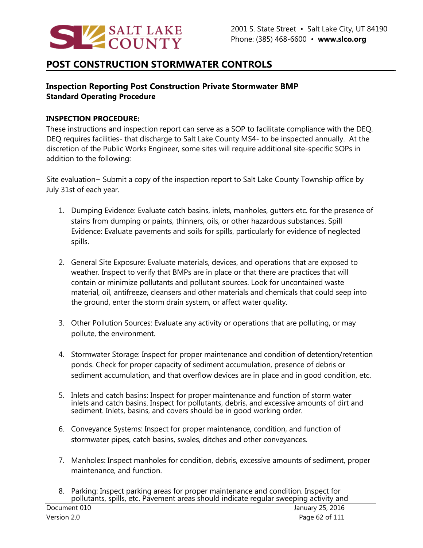

## **Inspection Reporting Post Construction Private Stormwater BMP Standard Operating Procedure**

#### **INSPECTION PROCEDURE:**

These instructions and inspection report can serve as a SOP to facilitate compliance with the DEQ. DEQ requires facilities- that discharge to Salt Lake County MS4- to be inspected annually. At the discretion of the Public Works Engineer, some sites will require additional site-specific SOPs in addition to the following:

Site evaluation− Submit a copy of the inspection report to Salt Lake County Township office by July 31st of each year.

- 1. Dumping Evidence: Evaluate catch basins, inlets, manholes, gutters etc. for the presence of stains from dumping or paints, thinners, oils, or other hazardous substances. Spill Evidence: Evaluate pavements and soils for spills, particularly for evidence of neglected spills.
- 2. General Site Exposure: Evaluate materials, devices, and operations that are exposed to weather. Inspect to verify that BMPs are in place or that there are practices that will contain or minimize pollutants and pollutant sources. Look for uncontained waste material, oil, antifreeze, cleansers and other materials and chemicals that could seep into the ground, enter the storm drain system, or affect water quality.
- 3. Other Pollution Sources: Evaluate any activity or operations that are polluting, or may pollute, the environment.
- 4. Stormwater Storage: Inspect for proper maintenance and condition of detention/retention ponds. Check for proper capacity of sediment accumulation, presence of debris or sediment accumulation, and that overflow devices are in place and in good condition, etc.
- 5. Inlets and catch basins: Inspect for proper maintenance and function of storm water inlets and catch basins. Inspect for pollutants, debris, and excessive amounts of dirt and sediment. Inlets, basins, and covers should be in good working order.
- 6. Conveyance Systems: Inspect for proper maintenance, condition, and function of stormwater pipes, catch basins, swales, ditches and other conveyances.
- 7. Manholes: Inspect manholes for condition, debris, excessive amounts of sediment, proper maintenance, and function.
- 8. Parking: Inspect parking areas for proper maintenance and condition. Inspect for pollutants, spills, etc. Pavement areas should indicate regular sweeping activity and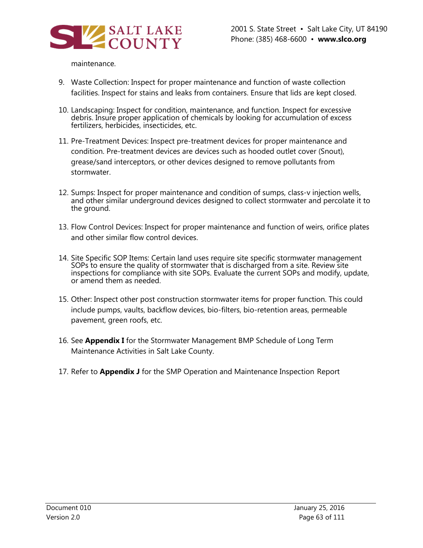

#### maintenance.

- 9. Waste Collection: Inspect for proper maintenance and function of waste collection facilities. Inspect for stains and leaks from containers. Ensure that lids are kept closed.
- 10. Landscaping: Inspect for condition, maintenance, and function. Inspect for excessive debris. Insure proper application of chemicals by looking for accumulation of excess fertilizers, herbicides, insecticides, etc.
- 11. Pre-Treatment Devices: Inspect pre-treatment devices for proper maintenance and condition. Pre-treatment devices are devices such as hooded outlet cover (Snout), grease/sand interceptors, or other devices designed to remove pollutants from stormwater.
- 12. Sumps: Inspect for proper maintenance and condition of sumps, class-v injection wells, and other similar underground devices designed to collect stormwater and percolate it to the ground.
- 13. Flow Control Devices: Inspect for proper maintenance and function of weirs, orifice plates and other similar flow control devices.
- 14. Site Specific SOP Items: Certain land uses require site specific stormwater management SOPs to ensure the quality of stormwater that is discharged from a site. Review site inspections for compliance with site SOPs. Evaluate the current SOPs and modify, update, or amend them as needed.
- 15. Other: Inspect other post construction stormwater items for proper function. This could include pumps, vaults, backflow devices, bio-filters, bio-retention areas, permeable pavement, green roofs, etc.
- 16. See **Appendix I** for the Stormwater Management BMP Schedule of Long Term Maintenance Activities in Salt Lake County.
- 17. Refer to **Appendix J** for the SMP Operation and Maintenance Inspection Report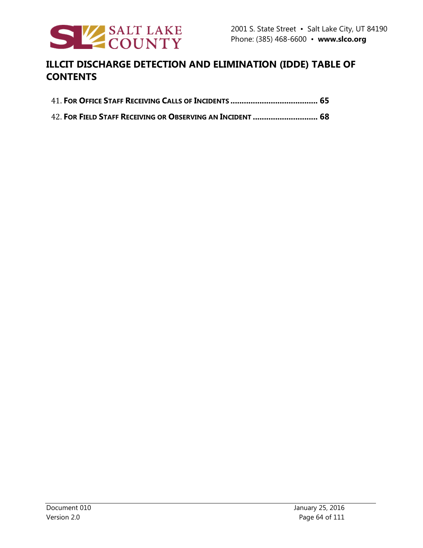

# **ILLCIT DISCHARGE DETECTION AND ELIMINATION (IDDE) TABLE OF CONTENTS**

42. **FOR FIELD STAFF RECEIVING OR OBSERVING AN INCIDENT ............................. 68**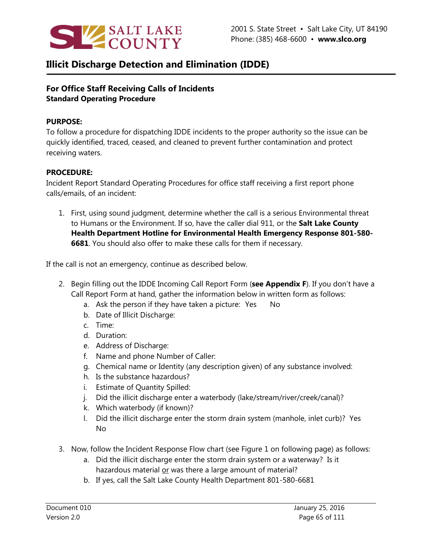

## **Illicit Discharge Detection and Elimination (IDDE)**

## **For Office Staff Receiving Calls of Incidents Standard Operating Procedure**

#### **PURPOSE:**

To follow a procedure for dispatching IDDE incidents to the proper authority so the issue can be quickly identified, traced, ceased, and cleaned to prevent further contamination and protect receiving waters.

### **PROCEDURE:**

Incident Report Standard Operating Procedures for office staff receiving a first report phone calls/emails, of an incident:

1. First, using sound judgment, determine whether the call is a serious Environmental threat to Humans or the Environment. If so, have the caller dial 911, or the **Salt Lake County Health Department Hotline for Environmental Health Emergency Response 801-580- 6681**. You should also offer to make these calls for them if necessary.

If the call is not an emergency, continue as described below.

- 2. Begin filling out the IDDE Incoming Call Report Form (**see Appendix F**). If you don't have a Call Report Form at hand, gather the information below in written form as follows:
	- a. Ask the person if they have taken a picture: Yes No
	- b. Date of Illicit Discharge:
	- c. Time:
	- d. Duration:
	- e. Address of Discharge:
	- f. Name and phone Number of Caller:
	- g. Chemical name or Identity (any description given) of any substance involved:
	- h. Is the substance hazardous?
	- i. Estimate of Quantity Spilled:
	- j. Did the illicit discharge enter a waterbody (lake/stream/river/creek/canal)?
	- k. Which waterbody (if known)?
	- l. Did the illicit discharge enter the storm drain system (manhole, inlet curb)? Yes No
- 3. Now, follow the Incident Response Flow chart (see Figure 1 on following page) as follows:
	- a. Did the illicit discharge enter the storm drain system or a waterway? Is it hazardous material or was there a large amount of material?
	- b. If yes, call the Salt Lake County Health Department 801-580-6681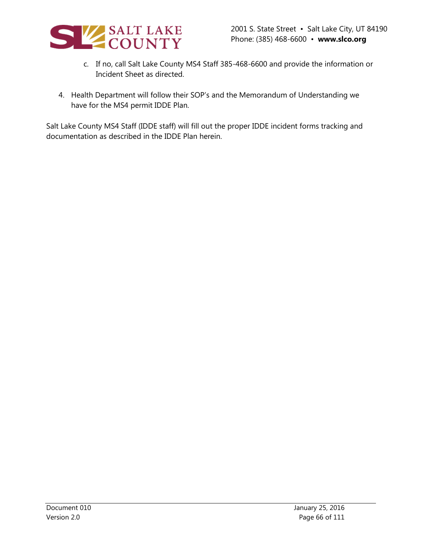

- c. If no, call Salt Lake County MS4 Staff 385-468-6600 and provide the information or Incident Sheet as directed.
- 4. Health Department will follow their SOP's and the Memorandum of Understanding we have for the MS4 permit IDDE Plan.

Salt Lake County MS4 Staff (IDDE staff) will fill out the proper IDDE incident forms tracking and documentation as described in the IDDE Plan herein.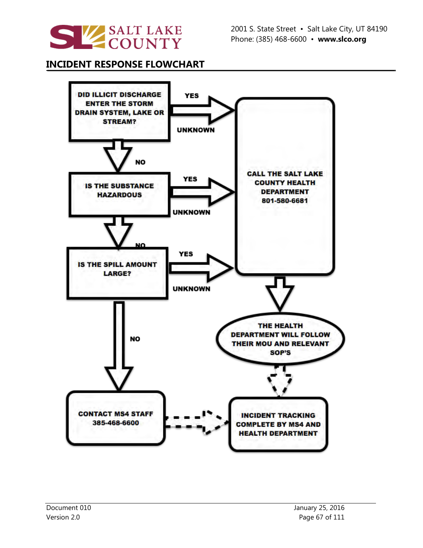

## **INCIDENT RESPONSE FLOWCHART**

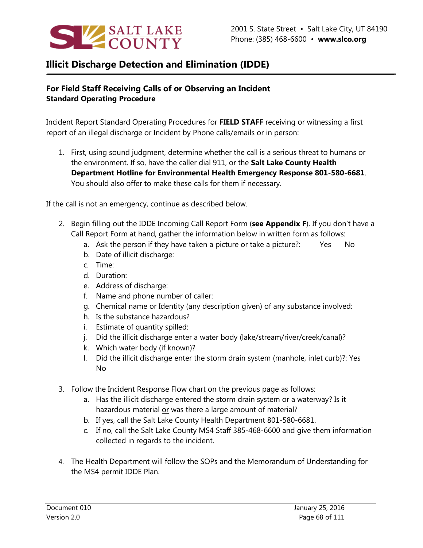

# **Illicit Discharge Detection and Elimination (IDDE)**

## **For Field Staff Receiving Calls of or Observing an Incident Standard Operating Procedure**

Incident Report Standard Operating Procedures for **FIELD STAFF** receiving or witnessing a first report of an illegal discharge or Incident by Phone calls/emails or in person:

1. First, using sound judgment, determine whether the call is a serious threat to humans or the environment. If so, have the caller dial 911, or the **Salt Lake County Health Department Hotline for Environmental Health Emergency Response 801-580-6681**. You should also offer to make these calls for them if necessary.

If the call is not an emergency, continue as described below.

- 2. Begin filling out the IDDE Incoming Call Report Form (**see Appendix F**). If you don't have a Call Report Form at hand, gather the information below in written form as follows:
	- a. Ask the person if they have taken a picture or take a picture?: Yes No
	- b. Date of illicit discharge:
	- c. Time:
	- d. Duration:
	- e. Address of discharge:
	- f. Name and phone number of caller:
	- g. Chemical name or Identity (any description given) of any substance involved:
	- h. Is the substance hazardous?
	- i. Estimate of quantity spilled:
	- j. Did the illicit discharge enter a water body (lake/stream/river/creek/canal)?
	- k. Which water body (if known)?
	- l. Did the illicit discharge enter the storm drain system (manhole, inlet curb)?: Yes No
- 3. Follow the Incident Response Flow chart on the previous page as follows:
	- a. Has the illicit discharge entered the storm drain system or a waterway? Is it hazardous material or was there a large amount of material?
	- b. If yes, call the Salt Lake County Health Department 801-580-6681.
	- c. If no, call the Salt Lake County MS4 Staff 385-468-6600 and give them information collected in regards to the incident.
- 4. The Health Department will follow the SOPs and the Memorandum of Understanding for the MS4 permit IDDE Plan.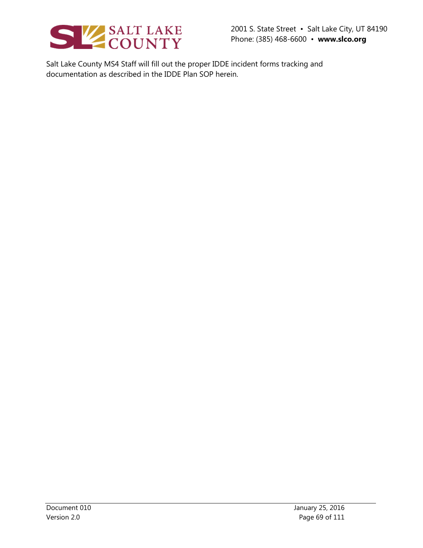

2001 S. State Street • Salt Lake City, UT 84190 Phone: (385) 468-6600 • **www.slco.org**

Salt Lake County MS4 Staff will fill out the proper IDDE incident forms tracking and documentation as described in the IDDE Plan SOP herein.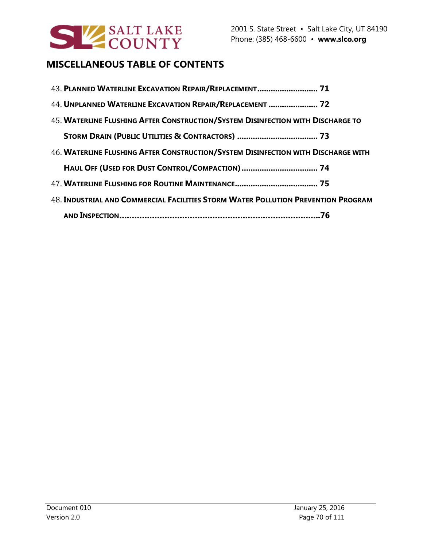

# **MISCELLANEOUS TABLE OF CONTENTS**

| 43. PLANNED WATERLINE EXCAVATION REPAIR/REPLACEMENT 71                            |
|-----------------------------------------------------------------------------------|
| 44. UNPLANNED WATERLINE EXCAVATION REPAIR/REPLACEMENT  72                         |
| 45. WATERLINE FLUSHING AFTER CONSTRUCTION/SYSTEM DISINFECTION WITH DISCHARGE TO   |
|                                                                                   |
| 46. WATERLINE FLUSHING AFTER CONSTRUCTION/SYSTEM DISINFECTION WITH DISCHARGE WITH |
|                                                                                   |
|                                                                                   |
| 48. INDUSTRIAL AND COMMERCIAL FACILITIES STORM WATER POLLUTION PREVENTION PROGRAM |
|                                                                                   |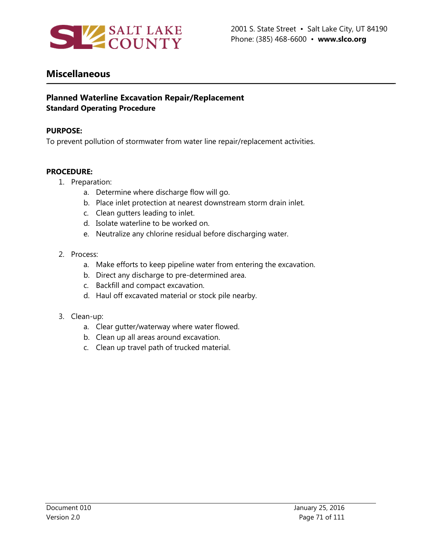

## **Miscellaneous**

### **Planned Waterline Excavation Repair/Replacement Standard Operating Procedure**

#### **PURPOSE:**

To prevent pollution of stormwater from water line repair/replacement activities.

- 1. Preparation:
	- a. Determine where discharge flow will go.
	- b. Place inlet protection at nearest downstream storm drain inlet.
	- c. Clean gutters leading to inlet.
	- d. Isolate waterline to be worked on.
	- e. Neutralize any chlorine residual before discharging water.
- 2. Process:
	- a. Make efforts to keep pipeline water from entering the excavation.
	- b. Direct any discharge to pre-determined area.
	- c. Backfill and compact excavation.
	- d. Haul off excavated material or stock pile nearby.
- 3. Clean-up:
	- a. Clear gutter/waterway where water flowed.
	- b. Clean up all areas around excavation.
	- c. Clean up travel path of trucked material.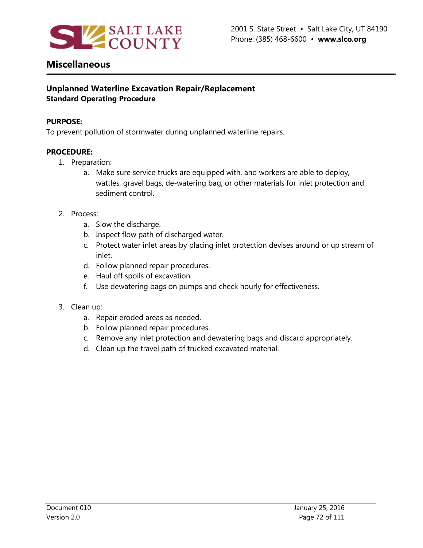

## **Miscellaneous**

## **Unplanned Waterline Excavation Repair/Replacement Standard Operating Procedure**

#### **PURPOSE:**

To prevent pollution of stormwater during unplanned waterline repairs.

- 1. Preparation:
	- a. Make sure service trucks are equipped with, and workers are able to deploy, wattles, gravel bags, de-watering bag, or other materials for inlet protection and sediment control.
- 2. Process:
	- a. Slow the discharge.
	- b. Inspect flow path of discharged water.
	- c. Protect water inlet areas by placing inlet protection devises around or up stream of inlet.
	- d. Follow planned repair procedures.
	- e. Haul off spoils of excavation.
	- f. Use dewatering bags on pumps and check hourly for effectiveness.
- 3. Clean up:
	- a. Repair eroded areas as needed.
	- b. Follow planned repair procedures.
	- c. Remove any inlet protection and dewatering bags and discard appropriately.
	- d. Clean up the travel path of trucked excavated material.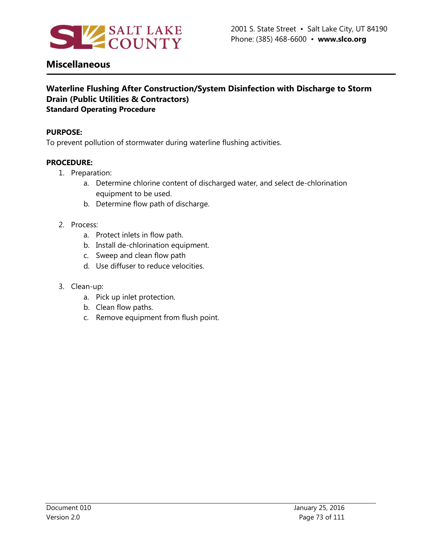

### **Waterline Flushing After Construction/System Disinfection with Discharge to Storm Drain (Public Utilities & Contractors) Standard Operating Procedure**

#### **PURPOSE:**

To prevent pollution of stormwater during waterline flushing activities.

#### **PROCEDURE:**

- 1. Preparation:
	- a. Determine chlorine content of discharged water, and select de-chlorination equipment to be used.
	- b. Determine flow path of discharge.
- 2. Process:
	- a. Protect inlets in flow path.
	- b. Install de-chlorination equipment.
	- c. Sweep and clean flow path
	- d. Use diffuser to reduce velocities.

#### 3. Clean-up:

- a. Pick up inlet protection.
- b. Clean flow paths.
- c. Remove equipment from flush point.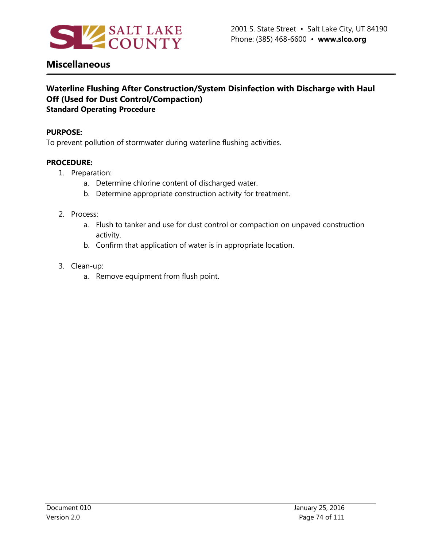

## **Waterline Flushing After Construction/System Disinfection with Discharge with Haul Off (Used for Dust Control/Compaction) Standard Operating Procedure**

#### **PURPOSE:**

To prevent pollution of stormwater during waterline flushing activities.

#### **PROCEDURE:**

- 1. Preparation:
	- a. Determine chlorine content of discharged water.
	- b. Determine appropriate construction activity for treatment.

#### 2. Process:

- a. Flush to tanker and use for dust control or compaction on unpaved construction activity.
- b. Confirm that application of water is in appropriate location.
- 3. Clean-up:
	- a. Remove equipment from flush point.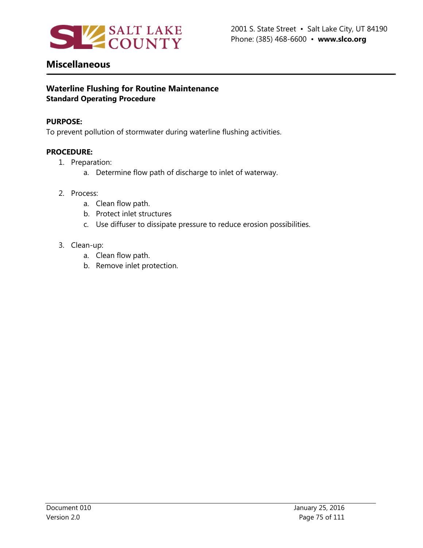

## **Waterline Flushing for Routine Maintenance Standard Operating Procedure**

#### **PURPOSE:**

To prevent pollution of stormwater during waterline flushing activities.

#### **PROCEDURE:**

- 1. Preparation:
	- a. Determine flow path of discharge to inlet of waterway.
- 2. Process:
	- a. Clean flow path.
	- b. Protect inlet structures
	- c. Use diffuser to dissipate pressure to reduce erosion possibilities.
- 3. Clean-up:
	- a. Clean flow path.
	- b. Remove inlet protection.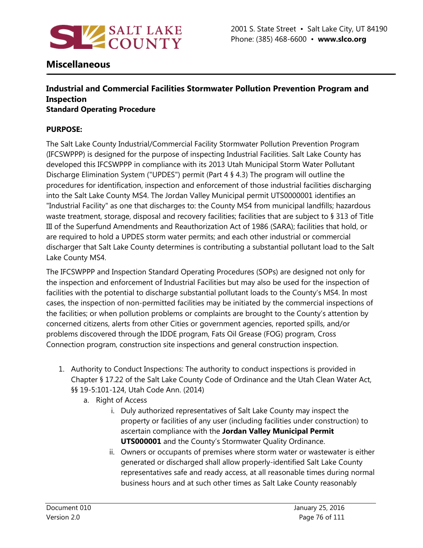

### **Industrial and Commercial Facilities Stormwater Pollution Prevention Program and Inspection Standard Operating Procedure**

### **PURPOSE:**

The Salt Lake County Industrial/Commercial Facility Stormwater Pollution Prevention Program (IFCSWPPP) is designed for the purpose of inspecting Industrial Facilities. Salt Lake County has developed this IFCSWPPP in compliance with its 2013 Utah Municipal Storm Water Pollutant Discharge Elimination System ("UPDES") permit (Part 4 § 4.3) The program will outline the procedures for identification, inspection and enforcement of those industrial facilities discharging into the Salt Lake County MS4. The Jordan Valley Municipal permit UTS0000001 identifies an "Industrial Facility" as one that discharges to: the County MS4 from municipal landfills; hazardous waste treatment, storage, disposal and recovery facilities; facilities that are subject to § 313 of Title III of the Superfund Amendments and Reauthorization Act of 1986 (SARA); facilities that hold, or are required to hold a UPDES storm water permits; and each other industrial or commercial discharger that Salt Lake County determines is contributing a substantial pollutant load to the Salt Lake County MS4.

The IFCSWPPP and Inspection Standard Operating Procedures (SOPs) are designed not only for the inspection and enforcement of Industrial Facilities but may also be used for the inspection of facilities with the potential to discharge substantial pollutant loads to the County's MS4. In most cases, the inspection of non-permitted facilities may be initiated by the commercial inspections of the facilities; or when pollution problems or complaints are brought to the County's attention by concerned citizens, alerts from other Cities or government agencies, reported spills, and/or problems discovered through the IDDE program, Fats Oil Grease (FOG) program, Cross Connection program, construction site inspections and general construction inspection.

- 1. Authority to Conduct Inspections: The authority to conduct inspections is provided in Chapter § 17.22 of the Salt Lake County Code of Ordinance and the Utah Clean Water Act, §§ 19-5:101-124, Utah Code Ann. (2014)
	- a. Right of Access
		- i. Duly authorized representatives of Salt Lake County may inspect the property or facilities of any user (including facilities under construction) to ascertain compliance with the **Jordan Valley Municipal Permit UTS000001** and the County's Stormwater Quality Ordinance.
		- ii. Owners or occupants of premises where storm water or wastewater is either generated or discharged shall allow properly-identified Salt Lake County representatives safe and ready access, at all reasonable times during normal business hours and at such other times as Salt Lake County reasonably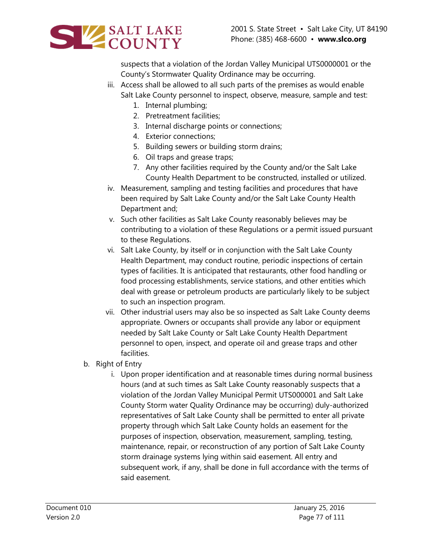

suspects that a violation of the Jordan Valley Municipal UTS0000001 or the County's Stormwater Quality Ordinance may be occurring.

- iii. Access shall be allowed to all such parts of the premises as would enable Salt Lake County personnel to inspect, observe, measure, sample and test:
	- 1. Internal plumbing;
	- 2. Pretreatment facilities;
	- 3. Internal discharge points or connections;
	- 4. Exterior connections;
	- 5. Building sewers or building storm drains;
	- 6. Oil traps and grease traps;
	- 7. Any other facilities required by the County and/or the Salt Lake County Health Department to be constructed, installed or utilized.
- iv. Measurement, sampling and testing facilities and procedures that have been required by Salt Lake County and/or the Salt Lake County Health Department and;
- v. Such other facilities as Salt Lake County reasonably believes may be contributing to a violation of these Regulations or a permit issued pursuant to these Regulations.
- vi. Salt Lake County, by itself or in conjunction with the Salt Lake County Health Department, may conduct routine, periodic inspections of certain types of facilities. It is anticipated that restaurants, other food handling or food processing establishments, service stations, and other entities which deal with grease or petroleum products are particularly likely to be subject to such an inspection program.
- vii. Other industrial users may also be so inspected as Salt Lake County deems appropriate. Owners or occupants shall provide any labor or equipment needed by Salt Lake County or Salt Lake County Health Department personnel to open, inspect, and operate oil and grease traps and other facilities.
- b. Right of Entry
	- i. Upon proper identification and at reasonable times during normal business hours (and at such times as Salt Lake County reasonably suspects that a violation of the Jordan Valley Municipal Permit UTS000001 and Salt Lake County Storm water Quality Ordinance may be occurring) duly-authorized representatives of Salt Lake County shall be permitted to enter all private property through which Salt Lake County holds an easement for the purposes of inspection, observation, measurement, sampling, testing, maintenance, repair, or reconstruction of any portion of Salt Lake County storm drainage systems lying within said easement. All entry and subsequent work, if any, shall be done in full accordance with the terms of said easement.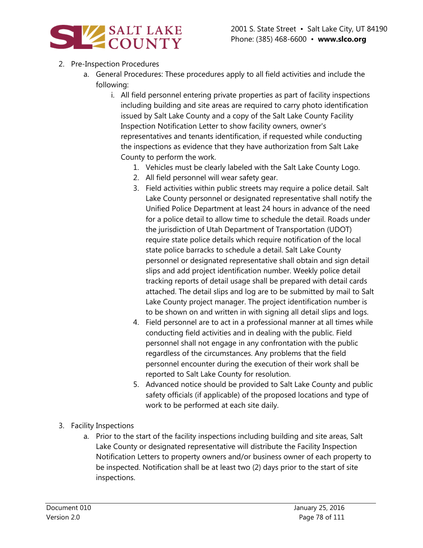

- 2. Pre-Inspection Procedures
	- a. General Procedures: These procedures apply to all field activities and include the following:
		- i. All field personnel entering private properties as part of facility inspections including building and site areas are required to carry photo identification issued by Salt Lake County and a copy of the Salt Lake County Facility Inspection Notification Letter to show facility owners, owner's representatives and tenants identification, if requested while conducting the inspections as evidence that they have authorization from Salt Lake County to perform the work.
			- 1. Vehicles must be clearly labeled with the Salt Lake County Logo.
			- 2. All field personnel will wear safety gear.
			- 3. Field activities within public streets may require a police detail. Salt Lake County personnel or designated representative shall notify the Unified Police Department at least 24 hours in advance of the need for a police detail to allow time to schedule the detail. Roads under the jurisdiction of Utah Department of Transportation (UDOT) require state police details which require notification of the local state police barracks to schedule a detail. Salt Lake County personnel or designated representative shall obtain and sign detail slips and add project identification number. Weekly police detail tracking reports of detail usage shall be prepared with detail cards attached. The detail slips and log are to be submitted by mail to Salt Lake County project manager. The project identification number is to be shown on and written in with signing all detail slips and logs.
			- 4. Field personnel are to act in a professional manner at all times while conducting field activities and in dealing with the public. Field personnel shall not engage in any confrontation with the public regardless of the circumstances. Any problems that the field personnel encounter during the execution of their work shall be reported to Salt Lake County for resolution.
			- 5. Advanced notice should be provided to Salt Lake County and public safety officials (if applicable) of the proposed locations and type of work to be performed at each site daily.
- 3. Facility Inspections
	- a. Prior to the start of the facility inspections including building and site areas, Salt Lake County or designated representative will distribute the Facility Inspection Notification Letters to property owners and/or business owner of each property to be inspected. Notification shall be at least two (2) days prior to the start of site inspections.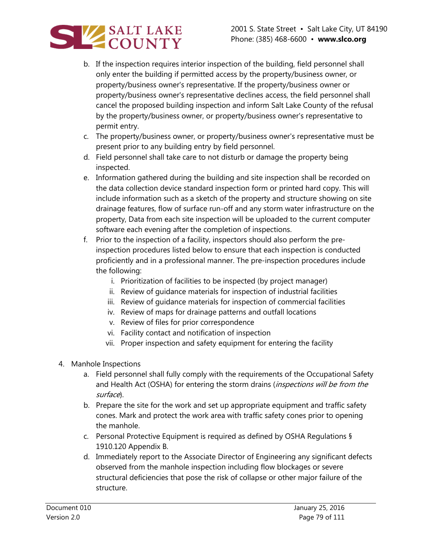

- b. If the inspection requires interior inspection of the building, field personnel shall only enter the building if permitted access by the property/business owner, or property/business owner's representative. If the property/business owner or property/business owner's representative declines access, the field personnel shall cancel the proposed building inspection and inform Salt Lake County of the refusal by the property/business owner, or property/business owner's representative to permit entry.
- c. The property/business owner, or property/business owner's representative must be present prior to any building entry by field personnel.
- d. Field personnel shall take care to not disturb or damage the property being inspected.
- e. Information gathered during the building and site inspection shall be recorded on the data collection device standard inspection form or printed hard copy. This will include information such as a sketch of the property and structure showing on site drainage features, flow of surface run-off and any storm water infrastructure on the property, Data from each site inspection will be uploaded to the current computer software each evening after the completion of inspections.
- f. Prior to the inspection of a facility, inspectors should also perform the preinspection procedures listed below to ensure that each inspection is conducted proficiently and in a professional manner. The pre-inspection procedures include the following:
	- i. Prioritization of facilities to be inspected (by project manager)
	- ii. Review of guidance materials for inspection of industrial facilities
	- iii. Review of guidance materials for inspection of commercial facilities
	- iv. Review of maps for drainage patterns and outfall locations
	- v. Review of files for prior correspondence
	- vi. Facility contact and notification of inspection
	- vii. Proper inspection and safety equipment for entering the facility
- 4. Manhole Inspections
	- a. Field personnel shall fully comply with the requirements of the Occupational Safety and Health Act (OSHA) for entering the storm drains (inspections will be from the surface).
	- b. Prepare the site for the work and set up appropriate equipment and traffic safety cones. Mark and protect the work area with traffic safety cones prior to opening the manhole.
	- c. Personal Protective Equipment is required as defined by OSHA Regulations § 1910.120 Appendix B.
	- d. Immediately report to the Associate Director of Engineering any significant defects observed from the manhole inspection including flow blockages or severe structural deficiencies that pose the risk of collapse or other major failure of the structure.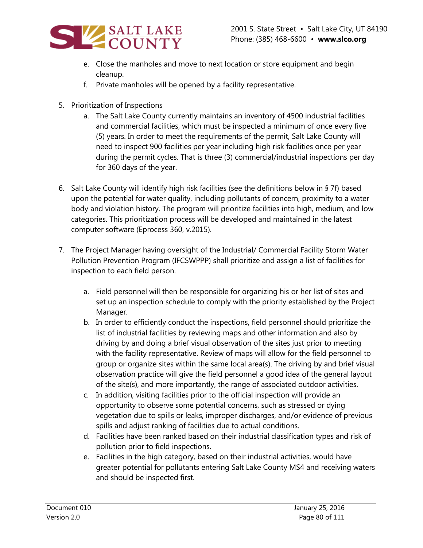

- e. Close the manholes and move to next location or store equipment and begin cleanup.
- f. Private manholes will be opened by a facility representative.
- 5. Prioritization of Inspections
	- a. The Salt Lake County currently maintains an inventory of 4500 industrial facilities and commercial facilities, which must be inspected a minimum of once every five (5) years. In order to meet the requirements of the permit, Salt Lake County will need to inspect 900 facilities per year including high risk facilities once per year during the permit cycles. That is three (3) commercial/industrial inspections per day for 360 days of the year.
- 6. Salt Lake County will identify high risk facilities (see the definitions below in § 7f) based upon the potential for water quality, including pollutants of concern, proximity to a water body and violation history. The program will prioritize facilities into high, medium, and low categories. This prioritization process will be developed and maintained in the latest computer software (Eprocess 360, v.2015).
- 7. The Project Manager having oversight of the Industrial/ Commercial Facility Storm Water Pollution Prevention Program (IFCSWPPP) shall prioritize and assign a list of facilities for inspection to each field person.
	- a. Field personnel will then be responsible for organizing his or her list of sites and set up an inspection schedule to comply with the priority established by the Project Manager.
	- b. In order to efficiently conduct the inspections, field personnel should prioritize the list of industrial facilities by reviewing maps and other information and also by driving by and doing a brief visual observation of the sites just prior to meeting with the facility representative. Review of maps will allow for the field personnel to group or organize sites within the same local area(s). The driving by and brief visual observation practice will give the field personnel a good idea of the general layout of the site(s), and more importantly, the range of associated outdoor activities.
	- c. In addition, visiting facilities prior to the official inspection will provide an opportunity to observe some potential concerns, such as stressed or dying vegetation due to spills or leaks, improper discharges, and/or evidence of previous spills and adjust ranking of facilities due to actual conditions.
	- d. Facilities have been ranked based on their industrial classification types and risk of pollution prior to field inspections.
	- e. Facilities in the high category, based on their industrial activities, would have greater potential for pollutants entering Salt Lake County MS4 and receiving waters and should be inspected first.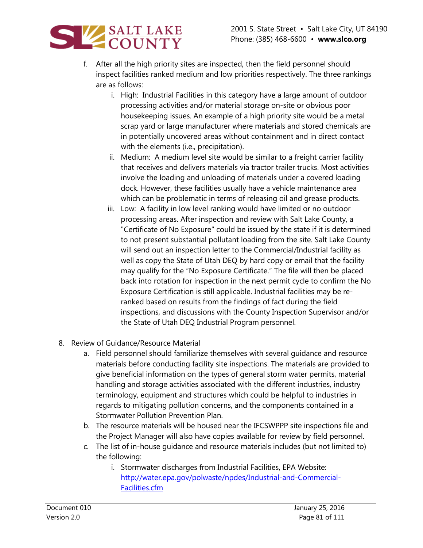

- f. After all the high priority sites are inspected, then the field personnel should inspect facilities ranked medium and low priorities respectively. The three rankings are as follows:
	- i. High: Industrial Facilities in this category have a large amount of outdoor processing activities and/or material storage on-site or obvious poor housekeeping issues. An example of a high priority site would be a metal scrap yard or large manufacturer where materials and stored chemicals are in potentially uncovered areas without containment and in direct contact with the elements (i.e., precipitation).
	- ii. Medium: A medium level site would be similar to a freight carrier facility that receives and delivers materials via tractor trailer trucks. Most activities involve the loading and unloading of materials under a covered loading dock. However, these facilities usually have a vehicle maintenance area which can be problematic in terms of releasing oil and grease products.
	- iii. Low: A facility in low level ranking would have limited or no outdoor processing areas. After inspection and review with Salt Lake County, a "Certificate of No Exposure" could be issued by the state if it is determined to not present substantial pollutant loading from the site. Salt Lake County will send out an inspection letter to the Commercial/Industrial facility as well as copy the State of Utah DEQ by hard copy or email that the facility may qualify for the "No Exposure Certificate." The file will then be placed back into rotation for inspection in the next permit cycle to confirm the No Exposure Certification is still applicable. Industrial facilities may be reranked based on results from the findings of fact during the field inspections, and discussions with the County Inspection Supervisor and/or the State of Utah DEQ Industrial Program personnel.
- 8. Review of Guidance/Resource Material
	- a. Field personnel should familiarize themselves with several guidance and resource materials before conducting facility site inspections. The materials are provided to give beneficial information on the types of general storm water permits, material handling and storage activities associated with the different industries, industry terminology, equipment and structures which could be helpful to industries in regards to mitigating pollution concerns, and the components contained in a Stormwater Pollution Prevention Plan.
	- b. The resource materials will be housed near the IFCSWPPP site inspections file and the Project Manager will also have copies available for review by field personnel.
	- c. The list of in-house guidance and resource materials includes (but not limited to) the following:
		- i. Stormwater discharges from Industrial Facilities, EPA Website: [http://water.epa.gov/polwaste/npdes/Industrial-and-Commercial-](http://water.epa.gov/polwaste/npdes/Industrial-and-Commercial-Facilities.cfm)[Facilities.cfm](http://water.epa.gov/polwaste/npdes/Industrial-and-Commercial-Facilities.cfm)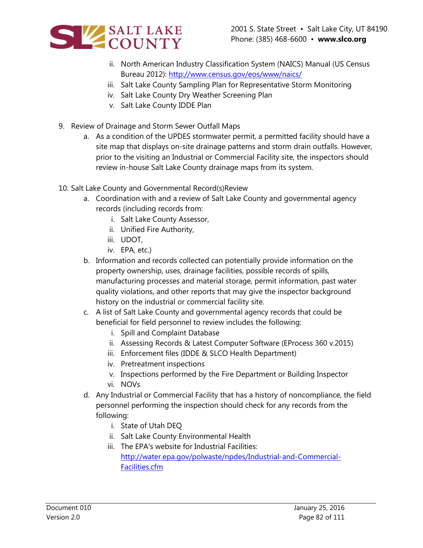

- ii. North American Industry Classification System (NAICS) Manual (US Census Bureau 2012): <http://www.census.gov/eos/www/naics/>
- iii. Salt Lake County Sampling Plan for Representative Storm Monitoring
- iv. Salt Lake County Dry Weather Screening Plan
- v. Salt Lake County IDDE Plan
- 9. Review of Drainage and Storm Sewer Outfall Maps
	- a. As a condition of the UPDES stormwater permit, a permitted facility should have a site map that displays on-site drainage patterns and storm drain outfalls. However, prior to the visiting an Industrial or Commercial Facility site, the inspectors should review in-house Salt Lake County drainage maps from its system.
- 10. Salt Lake County and Governmental Record(s)Review
	- a. Coordination with and a review of Salt Lake County and governmental agency records (including records from:
		- i. Salt Lake County Assessor,
		- ii. Unified Fire Authority,
		- iii. UDOT,
		- iv. EPA, etc.)
	- b. Information and records collected can potentially provide information on the property ownership, uses, drainage facilities, possible records of spills, manufacturing processes and material storage, permit information, past water quality violations, and other reports that may give the inspector background history on the industrial or commercial facility site.
	- c. A list of Salt Lake County and governmental agency records that could be beneficial for field personnel to review includes the following:
		- i. Spill and Complaint Database
		- ii. Assessing Records & Latest Computer Software (EProcess 360 v.2015)
		- iii. Enforcement files (IDDE & SLCO Health Department)
		- iv. Pretreatment inspections
		- v. Inspections performed by the Fire Department or Building Inspector
		- vi. NOVs
	- d. Any Industrial or Commercial Facility that has a history of noncompliance, the field personnel performing the inspection should check for any records from the following:
		- i. State of Utah DEQ
		- ii. Salt Lake County Environmental Health
		- iii. The EPA's website for Industrial Facilities: [http://water.epa.gov/polwaste/npdes/Industrial-and-Commercial-](http://water.epa.gov/polwaste/npdes/Industrial-and-Commercial-Facilities.cfm)[Facilities.cfm](http://water.epa.gov/polwaste/npdes/Industrial-and-Commercial-Facilities.cfm)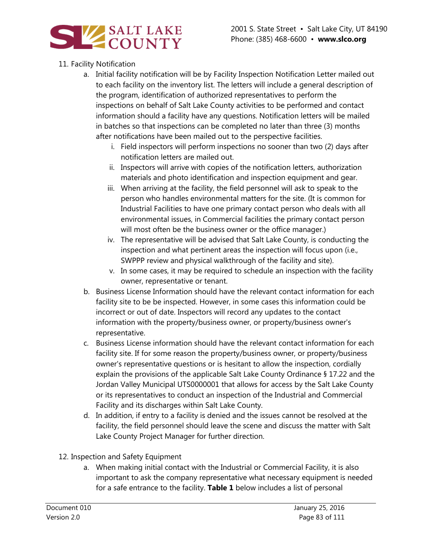

## 11. Facility Notification

- a. Initial facility notification will be by Facility Inspection Notification Letter mailed out to each facility on the inventory list. The letters will include a general description of the program, identification of authorized representatives to perform the inspections on behalf of Salt Lake County activities to be performed and contact information should a facility have any questions. Notification letters will be mailed in batches so that inspections can be completed no later than three (3) months after notifications have been mailed out to the perspective facilities.
	- i. Field inspectors will perform inspections no sooner than two (2) days after notification letters are mailed out.
	- ii. Inspectors will arrive with copies of the notification letters, authorization materials and photo identification and inspection equipment and gear.
	- iii. When arriving at the facility, the field personnel will ask to speak to the person who handles environmental matters for the site. (It is common for Industrial Facilities to have one primary contact person who deals with all environmental issues, in Commercial facilities the primary contact person will most often be the business owner or the office manager.)
	- iv. The representative will be advised that Salt Lake County, is conducting the inspection and what pertinent areas the inspection will focus upon (i.e., SWPPP review and physical walkthrough of the facility and site).
	- v. In some cases, it may be required to schedule an inspection with the facility owner, representative or tenant.
- b. Business License Information should have the relevant contact information for each facility site to be be inspected. However, in some cases this information could be incorrect or out of date. Inspectors will record any updates to the contact information with the property/business owner, or property/business owner's representative.
- c. Business License information should have the relevant contact information for each facility site. If for some reason the property/business owner, or property/business owner's representative questions or is hesitant to allow the inspection, cordially explain the provisions of the applicable Salt Lake County Ordinance § 17.22 and the Jordan Valley Municipal UTS0000001 that allows for access by the Salt Lake County or its representatives to conduct an inspection of the Industrial and Commercial Facility and its discharges within Salt Lake County.
- d. In addition, if entry to a facility is denied and the issues cannot be resolved at the facility, the field personnel should leave the scene and discuss the matter with Salt Lake County Project Manager for further direction.
- 12. Inspection and Safety Equipment
	- a. When making initial contact with the Industrial or Commercial Facility, it is also important to ask the company representative what necessary equipment is needed for a safe entrance to the facility. **Table 1** below includes a list of personal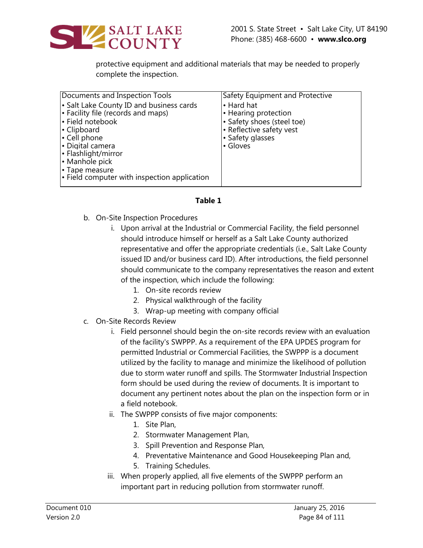

protective equipment and additional materials that may be needed to properly complete the inspection.

| Documents and Inspection Tools                                                                                                                                                                                                                                   | Safety Equipment and Protective                                                                                              |
|------------------------------------------------------------------------------------------------------------------------------------------------------------------------------------------------------------------------------------------------------------------|------------------------------------------------------------------------------------------------------------------------------|
| • Salt Lake County ID and business cards<br>• Facility file (records and maps)<br>· Field notebook<br>• Clipboard<br>• Cell phone<br>• Digital camera<br>• Flashlight/mirror<br>• Manhole pick<br>• Tape measure<br>• Field computer with inspection application | • Hard hat<br>• Hearing protection<br>• Safety shoes (steel toe)<br>• Reflective safety vest<br>• Safety glasses<br>• Gloves |
|                                                                                                                                                                                                                                                                  |                                                                                                                              |

#### **Table 1**

- b. On-Site Inspection Procedures
	- i. Upon arrival at the Industrial or Commercial Facility, the field personnel should introduce himself or herself as a Salt Lake County authorized representative and offer the appropriate credentials (i.e., Salt Lake County issued ID and/or business card ID). After introductions, the field personnel should communicate to the company representatives the reason and extent of the inspection, which include the following:
		- 1. On-site records review
		- 2. Physical walkthrough of the facility
		- 3. Wrap-up meeting with company official
- c. On-Site Records Review
	- i. Field personnel should begin the on-site records review with an evaluation of the facility's SWPPP. As a requirement of the EPA UPDES program for permitted Industrial or Commercial Facilities, the SWPPP is a document utilized by the facility to manage and minimize the likelihood of pollution due to storm water runoff and spills. The Stormwater Industrial Inspection form should be used during the review of documents. It is important to document any pertinent notes about the plan on the inspection form or in a field notebook.
	- ii. The SWPPP consists of five major components:
		- 1. Site Plan,
		- 2. Stormwater Management Plan,
		- 3. Spill Prevention and Response Plan,
		- 4. Preventative Maintenance and Good Housekeeping Plan and,
		- 5. Training Schedules.
	- iii. When properly applied, all five elements of the SWPPP perform an important part in reducing pollution from stormwater runoff.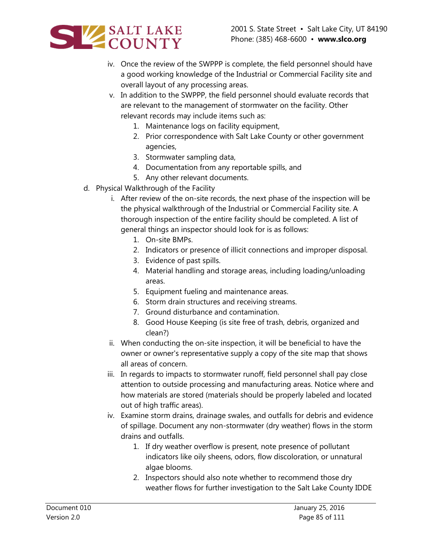



- iv. Once the review of the SWPPP is complete, the field personnel should have a good working knowledge of the Industrial or Commercial Facility site and overall layout of any processing areas.
- v. In addition to the SWPPP, the field personnel should evaluate records that are relevant to the management of stormwater on the facility. Other relevant records may include items such as:
	- 1. Maintenance logs on facility equipment,
	- 2. Prior correspondence with Salt Lake County or other government agencies,
	- 3. Stormwater sampling data,
	- 4. Documentation from any reportable spills, and
	- 5. Any other relevant documents.
- d. Physical Walkthrough of the Facility
	- i. After review of the on-site records, the next phase of the inspection will be the physical walkthrough of the Industrial or Commercial Facility site. A thorough inspection of the entire facility should be completed. A list of general things an inspector should look for is as follows:
		- 1. On-site BMPs.
		- 2. Indicators or presence of illicit connections and improper disposal.
		- 3. Evidence of past spills.
		- 4. Material handling and storage areas, including loading/unloading areas.
		- 5. Equipment fueling and maintenance areas.
		- 6. Storm drain structures and receiving streams.
		- 7. Ground disturbance and contamination.
		- 8. Good House Keeping (is site free of trash, debris, organized and clean?)
	- ii. When conducting the on-site inspection, it will be beneficial to have the owner or owner's representative supply a copy of the site map that shows all areas of concern.
	- iii. In regards to impacts to stormwater runoff, field personnel shall pay close attention to outside processing and manufacturing areas. Notice where and how materials are stored (materials should be properly labeled and located out of high traffic areas).
	- iv. Examine storm drains, drainage swales, and outfalls for debris and evidence of spillage. Document any non-stormwater (dry weather) flows in the storm drains and outfalls.
		- 1. If dry weather overflow is present, note presence of pollutant indicators like oily sheens, odors, flow discoloration, or unnatural algae blooms.
		- 2. Inspectors should also note whether to recommend those dry weather flows for further investigation to the Salt Lake County IDDE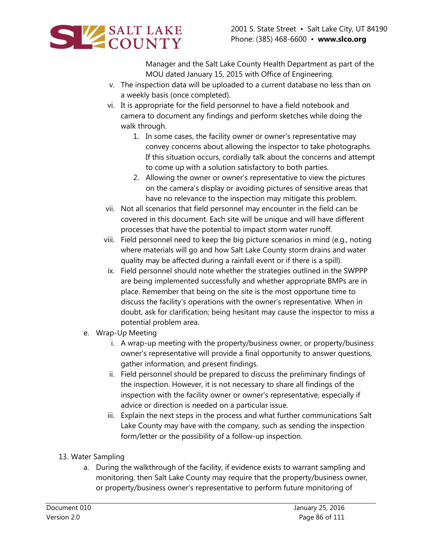

Manager and the Salt Lake County Health Department as part of the MOU dated January 15, 2015 with Office of Engineering.

- v. The inspection data will be uploaded to a current database no less than on a weekly basis (once completed).
- vi. It is appropriate for the field personnel to have a field notebook and camera to document any findings and perform sketches while doing the walk through.
	- 1. In some cases, the facility owner or owner's representative may convey concerns about allowing the inspector to take photographs. If this situation occurs, cordially talk about the concerns and attempt to come up with a solution satisfactory to both parties.
	- 2. Allowing the owner or owner's representative to view the pictures on the camera's display or avoiding pictures of sensitive areas that have no relevance to the inspection may mitigate this problem.
- vii. Not all scenarios that field personnel may encounter in the field can be covered in this document. Each site will be unique and will have different processes that have the potential to impact storm water runoff.
- viii. Field personnel need to keep the big picture scenarios in mind (e.g., noting where materials will go and how Salt Lake County storm drains and water quality may be affected during a rainfall event or if there is a spill).
- ix. Field personnel should note whether the strategies outlined in the SWPPP are being implemented successfully and whether appropriate BMPs are in place. Remember that being on the site is the most opportune time to discuss the facility's operations with the owner's representative. When in doubt, ask for clarification; being hesitant may cause the inspector to miss a potential problem area.
- e. Wrap-Up Meeting
	- i. A wrap-up meeting with the property/business owner, or property/business owner's representative will provide a final opportunity to answer questions, gather information, and present findings.
	- ii. Field personnel should be prepared to discuss the preliminary findings of the inspection. However, it is not necessary to share all findings of the inspection with the facility owner or owner's representative, especially if advice or direction is needed on a particular issue.
	- iii. Explain the next steps in the process and what further communications Salt Lake County may have with the company, such as sending the inspection form/letter or the possibility of a follow-up inspection.
- 13. Water Sampling
	- a. During the walkthrough of the facility, if evidence exists to warrant sampling and monitoring, then Salt Lake County may require that the property/business owner, or property/business owner's representative to perform future monitoring of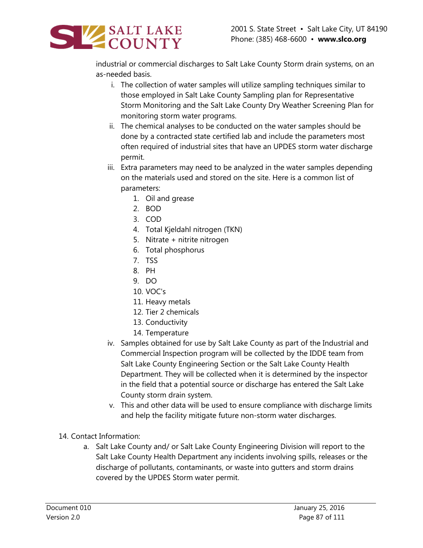

industrial or commercial discharges to Salt Lake County Storm drain systems, on an as-needed basis.

- i. The collection of water samples will utilize sampling techniques similar to those employed in Salt Lake County Sampling plan for Representative Storm Monitoring and the Salt Lake County Dry Weather Screening Plan for monitoring storm water programs.
- ii. The chemical analyses to be conducted on the water samples should be done by a contracted state certified lab and include the parameters most often required of industrial sites that have an UPDES storm water discharge permit.
- iii. Extra parameters may need to be analyzed in the water samples depending on the materials used and stored on the site. Here is a common list of parameters:
	- 1. Oil and grease
	- 2. BOD
	- 3. COD
	- 4. Total Kjeldahl nitrogen (TKN)
	- 5. Nitrate + nitrite nitrogen
	- 6. Total phosphorus
	- 7. TSS
	- 8. PH
	- 9. DO
	- 10. VOC's
	- 11. Heavy metals
	- 12. Tier 2 chemicals
	- 13. Conductivity
	- 14. Temperature
- iv. Samples obtained for use by Salt Lake County as part of the Industrial and Commercial Inspection program will be collected by the IDDE team from Salt Lake County Engineering Section or the Salt Lake County Health Department. They will be collected when it is determined by the inspector in the field that a potential source or discharge has entered the Salt Lake County storm drain system.
- v. This and other data will be used to ensure compliance with discharge limits and help the facility mitigate future non-storm water discharges.
- 14. Contact Information:
	- a. Salt Lake County and/ or Salt Lake County Engineering Division will report to the Salt Lake County Health Department any incidents involving spills, releases or the discharge of pollutants, contaminants, or waste into gutters and storm drains covered by the UPDES Storm water permit.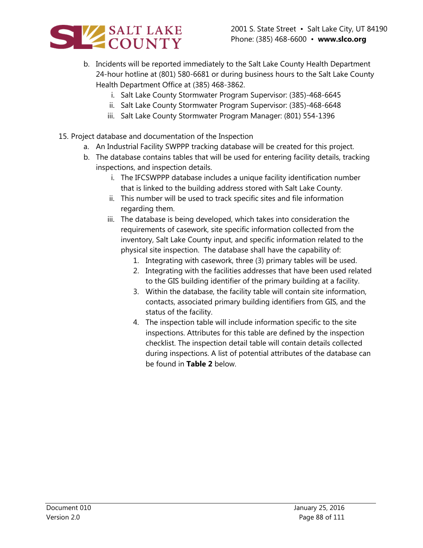

- b. Incidents will be reported immediately to the Salt Lake County Health Department 24-hour hotline at (801) 580-6681 or during business hours to the Salt Lake County Health Department Office at (385) 468-3862.
	- i. Salt Lake County Stormwater Program Supervisor: (385)-468-6645
	- ii. Salt Lake County Stormwater Program Supervisor: (385)-468-6648
	- iii. Salt Lake County Stormwater Program Manager: (801) 554-1396
- 15. Project database and documentation of the Inspection
	- a. An Industrial Facility SWPPP tracking database will be created for this project.
	- b. The database contains tables that will be used for entering facility details, tracking inspections, and inspection details.
		- i. The IFCSWPPP database includes a unique facility identification number that is linked to the building address stored with Salt Lake County.
		- ii. This number will be used to track specific sites and file information regarding them.
		- iii. The database is being developed, which takes into consideration the requirements of casework, site specific information collected from the inventory, Salt Lake County input, and specific information related to the physical site inspection. The database shall have the capability of:
			- 1. Integrating with casework, three (3) primary tables will be used.
			- 2. Integrating with the facilities addresses that have been used related to the GIS building identifier of the primary building at a facility.
			- 3. Within the database, the facility table will contain site information, contacts, associated primary building identifiers from GIS, and the status of the facility.
			- 4. The inspection table will include information specific to the site inspections. Attributes for this table are defined by the inspection checklist. The inspection detail table will contain details collected during inspections. A list of potential attributes of the database can be found in **Table 2** below.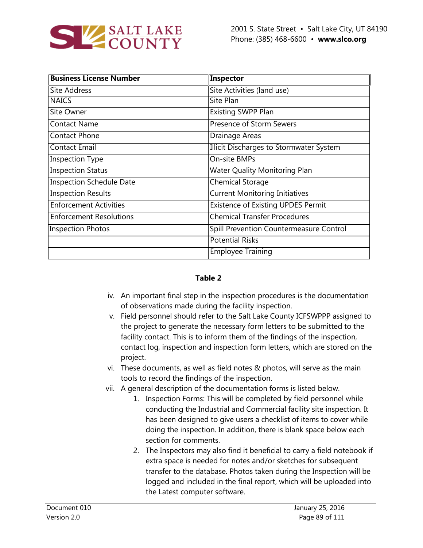

| <b>Business License Number</b>  | Inspector                                 |  |
|---------------------------------|-------------------------------------------|--|
| Site Address                    | Site Activities (land use)                |  |
| <b>NAICS</b>                    | Site Plan                                 |  |
| Site Owner                      | Existing SWPP Plan                        |  |
| <b>Contact Name</b>             | <b>Presence of Storm Sewers</b>           |  |
| <b>Contact Phone</b>            | Drainage Areas                            |  |
| <b>Contact Email</b>            | Illicit Discharges to Stormwater System   |  |
| <b>Inspection Type</b>          | On-site BMPs                              |  |
| <b>Inspection Status</b>        | <b>Water Quality Monitoring Plan</b>      |  |
| <b>Inspection Schedule Date</b> | <b>Chemical Storage</b>                   |  |
| <b>Inspection Results</b>       | <b>Current Monitoring Initiatives</b>     |  |
| <b>Enforcement Activities</b>   | <b>Existence of Existing UPDES Permit</b> |  |
| <b>Enforcement Resolutions</b>  | <b>Chemical Transfer Procedures</b>       |  |
| <b>Inspection Photos</b>        | Spill Prevention Countermeasure Control   |  |
|                                 | <b>Potential Risks</b>                    |  |
|                                 | <b>Employee Training</b>                  |  |

#### **Table 2**

- iv. An important final step in the inspection procedures is the documentation of observations made during the facility inspection.
- v. Field personnel should refer to the Salt Lake County ICFSWPPP assigned to the project to generate the necessary form letters to be submitted to the facility contact. This is to inform them of the findings of the inspection, contact log, inspection and inspection form letters, which are stored on the project.
- vi. These documents, as well as field notes & photos, will serve as the main tools to record the findings of the inspection.
- vii. A general description of the documentation forms is listed below.
	- 1. Inspection Forms: This will be completed by field personnel while conducting the Industrial and Commercial facility site inspection. It has been designed to give users a checklist of items to cover while doing the inspection. In addition, there is blank space below each section for comments.
	- 2. The Inspectors may also find it beneficial to carry a field notebook if extra space is needed for notes and/or sketches for subsequent transfer to the database. Photos taken during the Inspection will be logged and included in the final report, which will be uploaded into the Latest computer software.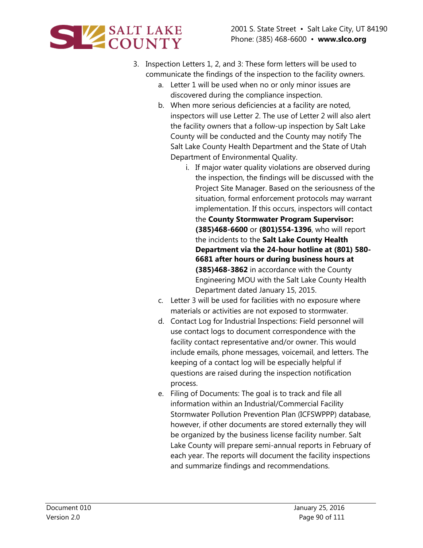

- 3. Inspection Letters 1, 2, and 3: These form letters will be used to communicate the findings of the inspection to the facility owners.
	- a. Letter 1 will be used when no or only minor issues are discovered during the compliance inspection.
	- b. When more serious deficiencies at a facility are noted, inspectors will use Letter 2. The use of Letter 2 will also alert the facility owners that a follow-up inspection by Salt Lake County will be conducted and the County may notify The Salt Lake County Health Department and the State of Utah Department of Environmental Quality.
		- i. If major water quality violations are observed during the inspection, the findings will be discussed with the Project Site Manager. Based on the seriousness of the situation, formal enforcement protocols may warrant implementation. If this occurs, inspectors will contact the **County Stormwater Program Supervisor: (385)468-6600** or **(801)554-1396**, who will report the incidents to the **Salt Lake County Health Department via the 24-hour hotline at (801) 580- 6681 after hours or during business hours at (385)468-3862** in accordance with the County Engineering MOU with the Salt Lake County Health Department dated January 15, 2015.
	- c. Letter 3 will be used for facilities with no exposure where materials or activities are not exposed to stormwater.
	- d. Contact Log for Industrial Inspections: Field personnel will use contact logs to document correspondence with the facility contact representative and/or owner. This would include emails, phone messages, voicemail, and letters. The keeping of a contact log will be especially helpful if questions are raised during the inspection notification process.
	- e. Filing of Documents: The goal is to track and file all information within an Industrial/Commercial Facility Stormwater Pollution Prevention Plan (ICFSWPPP) database, however, if other documents are stored externally they will be organized by the business license facility number. Salt Lake County will prepare semi-annual reports in February of each year. The reports will document the facility inspections and summarize findings and recommendations.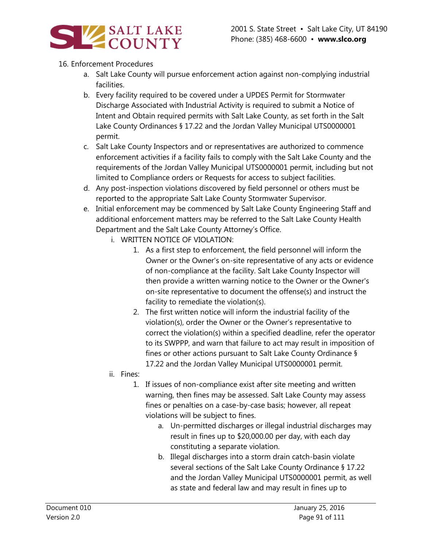

## 16. Enforcement Procedures

- a. Salt Lake County will pursue enforcement action against non-complying industrial facilities.
- b. Every facility required to be covered under a UPDES Permit for Stormwater Discharge Associated with Industrial Activity is required to submit a Notice of Intent and Obtain required permits with Salt Lake County, as set forth in the Salt Lake County Ordinances § 17.22 and the Jordan Valley Municipal UTS0000001 permit.
- c. Salt Lake County Inspectors and or representatives are authorized to commence enforcement activities if a facility fails to comply with the Salt Lake County and the requirements of the Jordan Valley Municipal UTS0000001 permit, including but not limited to Compliance orders or Requests for access to subject facilities.
- d. Any post-inspection violations discovered by field personnel or others must be reported to the appropriate Salt Lake County Stormwater Supervisor.
- e. Initial enforcement may be commenced by Salt Lake County Engineering Staff and additional enforcement matters may be referred to the Salt Lake County Health Department and the Salt Lake County Attorney's Office.
	- i. WRITTEN NOTICE OF VIOLATION:
		- 1. As a first step to enforcement, the field personnel will inform the Owner or the Owner's on-site representative of any acts or evidence of non-compliance at the facility. Salt Lake County Inspector will then provide a written warning notice to the Owner or the Owner's on-site representative to document the offense(s) and instruct the facility to remediate the violation(s).
		- 2. The first written notice will inform the industrial facility of the violation(s), order the Owner or the Owner's representative to correct the violation(s) within a specified deadline, refer the operator to its SWPPP, and warn that failure to act may result in imposition of fines or other actions pursuant to Salt Lake County Ordinance § 17.22 and the Jordan Valley Municipal UTS0000001 permit.
	- ii. Fines:
		- 1. If issues of non-compliance exist after site meeting and written warning, then fines may be assessed. Salt Lake County may assess fines or penalties on a case-by-case basis; however, all repeat violations will be subject to fines.
			- a. Un-permitted discharges or illegal industrial discharges may result in fines up to \$20,000.00 per day, with each day constituting a separate violation.
			- b. Illegal discharges into a storm drain catch-basin violate several sections of the Salt Lake County Ordinance § 17.22 and the Jordan Valley Municipal UTS0000001 permit, as well as state and federal law and may result in fines up to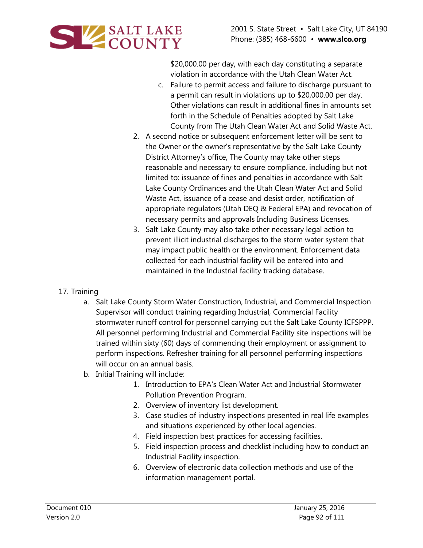

\$20,000.00 per day, with each day constituting a separate violation in accordance with the Utah Clean Water Act.

- c. Failure to permit access and failure to discharge pursuant to a permit can result in violations up to \$20,000.00 per day. Other violations can result in additional fines in amounts set forth in the Schedule of Penalties adopted by Salt Lake County from The Utah Clean Water Act and Solid Waste Act.
- 2. A second notice or subsequent enforcement letter will be sent to the Owner or the owner's representative by the Salt Lake County District Attorney's office, The County may take other steps reasonable and necessary to ensure compliance, including but not limited to: issuance of fines and penalties in accordance with Salt Lake County Ordinances and the Utah Clean Water Act and Solid Waste Act, issuance of a cease and desist order, notification of appropriate regulators (Utah DEQ & Federal EPA) and revocation of necessary permits and approvals Including Business Licenses.
- 3. Salt Lake County may also take other necessary legal action to prevent illicit industrial discharges to the storm water system that may impact public health or the environment. Enforcement data collected for each industrial facility will be entered into and maintained in the Industrial facility tracking database.

## 17. Training

- a. Salt Lake County Storm Water Construction, Industrial, and Commercial Inspection Supervisor will conduct training regarding Industrial, Commercial Facility stormwater runoff control for personnel carrying out the Salt Lake County ICFSPPP. All personnel performing Industrial and Commercial Facility site inspections will be trained within sixty (60) days of commencing their employment or assignment to perform inspections. Refresher training for all personnel performing inspections will occur on an annual basis.
- b. Initial Training will include:
	- 1. Introduction to EPA's Clean Water Act and Industrial Stormwater Pollution Prevention Program.
	- 2. Overview of inventory list development.
	- 3. Case studies of industry inspections presented in real life examples and situations experienced by other local agencies.
	- 4. Field inspection best practices for accessing facilities.
	- 5. Field inspection process and checklist including how to conduct an Industrial Facility inspection.
	- 6. Overview of electronic data collection methods and use of the information management portal.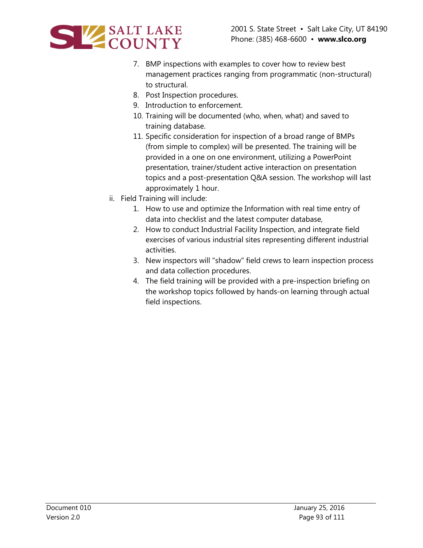

- 7. BMP inspections with examples to cover how to review best management practices ranging from programmatic (non-structural) to structural.
- 8. Post Inspection procedures.
- 9. Introduction to enforcement.
- 10. Training will be documented (who, when, what) and saved to training database.
- 11. Specific consideration for inspection of a broad range of BMPs (from simple to complex) will be presented. The training will be provided in a one on one environment, utilizing a PowerPoint presentation, trainer/student active interaction on presentation topics and a post-presentation Q&A session. The workshop will last approximately 1 hour.
- ii. Field Training will include:
	- 1. How to use and optimize the Information with real time entry of data into checklist and the latest computer database,
	- 2. How to conduct Industrial Facility Inspection, and integrate field exercises of various industrial sites representing different industrial activities.
	- 3. New inspectors will "shadow" field crews to learn inspection process and data collection procedures.
	- 4. The field training will be provided with a pre-inspection briefing on the workshop topics followed by hands-on learning through actual field inspections.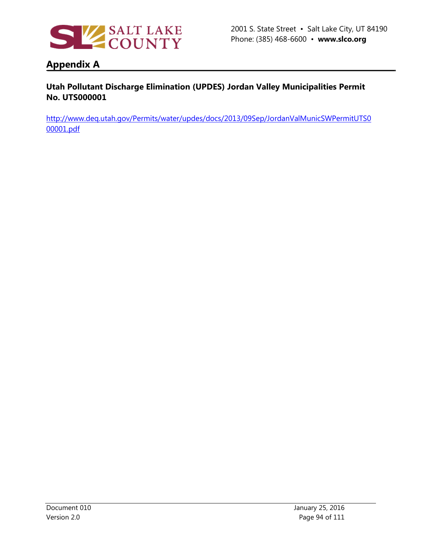

# **Appendix A**

## **Utah Pollutant Discharge Elimination (UPDES) Jordan Valley Municipalities Permit No. UTS000001**

[http://www.deq.utah.gov/Permits/water/updes/docs/2013/09Sep/JordanValMunicSWPermitUTS0](http://www.deq.utah.gov/Permits/water/updes/docs/2013/09Sep/JordanValMunicSWPermitUTS000001.pdf) [00001.pdf](http://www.deq.utah.gov/Permits/water/updes/docs/2013/09Sep/JordanValMunicSWPermitUTS000001.pdf)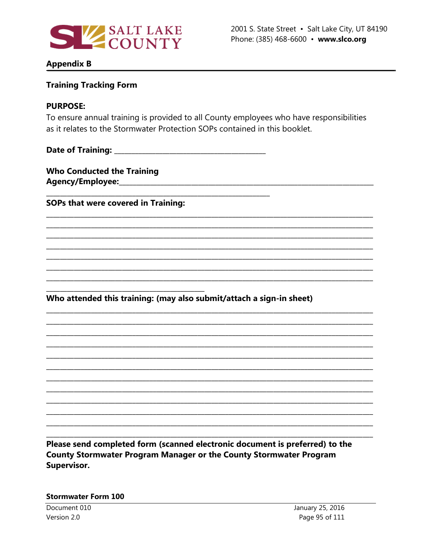

### **Appendix B**

## **Training Tracking Form**

#### **PURPOSE:**

To ensure annual training is provided to all County employees who have responsibilities as it relates to the Stormwater Protection SOPs contained in this booklet.

**Who Conducted the Training** 

SOPs that were covered in Training:

Who attended this training: (may also submit/attach a sign-in sheet)

Please send completed form (scanned electronic document is preferred) to the **County Stormwater Program Manager or the County Stormwater Program** Supervisor.

#### **Stormwater Form 100**

Document 010 Version 2.0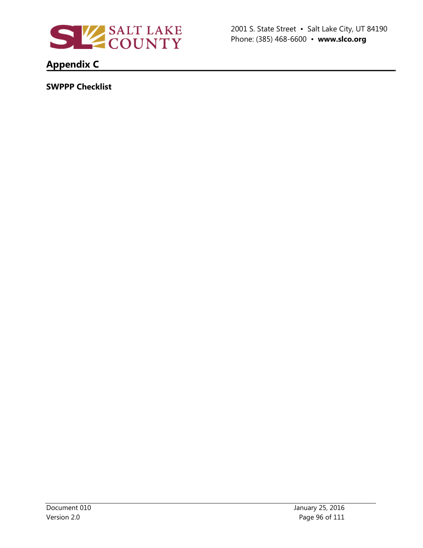

2001 S. State Street • Salt Lake City, UT 84190 Phone: (385) 468-6600 • **www.slco.org**

# **Appendix C**

**SWPPP Checklist**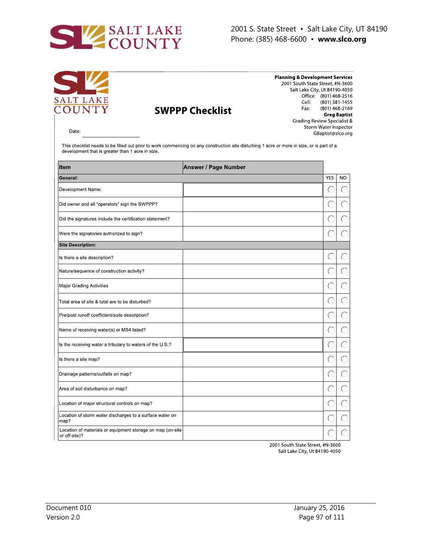

| SĽ<br><b>Planning &amp; Development Services</b><br>2001 South State Street, #N-3600<br>Salt Lake City, Ut 84190-4050<br>SALT LAKE<br>COUNTY<br>Cell:<br>Fax:<br><b>SWPPP Checklist</b><br>Grading Review Specialist &<br>Date:<br>This checklist needs to be filled out prior to work commencing on any construction site disturbing 1 acre or more in size, or is part of a<br>development that is greater than 1 acre in size. |                             |  |            | Office: (801) 468-2516<br>(801) 381-1455<br>(801) 468-2169<br><b>Greg Baptist</b><br>Storm Water Inspector<br>GBaptist@slco.org |  |
|-----------------------------------------------------------------------------------------------------------------------------------------------------------------------------------------------------------------------------------------------------------------------------------------------------------------------------------------------------------------------------------------------------------------------------------|-----------------------------|--|------------|---------------------------------------------------------------------------------------------------------------------------------|--|
| Item                                                                                                                                                                                                                                                                                                                                                                                                                              | <b>Answer / Page Number</b> |  |            |                                                                                                                                 |  |
| General:                                                                                                                                                                                                                                                                                                                                                                                                                          |                             |  | <b>YES</b> | <b>NO</b>                                                                                                                       |  |
| Development Name:                                                                                                                                                                                                                                                                                                                                                                                                                 |                             |  |            | Ο.                                                                                                                              |  |
| Did owner and all "operators" sign the SWPPP?                                                                                                                                                                                                                                                                                                                                                                                     |                             |  |            |                                                                                                                                 |  |
| Did the signatures include the certification statement?                                                                                                                                                                                                                                                                                                                                                                           |                             |  |            |                                                                                                                                 |  |
| Were the signatories authorized to sign?                                                                                                                                                                                                                                                                                                                                                                                          |                             |  |            |                                                                                                                                 |  |
| <b>Site Description:</b>                                                                                                                                                                                                                                                                                                                                                                                                          |                             |  |            |                                                                                                                                 |  |
| Is there a site description?                                                                                                                                                                                                                                                                                                                                                                                                      |                             |  |            | ( .                                                                                                                             |  |
| Nature/sequence of construction activity?                                                                                                                                                                                                                                                                                                                                                                                         |                             |  |            |                                                                                                                                 |  |
| Major Grading Activities                                                                                                                                                                                                                                                                                                                                                                                                          |                             |  |            |                                                                                                                                 |  |
| Total area of site & total are to be disturbed?                                                                                                                                                                                                                                                                                                                                                                                   |                             |  |            |                                                                                                                                 |  |
| Pre/post runoff coefficient/soils description?                                                                                                                                                                                                                                                                                                                                                                                    |                             |  |            |                                                                                                                                 |  |
| Name of receiving water(s) or MS4 listed?                                                                                                                                                                                                                                                                                                                                                                                         |                             |  |            |                                                                                                                                 |  |
| Is the receiving water a tributary to waters of the U.S.?                                                                                                                                                                                                                                                                                                                                                                         |                             |  |            |                                                                                                                                 |  |
| Is there a site map?                                                                                                                                                                                                                                                                                                                                                                                                              |                             |  |            |                                                                                                                                 |  |
| Drainage patterns/outfalls on map?                                                                                                                                                                                                                                                                                                                                                                                                |                             |  |            |                                                                                                                                 |  |
| Area of soil disturbance on map?                                                                                                                                                                                                                                                                                                                                                                                                  |                             |  |            |                                                                                                                                 |  |
| Location of major structural controls on map?                                                                                                                                                                                                                                                                                                                                                                                     |                             |  |            |                                                                                                                                 |  |
| Location of storm water discharges to a surface water on<br>map?                                                                                                                                                                                                                                                                                                                                                                  |                             |  |            |                                                                                                                                 |  |
| Location of materials or equipment storage on map (on-site<br>or off-site)?                                                                                                                                                                                                                                                                                                                                                       |                             |  |            |                                                                                                                                 |  |

2001 South State Street, #N-3600 Salt Lake City, Ut 84190-4050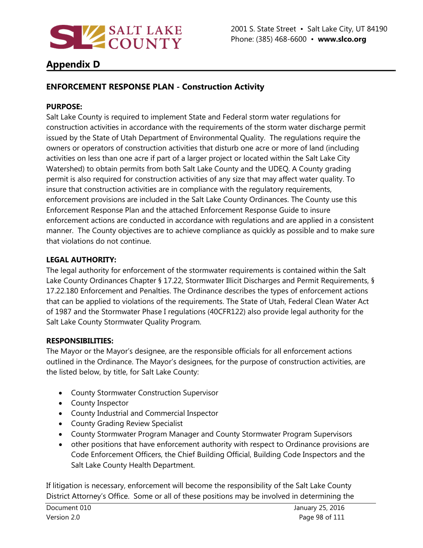

# **Appendix D**

## **ENFORCEMENT RESPONSE PLAN - Construction Activity**

### **PURPOSE:**

Salt Lake County is required to implement State and Federal storm water regulations for construction activities in accordance with the requirements of the storm water discharge permit issued by the State of Utah Department of Environmental Quality. The regulations require the owners or operators of construction activities that disturb one acre or more of land (including activities on less than one acre if part of a larger project or located within the Salt Lake City Watershed) to obtain permits from both Salt Lake County and the UDEQ. A County grading permit is also required for construction activities of any size that may affect water quality. To insure that construction activities are in compliance with the regulatory requirements, enforcement provisions are included in the Salt Lake County Ordinances. The County use this Enforcement Response Plan and the attached Enforcement Response Guide to insure enforcement actions are conducted in accordance with regulations and are applied in a consistent manner. The County objectives are to achieve compliance as quickly as possible and to make sure that violations do not continue.

## **LEGAL AUTHORITY:**

The legal authority for enforcement of the stormwater requirements is contained within the Salt Lake County Ordinances Chapter § 17.22, Stormwater Illicit Discharges and Permit Requirements, § 17.22.180 Enforcement and Penalties. The Ordinance describes the types of enforcement actions that can be applied to violations of the requirements. The State of Utah, Federal Clean Water Act of 1987 and the Stormwater Phase I regulations (40CFR122) also provide legal authority for the Salt Lake County Stormwater Quality Program.

## **RESPONSIBILITIES:**

The Mayor or the Mayor's designee, are the responsible officials for all enforcement actions outlined in the Ordinance. The Mayor's designees, for the purpose of construction activities, are the listed below, by title, for Salt Lake County:

- County Stormwater Construction Supervisor
- County Inspector
- County Industrial and Commercial Inspector
- County Grading Review Specialist
- County Stormwater Program Manager and County Stormwater Program Supervisors
- other positions that have enforcement authority with respect to Ordinance provisions are Code Enforcement Officers, the Chief Building Official, Building Code Inspectors and the Salt Lake County Health Department.

If litigation is necessary, enforcement will become the responsibility of the Salt Lake County District Attorney's Office. Some or all of these positions may be involved in determining the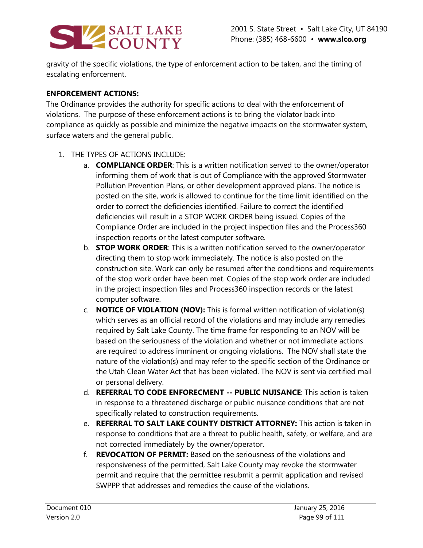

gravity of the specific violations, the type of enforcement action to be taken, and the timing of escalating enforcement.

### **ENFORCEMENT ACTIONS:**

The Ordinance provides the authority for specific actions to deal with the enforcement of violations. The purpose of these enforcement actions is to bring the violator back into compliance as quickly as possible and minimize the negative impacts on the stormwater system, surface waters and the general public.

- 1. THE TYPES OF ACTIONS INCLUDE:
	- a. **COMPLIANCE ORDER**: This is a written notification served to the owner/operator informing them of work that is out of Compliance with the approved Stormwater Pollution Prevention Plans, or other development approved plans. The notice is posted on the site, work is allowed to continue for the time limit identified on the order to correct the deficiencies identified. Failure to correct the identified deficiencies will result in a STOP WORK ORDER being issued. Copies of the Compliance Order are included in the project inspection files and the Process360 inspection reports or the latest computer software.
	- b. **STOP WORK ORDER**: This is a written notification served to the owner/operator directing them to stop work immediately. The notice is also posted on the construction site. Work can only be resumed after the conditions and requirements of the stop work order have been met. Copies of the stop work order are included in the project inspection files and Process360 inspection records or the latest computer software.
	- c. **NOTICE OF VIOLATION (NOV):** This is formal written notification of violation(s) which serves as an official record of the violations and may include any remedies required by Salt Lake County. The time frame for responding to an NOV will be based on the seriousness of the violation and whether or not immediate actions are required to address imminent or ongoing violations. The NOV shall state the nature of the violation(s) and may refer to the specific section of the Ordinance or the Utah Clean Water Act that has been violated. The NOV is sent via certified mail or personal delivery.
	- d. **REFERRAL TO CODE ENFORECMENT -- PUBLIC NUISANCE**: This action is taken in response to a threatened discharge or public nuisance conditions that are not specifically related to construction requirements.
	- e. **REFERRAL TO SALT LAKE COUNTY DISTRICT ATTORNEY:** This action is taken in response to conditions that are a threat to public health, safety, or welfare, and are not corrected immediately by the owner/operator.
	- f. **REVOCATION OF PERMIT:** Based on the seriousness of the violations and responsiveness of the permitted, Salt Lake County may revoke the stormwater permit and require that the permittee resubmit a permit application and revised SWPPP that addresses and remedies the cause of the violations.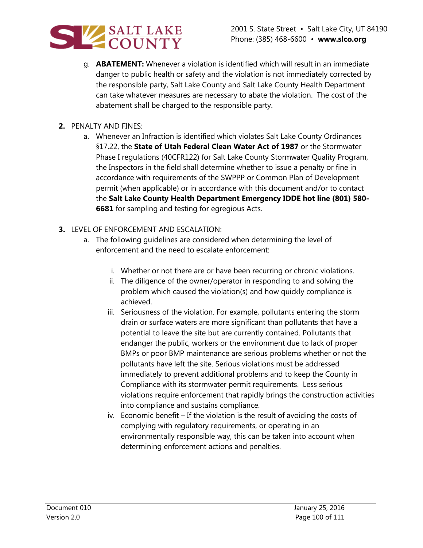

- g. **ABATEMENT:** Whenever a violation is identified which will result in an immediate danger to public health or safety and the violation is not immediately corrected by the responsible party, Salt Lake County and Salt Lake County Health Department can take whatever measures are necessary to abate the violation. The cost of the abatement shall be charged to the responsible party.
- **2.** PENALTY AND FINES:
	- a. Whenever an Infraction is identified which violates Salt Lake County Ordinances §17.22, the **State of Utah Federal Clean Water Act of 1987** or the Stormwater Phase I regulations (40CFR122) for Salt Lake County Stormwater Quality Program, the Inspectors in the field shall determine whether to issue a penalty or fine in accordance with requirements of the SWPPP or Common Plan of Development permit (when applicable) or in accordance with this document and/or to contact the **Salt Lake County Health Department Emergency IDDE hot line (801) 580- 6681** for sampling and testing for egregious Acts.
- **3.** LEVEL OF ENFORCEMENT AND ESCALATION:
	- a. The following guidelines are considered when determining the level of enforcement and the need to escalate enforcement:
		- i. Whether or not there are or have been recurring or chronic violations.
		- ii. The diligence of the owner/operator in responding to and solving the problem which caused the violation(s) and how quickly compliance is achieved.
		- iii. Seriousness of the violation. For example, pollutants entering the storm drain or surface waters are more significant than pollutants that have a potential to leave the site but are currently contained. Pollutants that endanger the public, workers or the environment due to lack of proper BMPs or poor BMP maintenance are serious problems whether or not the pollutants have left the site. Serious violations must be addressed immediately to prevent additional problems and to keep the County in Compliance with its stormwater permit requirements. Less serious violations require enforcement that rapidly brings the construction activities into compliance and sustains compliance.
		- iv. Economic benefit If the violation is the result of avoiding the costs of complying with regulatory requirements, or operating in an environmentally responsible way, this can be taken into account when determining enforcement actions and penalties.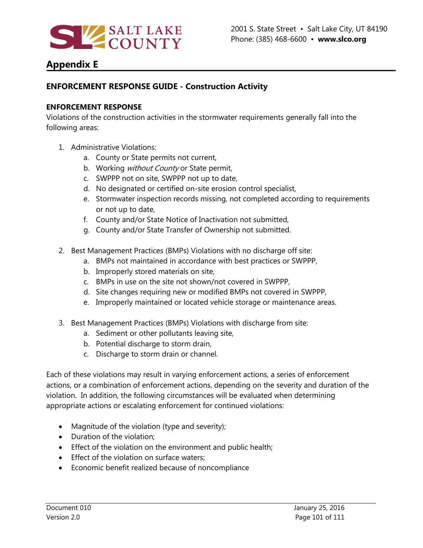

# **Appendix E**

## **ENFORCEMENT RESPONSE GUIDE - Construction Activity**

#### **ENFORCEMENT RESPONSE**

Violations of the construction activities in the stormwater requirements generally fall into the following areas:

- 1. Administrative Violations:
	- a. County or State permits not current,
	- b. Working without County or State permit,
	- c. SWPPP not on site, SWPPP not up to date,
	- d. No designated or certified on-site erosion control specialist,
	- e. Stormwater inspection records missing, not completed according to requirements or not up to date,
	- f. County and/or State Notice of Inactivation not submitted,
	- g. County and/or State Transfer of Ownership not submitted.
- 2. Best Management Practices (BMPs) Violations with no discharge off site:
	- a. BMPs not maintained in accordance with best practices or SWPPP,
	- b. Improperly stored materials on site,
	- c. BMPs in use on the site not shown/not covered in SWPPP,
	- d. Site changes requiring new or modified BMPs not covered in SWPPP,
	- e. Improperly maintained or located vehicle storage or maintenance areas.
- 3. Best Management Practices (BMPs) Violations with discharge from site:
	- a. Sediment or other pollutants leaving site,
	- b. Potential discharge to storm drain,
	- c. Discharge to storm drain or channel.

Each of these violations may result in varying enforcement actions, a series of enforcement actions, or a combination of enforcement actions, depending on the severity and duration of the violation. In addition, the following circumstances will be evaluated when determining appropriate actions or escalating enforcement for continued violations:

- Magnitude of the violation (type and severity);
- Duration of the violation;
- Effect of the violation on the environment and public health;
- Effect of the violation on surface waters;
- Economic benefit realized because of noncompliance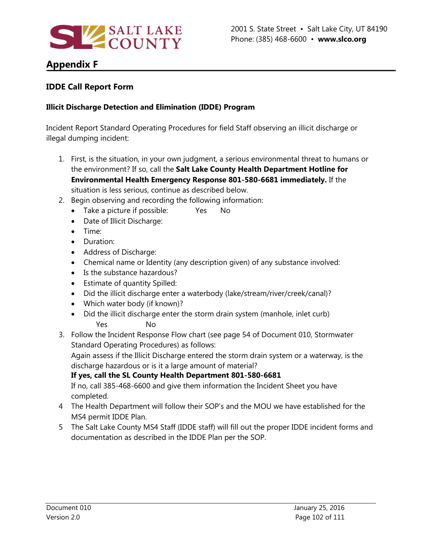

# **Appendix F**

## **IDDE Call Report Form**

### **Illicit Discharge Detection and Elimination (IDDE) Program**

Incident Report Standard Operating Procedures for field Staff observing an illicit discharge or illegal dumping incident:

- 1. First, is the situation, in your own judgment, a serious environmental threat to humans or the environment? If so, call the **Salt Lake County Health Department Hotline for Environmental Health Emergency Response 801-580-6681 immediately.** If the situation is less serious, continue as described below.
- 2. Begin observing and recording the following information:
	- Take a picture if possible: Yes No
	- Date of Illicit Discharge:
	- Time:
	- Duration:
	- Address of Discharge:
	- Chemical name or Identity (any description given) of any substance involved:
	- Is the substance hazardous?
	- Estimate of quantity Spilled:
	- Did the illicit discharge enter a waterbody (lake/stream/river/creek/canal)?
	- Which water body (if known)?
	- Did the illicit discharge enter the storm drain system (manhole, inlet curb) Yes No
- 3. Follow the Incident Response Flow chart (see page 54 of Document 010, Stormwater Standard Operating Procedures) as follows:

Again assess if the Illicit Discharge entered the storm drain system or a waterway, is the discharge hazardous or is it a large amount of material?

**If yes, call the SL County Health Department 801-580-6681**

If no, call 385-468-6600 and give them information the Incident Sheet you have completed.

- 4 The Health Department will follow their SOP's and the MOU we have established for the MS4 permit IDDE Plan.
- 5 The Salt Lake County MS4 Staff (IDDE staff) will fill out the proper IDDE incident forms and documentation as described in the IDDE Plan per the SOP.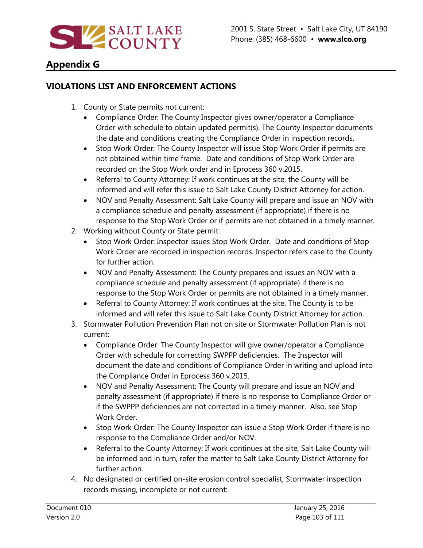

# **Appendix G**

## **VIOLATIONS LIST AND ENFORCEMENT ACTIONS**

- 1. County or State permits not current:
	- Compliance Order: The County Inspector gives owner/operator a Compliance Order with schedule to obtain updated permit(s). The County Inspector documents the date and conditions creating the Compliance Order in inspection records.
	- Stop Work Order: The County Inspector will issue Stop Work Order if permits are not obtained within time frame. Date and conditions of Stop Work Order are recorded on the Stop Work order and in Eprocess 360 v.2015.
	- Referral to County Attorney: If work continues at the site, the County will be informed and will refer this issue to Salt Lake County District Attorney for action.
	- NOV and Penalty Assessment: Salt Lake County will prepare and issue an NOV with a compliance schedule and penalty assessment (if appropriate) if there is no response to the Stop Work Order or if permits are not obtained in a timely manner.
- 2. Working without County or State permit:
	- Stop Work Order: Inspector issues Stop Work Order. Date and conditions of Stop Work Order are recorded in inspection records. Inspector refers case to the County for further action.
	- NOV and Penalty Assessment: The County prepares and issues an NOV with a compliance schedule and penalty assessment (if appropriate) if there is no response to the Stop Work Order or permits are not obtained in a timely manner.
	- Referral to County Attorney: If work continues at the site, The County is to be informed and will refer this issue to Salt Lake County District Attorney for action.
- 3. Stormwater Pollution Prevention Plan not on site or Stormwater Pollution Plan is not current:
	- Compliance Order: The County Inspector will give owner/operator a Compliance Order with schedule for correcting SWPPP deficiencies. The Inspector will document the date and conditions of Compliance Order in writing and upload into the Compliance Order in Eprocess 360 v.2015.
	- NOV and Penalty Assessment: The County will prepare and issue an NOV and penalty assessment (if appropriate) if there is no response to Compliance Order or if the SWPPP deficiencies are not corrected in a timely manner. Also, see Stop Work Order.
	- Stop Work Order: The County Inspector can issue a Stop Work Order if there is no response to the Compliance Order and/or NOV.
	- Referral to the County Attorney: If work continues at the site, Salt Lake County will be informed and in turn, refer the matter to Salt Lake County District Attorney for further action.
- 4. No designated or certified on-site erosion control specialist, Stormwater inspection records missing, incomplete or not current: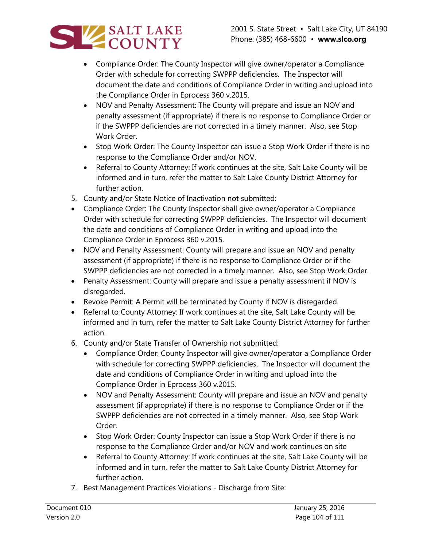

- Compliance Order: The County Inspector will give owner/operator a Compliance Order with schedule for correcting SWPPP deficiencies. The Inspector will document the date and conditions of Compliance Order in writing and upload into the Compliance Order in Eprocess 360 v.2015.
- NOV and Penalty Assessment: The County will prepare and issue an NOV and penalty assessment (if appropriate) if there is no response to Compliance Order or if the SWPPP deficiencies are not corrected in a timely manner. Also, see Stop Work Order.
- Stop Work Order: The County Inspector can issue a Stop Work Order if there is no response to the Compliance Order and/or NOV.
- Referral to County Attorney: If work continues at the site, Salt Lake County will be informed and in turn, refer the matter to Salt Lake County District Attorney for further action.
- 5. County and/or State Notice of Inactivation not submitted:
- Compliance Order: The County Inspector shall give owner/operator a Compliance Order with schedule for correcting SWPPP deficiencies. The Inspector will document the date and conditions of Compliance Order in writing and upload into the Compliance Order in Eprocess 360 v.2015.
- NOV and Penalty Assessment: County will prepare and issue an NOV and penalty assessment (if appropriate) if there is no response to Compliance Order or if the SWPPP deficiencies are not corrected in a timely manner. Also, see Stop Work Order.
- Penalty Assessment: County will prepare and issue a penalty assessment if NOV is disregarded.
- Revoke Permit: A Permit will be terminated by County if NOV is disregarded.
- Referral to County Attorney: If work continues at the site, Salt Lake County will be informed and in turn, refer the matter to Salt Lake County District Attorney for further action.
- 6. County and/or State Transfer of Ownership not submitted:
	- Compliance Order: County Inspector will give owner/operator a Compliance Order with schedule for correcting SWPPP deficiencies. The Inspector will document the date and conditions of Compliance Order in writing and upload into the Compliance Order in Eprocess 360 v.2015.
	- NOV and Penalty Assessment: County will prepare and issue an NOV and penalty assessment (if appropriate) if there is no response to Compliance Order or if the SWPPP deficiencies are not corrected in a timely manner. Also, see Stop Work Order.
	- Stop Work Order: County Inspector can issue a Stop Work Order if there is no response to the Compliance Order and/or NOV and work continues on site
	- Referral to County Attorney: If work continues at the site, Salt Lake County will be informed and in turn, refer the matter to Salt Lake County District Attorney for further action.
- 7. Best Management Practices Violations Discharge from Site: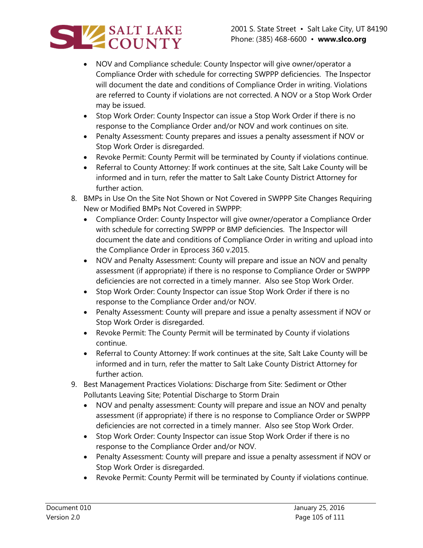

- NOV and Compliance schedule: County Inspector will give owner/operator a Compliance Order with schedule for correcting SWPPP deficiencies. The Inspector will document the date and conditions of Compliance Order in writing. Violations are referred to County if violations are not corrected. A NOV or a Stop Work Order may be issued.
- Stop Work Order: County Inspector can issue a Stop Work Order if there is no response to the Compliance Order and/or NOV and work continues on site.
- Penalty Assessment: County prepares and issues a penalty assessment if NOV or Stop Work Order is disregarded.
- Revoke Permit: County Permit will be terminated by County if violations continue.
- Referral to County Attorney: If work continues at the site, Salt Lake County will be informed and in turn, refer the matter to Salt Lake County District Attorney for further action.
- 8. BMPs in Use On the Site Not Shown or Not Covered in SWPPP Site Changes Requiring New or Modified BMPs Not Covered in SWPPP:
	- Compliance Order: County Inspector will give owner/operator a Compliance Order with schedule for correcting SWPPP or BMP deficiencies. The Inspector will document the date and conditions of Compliance Order in writing and upload into the Compliance Order in Eprocess 360 v.2015.
	- NOV and Penalty Assessment: County will prepare and issue an NOV and penalty assessment (if appropriate) if there is no response to Compliance Order or SWPPP deficiencies are not corrected in a timely manner. Also see Stop Work Order.
	- Stop Work Order: County Inspector can issue Stop Work Order if there is no response to the Compliance Order and/or NOV.
	- Penalty Assessment: County will prepare and issue a penalty assessment if NOV or Stop Work Order is disregarded.
	- Revoke Permit: The County Permit will be terminated by County if violations continue.
	- Referral to County Attorney: If work continues at the site, Salt Lake County will be informed and in turn, refer the matter to Salt Lake County District Attorney for further action.
- 9. Best Management Practices Violations: Discharge from Site: Sediment or Other Pollutants Leaving Site; Potential Discharge to Storm Drain
	- NOV and penalty assessment: County will prepare and issue an NOV and penalty assessment (if appropriate) if there is no response to Compliance Order or SWPPP deficiencies are not corrected in a timely manner. Also see Stop Work Order.
	- Stop Work Order: County Inspector can issue Stop Work Order if there is no response to the Compliance Order and/or NOV.
	- Penalty Assessment: County will prepare and issue a penalty assessment if NOV or Stop Work Order is disregarded.
	- Revoke Permit: County Permit will be terminated by County if violations continue.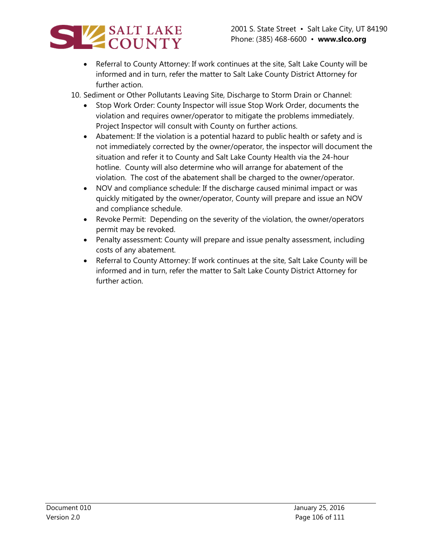

- Referral to County Attorney: If work continues at the site, Salt Lake County will be informed and in turn, refer the matter to Salt Lake County District Attorney for further action.
- 10. Sediment or Other Pollutants Leaving Site, Discharge to Storm Drain or Channel:
	- Stop Work Order: County Inspector will issue Stop Work Order, documents the violation and requires owner/operator to mitigate the problems immediately. Project Inspector will consult with County on further actions.
	- Abatement: If the violation is a potential hazard to public health or safety and is not immediately corrected by the owner/operator, the inspector will document the situation and refer it to County and Salt Lake County Health via the 24-hour hotline. County will also determine who will arrange for abatement of the violation. The cost of the abatement shall be charged to the owner/operator.
	- NOV and compliance schedule: If the discharge caused minimal impact or was quickly mitigated by the owner/operator, County will prepare and issue an NOV and compliance schedule.
	- Revoke Permit: Depending on the severity of the violation, the owner/operators permit may be revoked.
	- Penalty assessment: County will prepare and issue penalty assessment, including costs of any abatement.
	- Referral to County Attorney: If work continues at the site, Salt Lake County will be informed and in turn, refer the matter to Salt Lake County District Attorney for further action.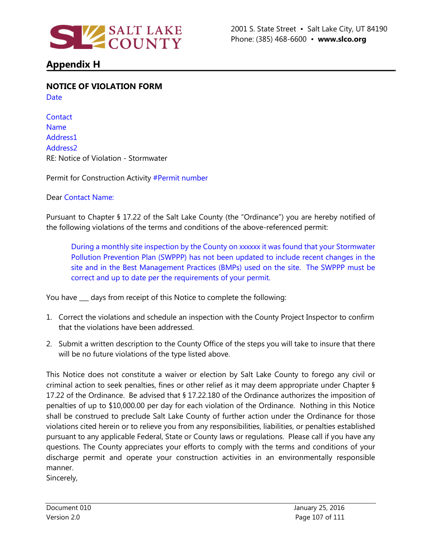

# **Appendix H**

**NOTICE OF VIOLATION FORM**

Date

**Contact** Name Address1 Address2 RE: Notice of Violation - Stormwater

Permit for Construction Activity #Permit number

Dear Contact Name:

Pursuant to Chapter § 17.22 of the Salt Lake County (the "Ordinance") you are hereby notified of the following violations of the terms and conditions of the above-referenced permit:

During a monthly site inspection by the County on xxxxxx it was found that your Stormwater Pollution Prevention Plan (SWPPP) has not been updated to include recent changes in the site and in the Best Management Practices (BMPs) used on the site. The SWPPP must be correct and up to date per the requirements of your permit.

You have \_\_\_ days from receipt of this Notice to complete the following:

- 1. Correct the violations and schedule an inspection with the County Project Inspector to confirm that the violations have been addressed.
- 2. Submit a written description to the County Office of the steps you will take to insure that there will be no future violations of the type listed above.

This Notice does not constitute a waiver or election by Salt Lake County to forego any civil or criminal action to seek penalties, fines or other relief as it may deem appropriate under Chapter § 17.22 of the Ordinance. Be advised that § 17.22.180 of the Ordinance authorizes the imposition of penalties of up to \$10,000.00 per day for each violation of the Ordinance. Nothing in this Notice shall be construed to preclude Salt Lake County of further action under the Ordinance for those violations cited herein or to relieve you from any responsibilities, liabilities, or penalties established pursuant to any applicable Federal, State or County laws or regulations. Please call if you have any questions. The County appreciates your efforts to comply with the terms and conditions of your discharge permit and operate your construction activities in an environmentally responsible manner.

Sincerely,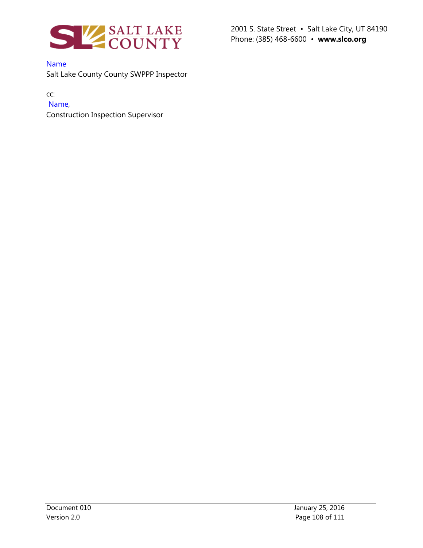

Name

Salt Lake County County SWPPP Inspector

cc:

## Name,

Construction Inspection Supervisor

2001 S. State Street • Salt Lake City, UT 84190 Phone: (385) 468-6600 • **www.slco.org**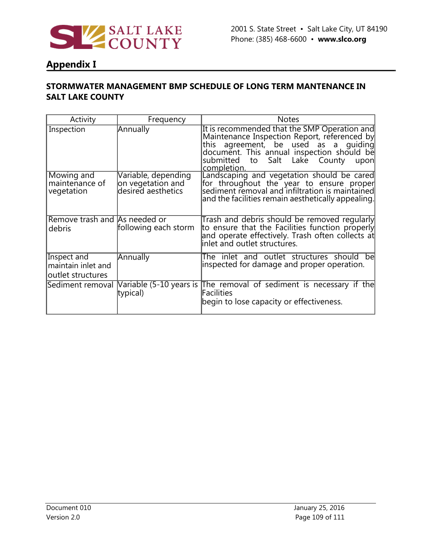

## **Appendix I**

### **STORMWATER MANAGEMENT BMP SCHEDULE OF LONG TERM MANTENANCE IN SALT LAKE COUNTY**

| Activity                                               | Frequency                                                      | <b>Notes</b>                                                                                                                                                                                                                                  |
|--------------------------------------------------------|----------------------------------------------------------------|-----------------------------------------------------------------------------------------------------------------------------------------------------------------------------------------------------------------------------------------------|
| Inspection                                             | Annually                                                       | It is recommended that the SMP Operation and<br>Maintenance Inspection Report, referenced by<br>this agreement, be used as a guiding<br>document. This annual inspection should be<br>to Salt Lake County<br>submitted<br>upon<br>completion. |
| Mowing and<br>maintenance of<br>vegetation             | Variable, depending<br>on vegetation and<br>desired aesthetics | Landscaping and vegetation should be cared<br>for throughout the year to ensure proper<br>sediment removal and infiltration is maintained<br>and the facilities remain aesthetically appealing.                                               |
| Remove trash and As needed or<br>debris                | following each storm                                           | Trash and debris should be removed regularly<br>to ensure that the Facilities function properly<br>and operate effectively. Trash often collects at<br>inlet and outlet structures.                                                           |
| Inspect and<br>maintain inlet and<br>outlet structures | Annually                                                       | The inlet and outlet structures should<br>bel<br>inspected for damage and proper operation.                                                                                                                                                   |
| Sediment removal                                       | typical)                                                       | Nariable (5-10 years is The removal of sediment is necessary if the<br>Facilities<br>begin to lose capacity or effectiveness.                                                                                                                 |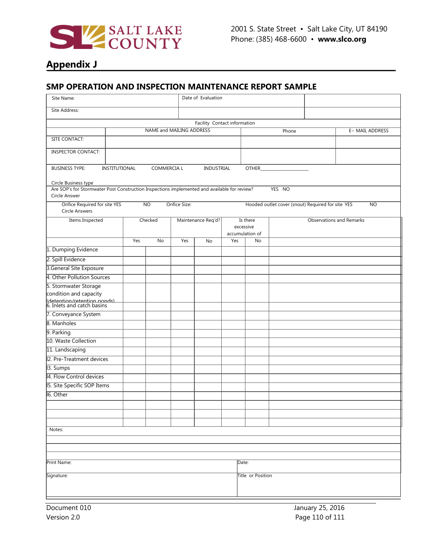

# **Appendix J**

#### **SMP OPERATION AND INSPECTION MAINTENANCE REPORT SAMPLE**

| Site Name:                                                                                                                            |                                                      |                 |    |                    | Date of Evaluation           |                                          |    |                                                   |                                 |           |
|---------------------------------------------------------------------------------------------------------------------------------------|------------------------------------------------------|-----------------|----|--------------------|------------------------------|------------------------------------------|----|---------------------------------------------------|---------------------------------|-----------|
| Site Address:                                                                                                                         |                                                      |                 |    |                    |                              |                                          |    |                                                   |                                 |           |
|                                                                                                                                       |                                                      |                 |    |                    | Facility Contact information |                                          |    |                                                   |                                 |           |
|                                                                                                                                       | NAME and MAILING ADDRESS<br>E- MAIL ADDRESS<br>Phone |                 |    |                    |                              |                                          |    |                                                   |                                 |           |
| SITE CONTACT:                                                                                                                         |                                                      |                 |    |                    |                              |                                          |    |                                                   |                                 |           |
| <b>INSPECTOR CONTACT:</b>                                                                                                             |                                                      |                 |    |                    |                              |                                          |    |                                                   |                                 |           |
| COMMERCIA L<br><b>BUSINESS TYPE:</b><br>INSTITUTIONAL<br>INDUSTRIAL<br>OTHER                                                          |                                                      |                 |    |                    |                              |                                          |    |                                                   |                                 |           |
| Circle Business type<br>Are SOP's for Stormwater Post Construction Inspections implemented and available for review?<br>Circle Answer |                                                      |                 |    |                    |                              |                                          |    | YES NO                                            |                                 |           |
| Orifice Required for site YES<br>Circle Answers                                                                                       |                                                      | $\overline{NO}$ |    | Orifice Size:      |                              |                                          |    | Hooded outlet cover (snout) Required for site YES |                                 | <b>NO</b> |
| Items Inspected                                                                                                                       |                                                      | Checked         |    | Maintenance Req'd? |                              | Is there<br>excessive<br>accumulation of |    |                                                   | <b>Observations and Remarks</b> |           |
|                                                                                                                                       |                                                      | Yes             | No | Yes                | No                           | Yes                                      | No |                                                   |                                 |           |
| 1. Dumping Evidence                                                                                                                   |                                                      |                 |    |                    |                              |                                          |    |                                                   |                                 |           |
| 2. Spill Evidence                                                                                                                     |                                                      |                 |    |                    |                              |                                          |    |                                                   |                                 |           |
| 3.General Site Exposure                                                                                                               |                                                      |                 |    |                    |                              |                                          |    |                                                   |                                 |           |
| 4. Other Pollution Sources                                                                                                            |                                                      |                 |    |                    |                              |                                          |    |                                                   |                                 |           |
| 5. Stormwater Storage                                                                                                                 |                                                      |                 |    |                    |                              |                                          |    |                                                   |                                 |           |
| condition and capacity                                                                                                                |                                                      |                 |    |                    |                              |                                          |    |                                                   |                                 |           |
| (detention/retention nonds)<br>6. Inlets and catch basins                                                                             |                                                      |                 |    |                    |                              |                                          |    |                                                   |                                 |           |
| 7. Conveyance System                                                                                                                  |                                                      |                 |    |                    |                              |                                          |    |                                                   |                                 |           |
| 8. Manholes                                                                                                                           |                                                      |                 |    |                    |                              |                                          |    |                                                   |                                 |           |
| 9. Parking                                                                                                                            |                                                      |                 |    |                    |                              |                                          |    |                                                   |                                 |           |
| 10. Waste Collection                                                                                                                  |                                                      |                 |    |                    |                              |                                          |    |                                                   |                                 |           |
| 11. Landscaping                                                                                                                       |                                                      |                 |    |                    |                              |                                          |    |                                                   |                                 |           |
| 2. Pre-Treatment devices                                                                                                              |                                                      |                 |    |                    |                              |                                          |    |                                                   |                                 |           |
| 13. Sumps                                                                                                                             |                                                      |                 |    |                    |                              |                                          |    |                                                   |                                 |           |
| 4. Flow Control devices                                                                                                               |                                                      |                 |    |                    |                              |                                          |    |                                                   |                                 |           |
| 15. Site Specific SOP Items                                                                                                           |                                                      |                 |    |                    |                              |                                          |    |                                                   |                                 |           |
| 16. Other                                                                                                                             |                                                      |                 |    |                    |                              |                                          |    |                                                   |                                 |           |
|                                                                                                                                       |                                                      |                 |    |                    |                              |                                          |    |                                                   |                                 |           |
|                                                                                                                                       |                                                      |                 |    |                    |                              |                                          |    |                                                   |                                 |           |
|                                                                                                                                       |                                                      |                 |    |                    |                              |                                          |    |                                                   |                                 |           |
| Notes:                                                                                                                                |                                                      |                 |    |                    |                              |                                          |    |                                                   |                                 |           |
|                                                                                                                                       |                                                      |                 |    |                    |                              |                                          |    |                                                   |                                 |           |
|                                                                                                                                       |                                                      |                 |    |                    |                              |                                          |    |                                                   |                                 |           |
| Print Name:<br>Date:                                                                                                                  |                                                      |                 |    |                    |                              |                                          |    |                                                   |                                 |           |
| Signature:<br>Title or Position                                                                                                       |                                                      |                 |    |                    |                              |                                          |    |                                                   |                                 |           |
|                                                                                                                                       |                                                      |                 |    |                    |                              |                                          |    |                                                   |                                 |           |